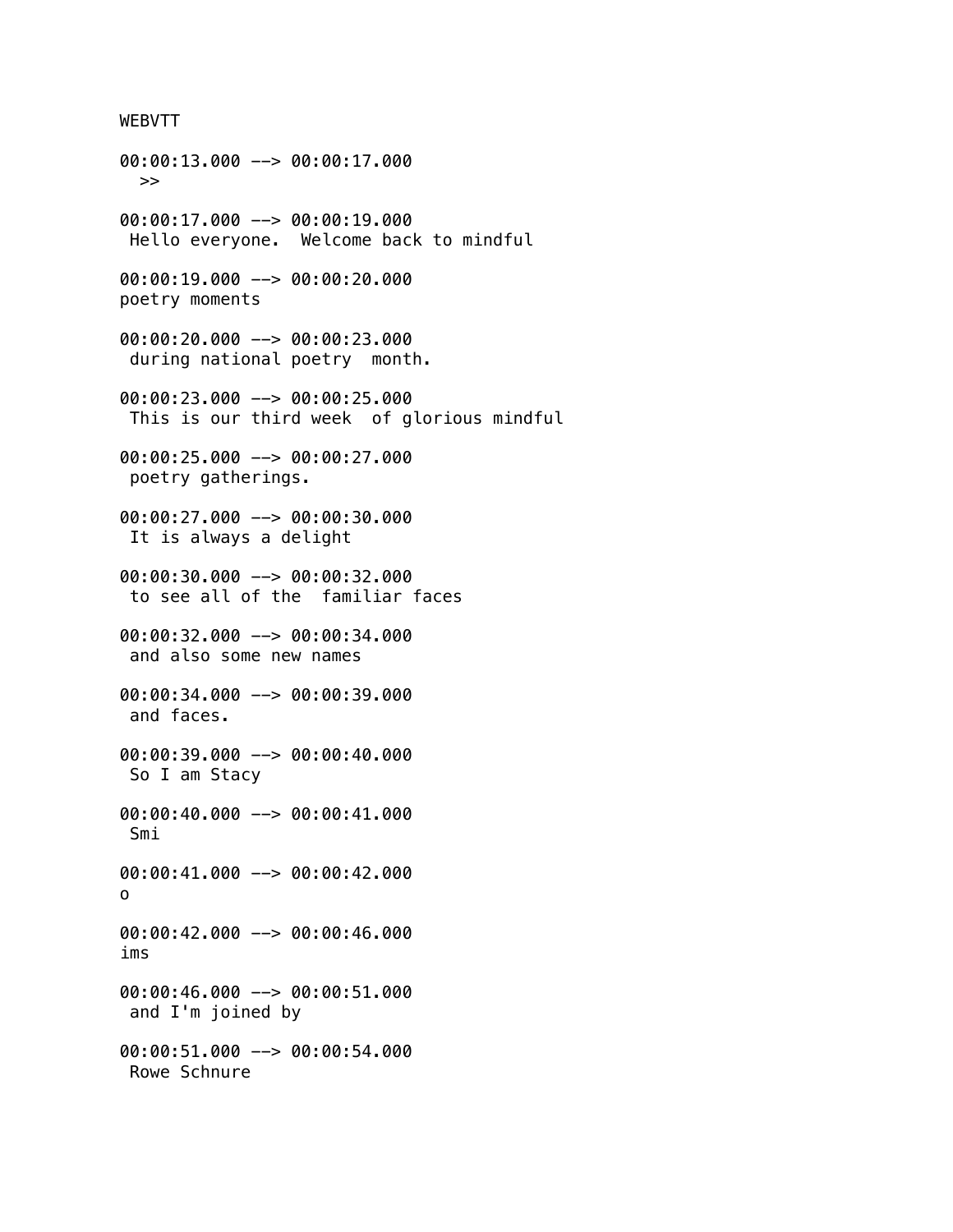WEBVTT

00:00:13.000 --> 00:00:17.000 >> 00:00:17.000 --> 00:00:19.000 Hello everyone. Welcome back to mindful 00:00:19.000 --> 00:00:20.000 poetry moments 00:00:20.000 --> 00:00:23.000 during national poetry month. 00:00:23.000 --> 00:00:25.000 This is our third week of glorious mindful 00:00:25.000 --> 00:00:27.000 poetry gatherings. 00:00:27.000 --> 00:00:30.000 It is always a delight 00:00:30.000 --> 00:00:32.000 to see all of the familiar faces 00:00:32.000 --> 00:00:34.000 and also some new names 00:00:34.000 --> 00:00:39.000 and faces. 00:00:39.000 --> 00:00:40.000 So I am Stacy 00:00:40.000 --> 00:00:41.000 Smi 00:00:41.000 --> 00:00:42.000 o 00:00:42.000 --> 00:00:46.000 ims 00:00:46.000 --> 00:00:51.000 and I'm joined by 00:00:51.000 --> 00:00:54.000 Rowe Schnure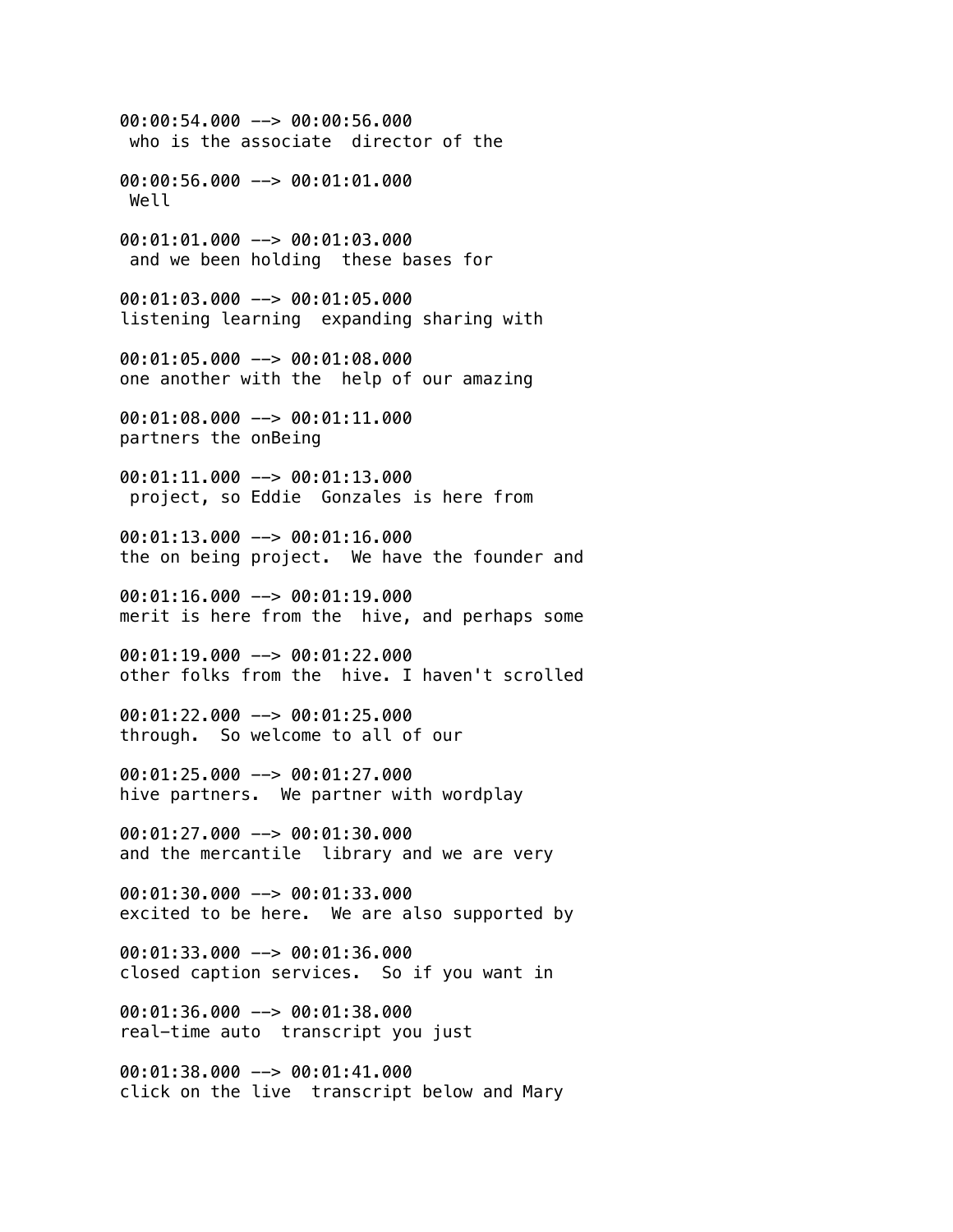00:00:54.000 --> 00:00:56.000 who is the associate director of the 00:00:56.000 --> 00:01:01.000 Well 00:01:01.000 --> 00:01:03.000 and we been holding these bases for 00:01:03.000 --> 00:01:05.000 listening learning expanding sharing with 00:01:05.000 --> 00:01:08.000 one another with the help of our amazing 00:01:08.000 --> 00:01:11.000 partners the onBeing 00:01:11.000 --> 00:01:13.000 project, so Eddie Gonzales is here from 00:01:13.000 --> 00:01:16.000 the on being project. We have the founder and 00:01:16.000 --> 00:01:19.000 merit is here from the hive, and perhaps some 00:01:19.000 --> 00:01:22.000 other folks from the hive. I haven't scrolled 00:01:22.000 --> 00:01:25.000 through. So welcome to all of our 00:01:25.000 --> 00:01:27.000 hive partners. We partner with wordplay 00:01:27.000 --> 00:01:30.000 and the mercantile library and we are very 00:01:30.000 --> 00:01:33.000 excited to be here. We are also supported by 00:01:33.000 --> 00:01:36.000 closed caption services. So if you want in 00:01:36.000 --> 00:01:38.000 real-time auto transcript you just 00:01:38.000 --> 00:01:41.000 click on the live transcript below and Mary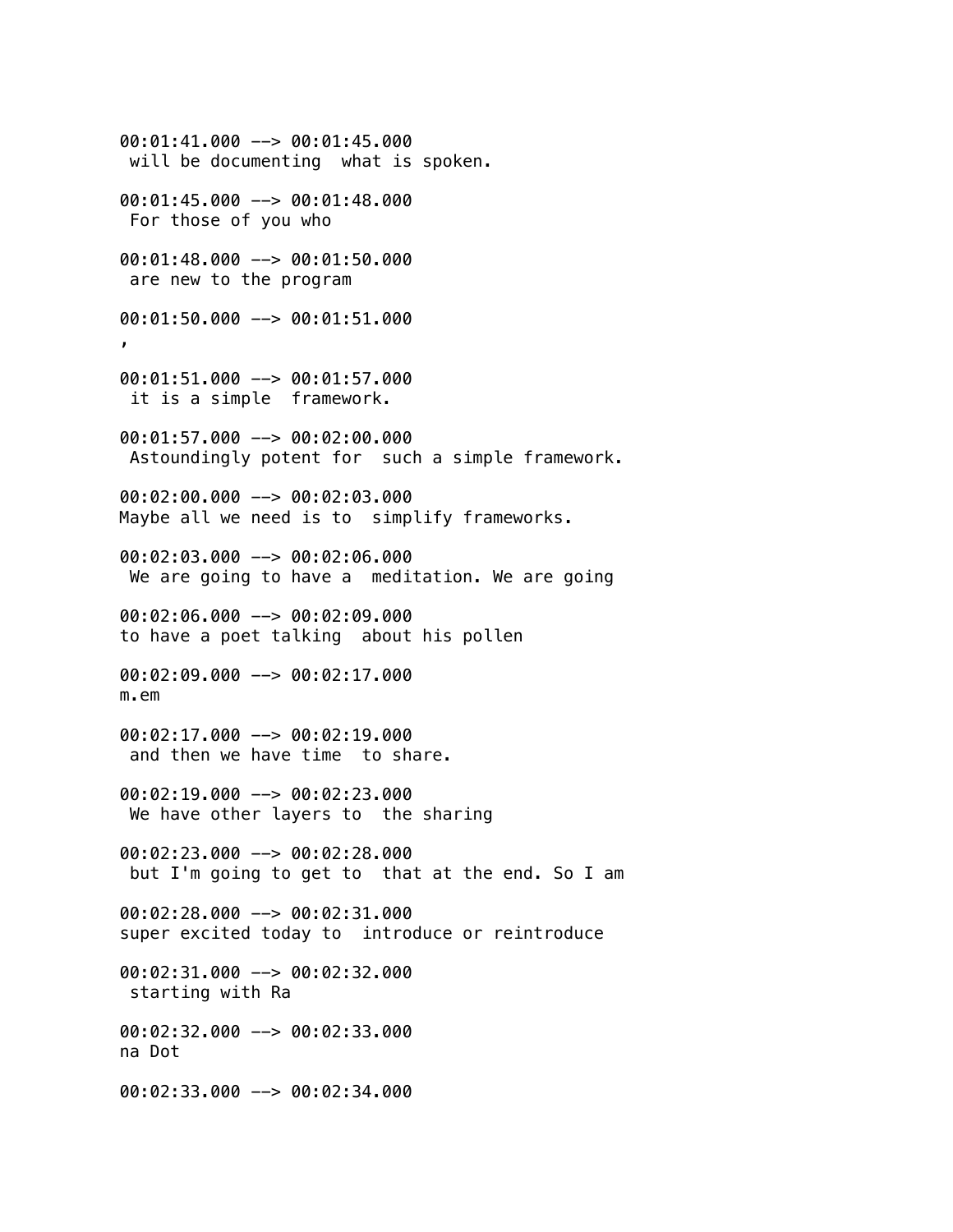00:01:41.000 --> 00:01:45.000 will be documenting what is spoken. 00:01:45.000 --> 00:01:48.000 For those of you who 00:01:48.000 --> 00:01:50.000 are new to the program 00:01:50.000 --> 00:01:51.000 , 00:01:51.000 --> 00:01:57.000 it is a simple framework. 00:01:57.000 --> 00:02:00.000 Astoundingly potent for such a simple framework. 00:02:00.000 --> 00:02:03.000 Maybe all we need is to simplify frameworks. 00:02:03.000 --> 00:02:06.000 We are going to have a meditation. We are going 00:02:06.000 --> 00:02:09.000 to have a poet talking about his pollen 00:02:09.000 --> 00:02:17.000 m.em 00:02:17.000 --> 00:02:19.000 and then we have time to share. 00:02:19.000 --> 00:02:23.000 We have other layers to the sharing 00:02:23.000 --> 00:02:28.000 but I'm going to get to that at the end. So I am 00:02:28.000 --> 00:02:31.000 super excited today to introduce or reintroduce 00:02:31.000 --> 00:02:32.000 starting with Ra 00:02:32.000 --> 00:02:33.000 na Dot 00:02:33.000 --> 00:02:34.000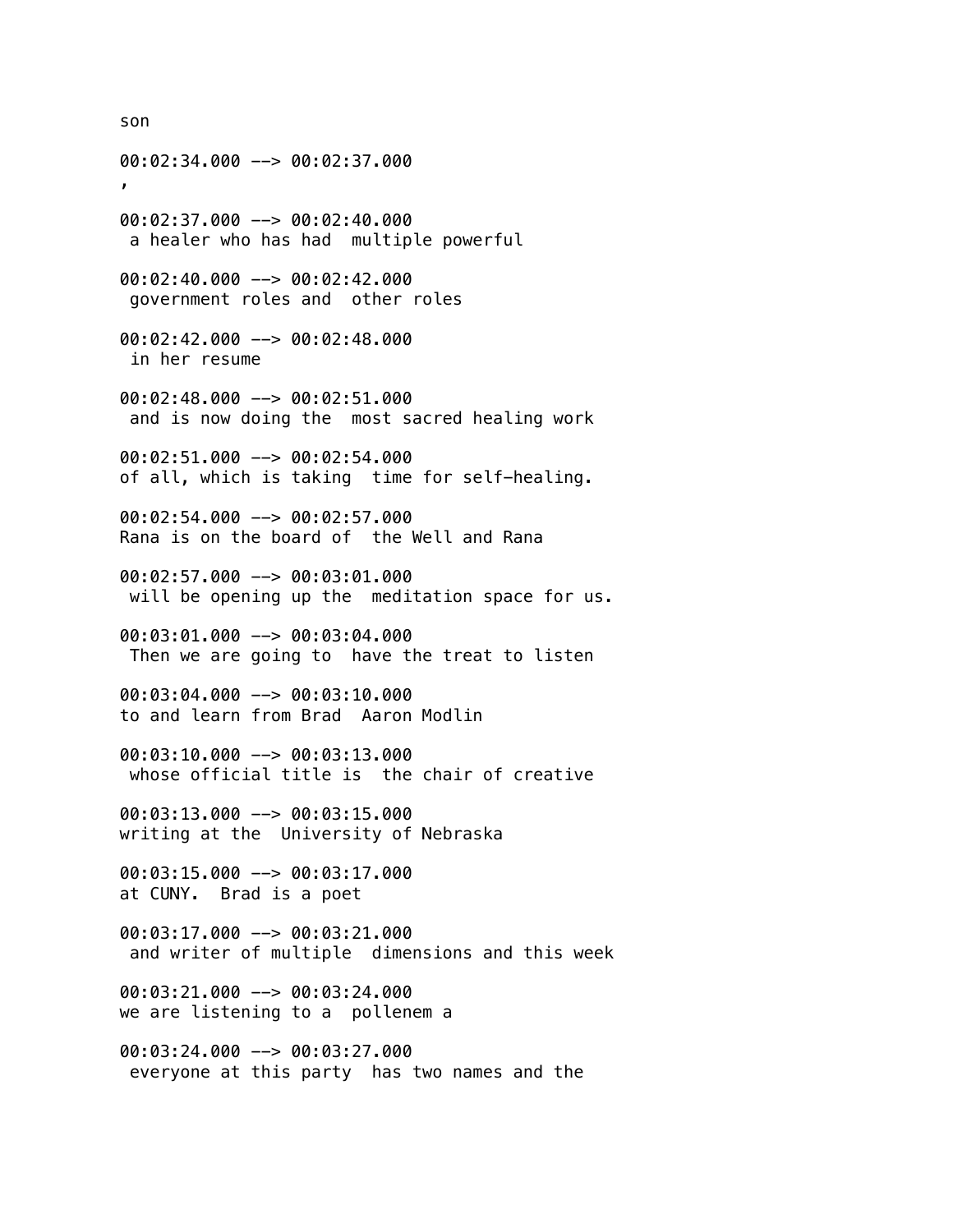00:02:34.000 --> 00:02:37.000 , 00:02:37.000 --> 00:02:40.000 a healer who has had multiple powerful 00:02:40.000 --> 00:02:42.000 government roles and other roles 00:02:42.000 --> 00:02:48.000 in her resume 00:02:48.000 --> 00:02:51.000 and is now doing the most sacred healing work 00:02:51.000 --> 00:02:54.000 of all, which is taking time for self-healing. 00:02:54.000 --> 00:02:57.000 Rana is on the board of the Well and Rana 00:02:57.000 --> 00:03:01.000 will be opening up the meditation space for us. 00:03:01.000 --> 00:03:04.000 Then we are going to have the treat to listen 00:03:04.000 --> 00:03:10.000 to and learn from Brad Aaron Modlin 00:03:10.000 --> 00:03:13.000 whose official title is the chair of creative 00:03:13.000 --> 00:03:15.000 writing at the University of Nebraska 00:03:15.000 --> 00:03:17.000 at CUNY. Brad is a poet 00:03:17.000 --> 00:03:21.000 and writer of multiple dimensions and this week 00:03:21.000 --> 00:03:24.000 we are listening to a pollenem a 00:03:24.000 --> 00:03:27.000 everyone at this party has two names and the

son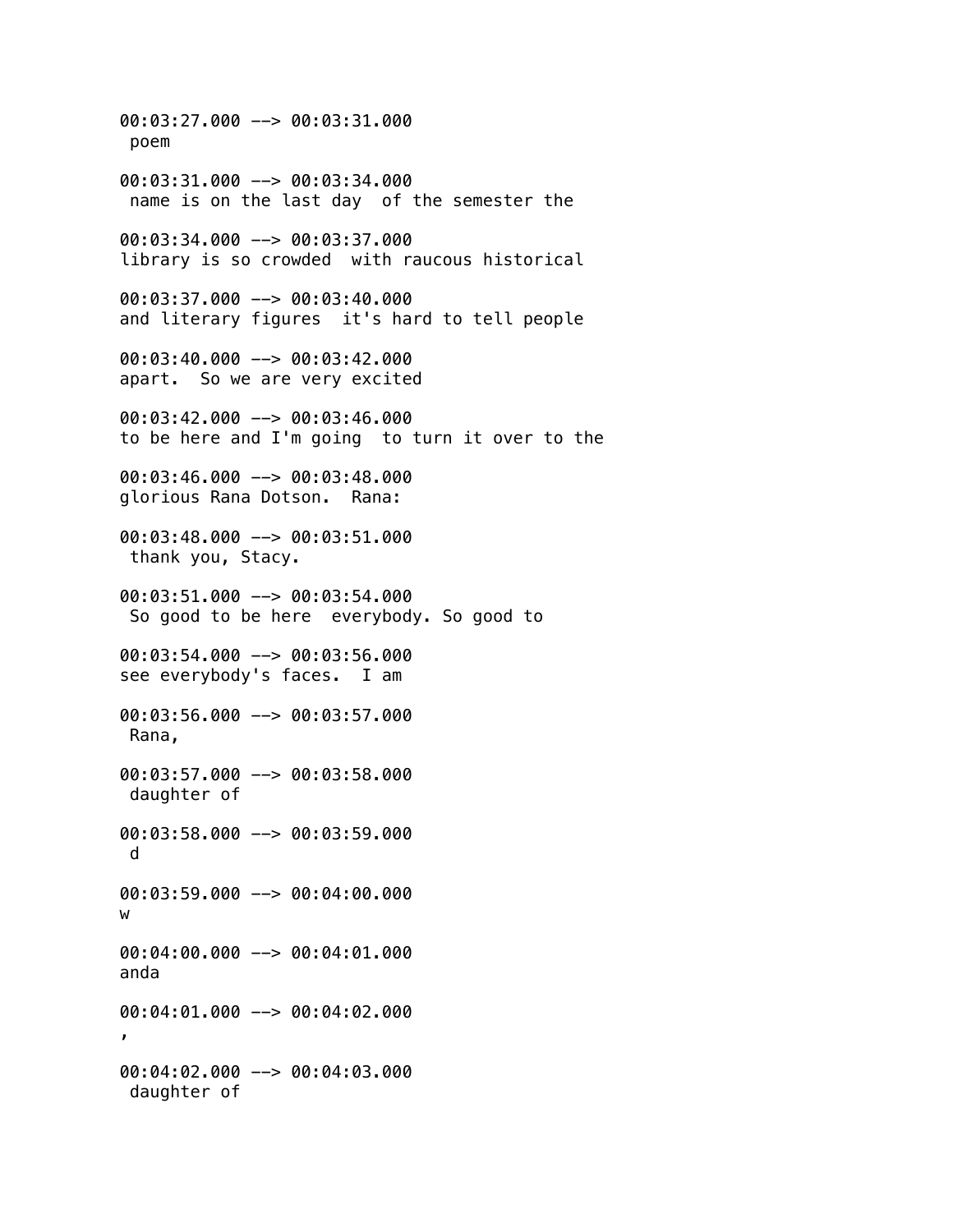00:03:27.000 --> 00:03:31.000 poem 00:03:31.000 --> 00:03:34.000 name is on the last day of the semester the 00:03:34.000 --> 00:03:37.000 library is so crowded with raucous historical 00:03:37.000 --> 00:03:40.000 and literary figures it's hard to tell people 00:03:40.000 --> 00:03:42.000 apart. So we are very excited 00:03:42.000 --> 00:03:46.000 to be here and I'm going to turn it over to the 00:03:46.000 --> 00:03:48.000 glorious Rana Dotson. Rana: 00:03:48.000 --> 00:03:51.000 thank you, Stacy. 00:03:51.000 --> 00:03:54.000 So good to be here everybody. So good to 00:03:54.000 --> 00:03:56.000 see everybody's faces. I am 00:03:56.000 --> 00:03:57.000 Rana, 00:03:57.000 --> 00:03:58.000 daughter of 00:03:58.000 --> 00:03:59.000 d 00:03:59.000 --> 00:04:00.000 w 00:04:00.000 --> 00:04:01.000 anda 00:04:01.000 --> 00:04:02.000 , 00:04:02.000 --> 00:04:03.000 daughter of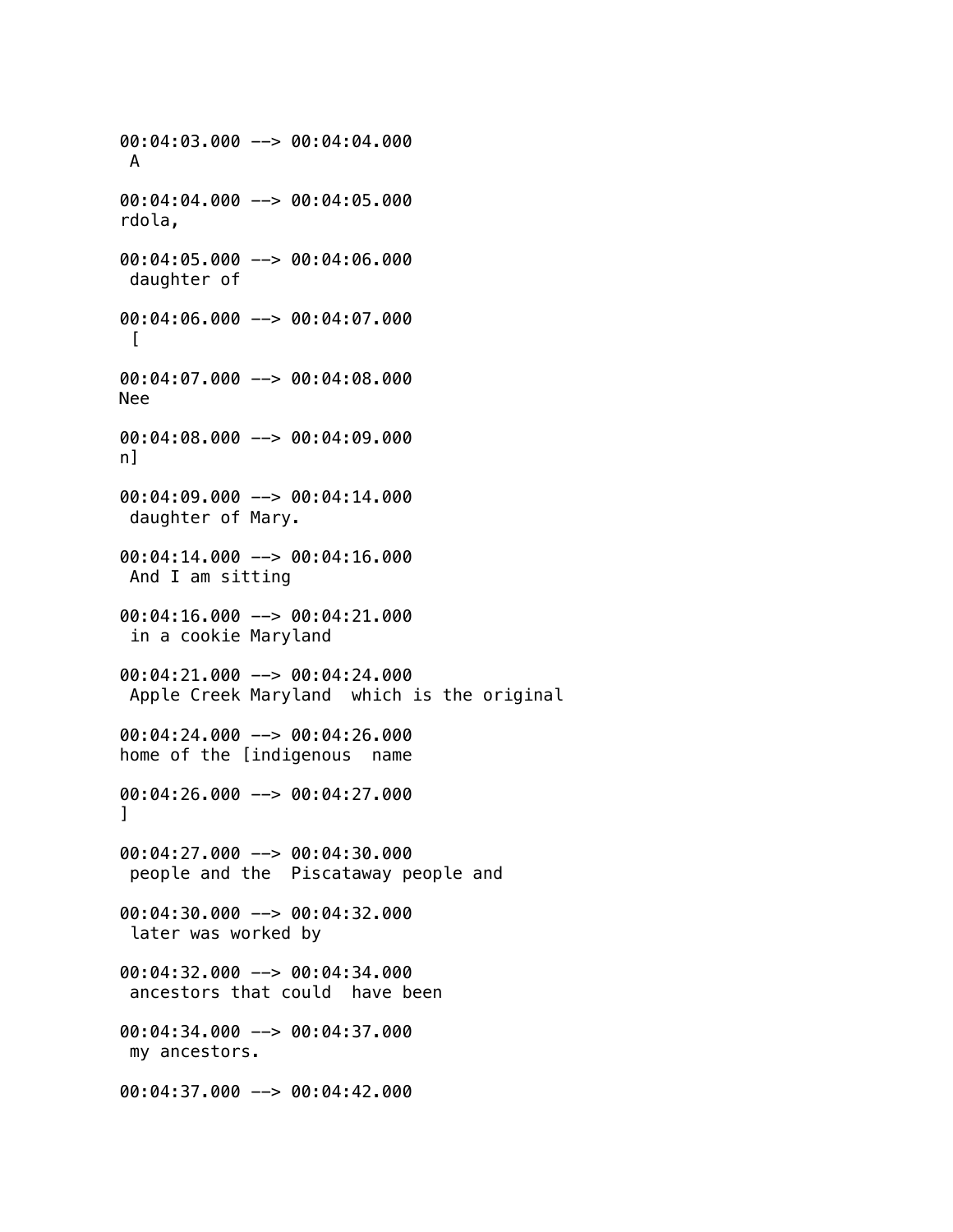00:04:03.000 --> 00:04:04.000 A 00:04:04.000 --> 00:04:05.000 rdola, 00:04:05.000 --> 00:04:06.000 daughter of 00:04:06.000 --> 00:04:07.000  $\lceil$ 00:04:07.000 --> 00:04:08.000 Nee 00:04:08.000 --> 00:04:09.000 n] 00:04:09.000 --> 00:04:14.000 daughter of Mary. 00:04:14.000 --> 00:04:16.000 And I am sitting 00:04:16.000 --> 00:04:21.000 in a cookie Maryland 00:04:21.000 --> 00:04:24.000 Apple Creek Maryland which is the original 00:04:24.000 --> 00:04:26.000 home of the [indigenous name 00:04:26.000 --> 00:04:27.000 ] 00:04:27.000 --> 00:04:30.000 people and the Piscataway people and 00:04:30.000 --> 00:04:32.000 later was worked by 00:04:32.000 --> 00:04:34.000 ancestors that could have been 00:04:34.000 --> 00:04:37.000 my ancestors. 00:04:37.000 --> 00:04:42.000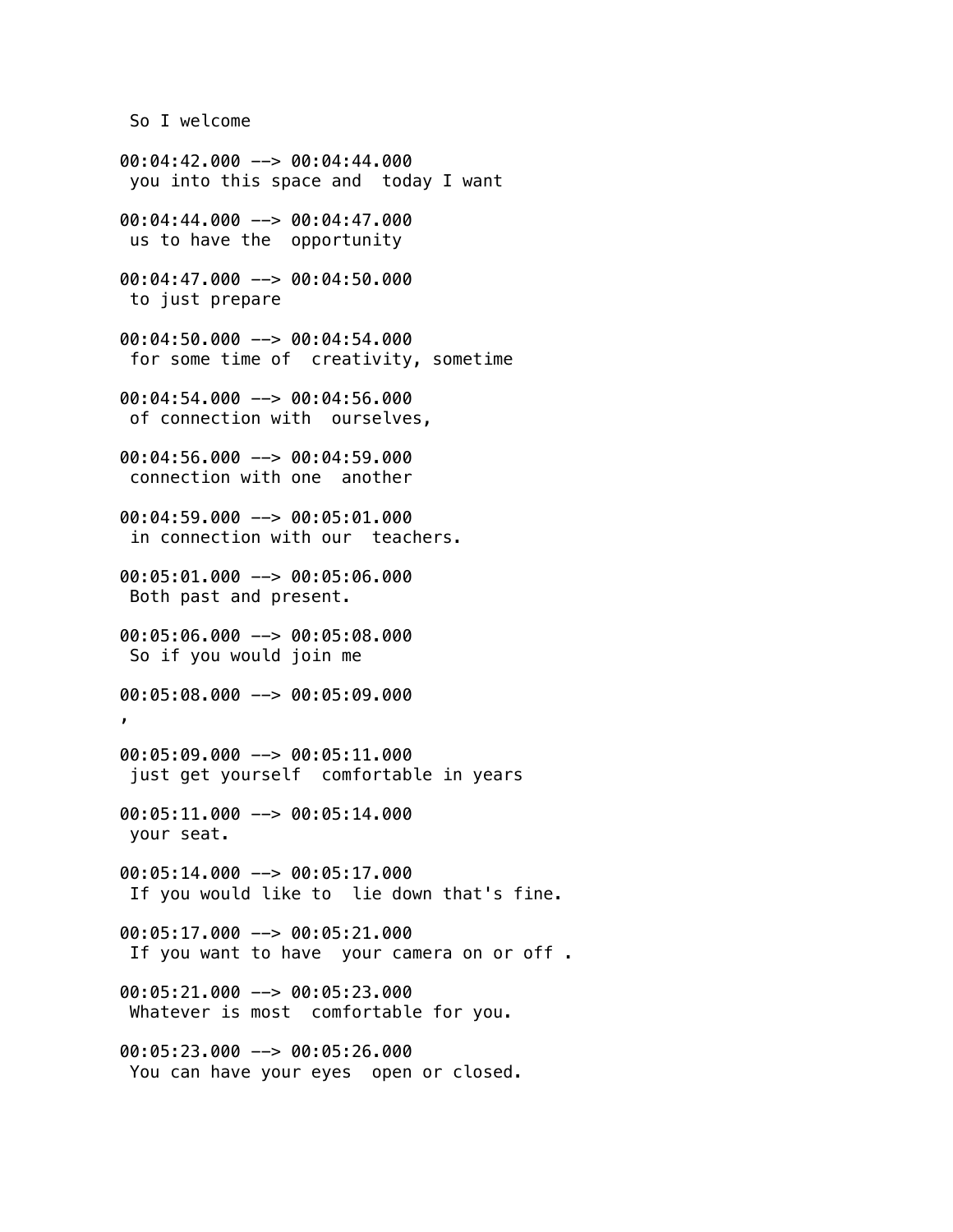So I welcome 00:04:42.000 --> 00:04:44.000 you into this space and today I want 00:04:44.000 --> 00:04:47.000 us to have the opportunity 00:04:47.000 --> 00:04:50.000 to just prepare 00:04:50.000 --> 00:04:54.000 for some time of creativity, sometime 00:04:54.000 --> 00:04:56.000 of connection with ourselves, 00:04:56.000 --> 00:04:59.000 connection with one another 00:04:59.000 --> 00:05:01.000 in connection with our teachers. 00:05:01.000 --> 00:05:06.000 Both past and present. 00:05:06.000 --> 00:05:08.000 So if you would join me 00:05:08.000 --> 00:05:09.000 , 00:05:09.000 --> 00:05:11.000 just get yourself comfortable in years 00:05:11.000 --> 00:05:14.000 your seat. 00:05:14.000 --> 00:05:17.000 If you would like to lie down that's fine. 00:05:17.000 --> 00:05:21.000 If you want to have your camera on or off . 00:05:21.000 --> 00:05:23.000 Whatever is most comfortable for you. 00:05:23.000 --> 00:05:26.000

You can have your eyes open or closed.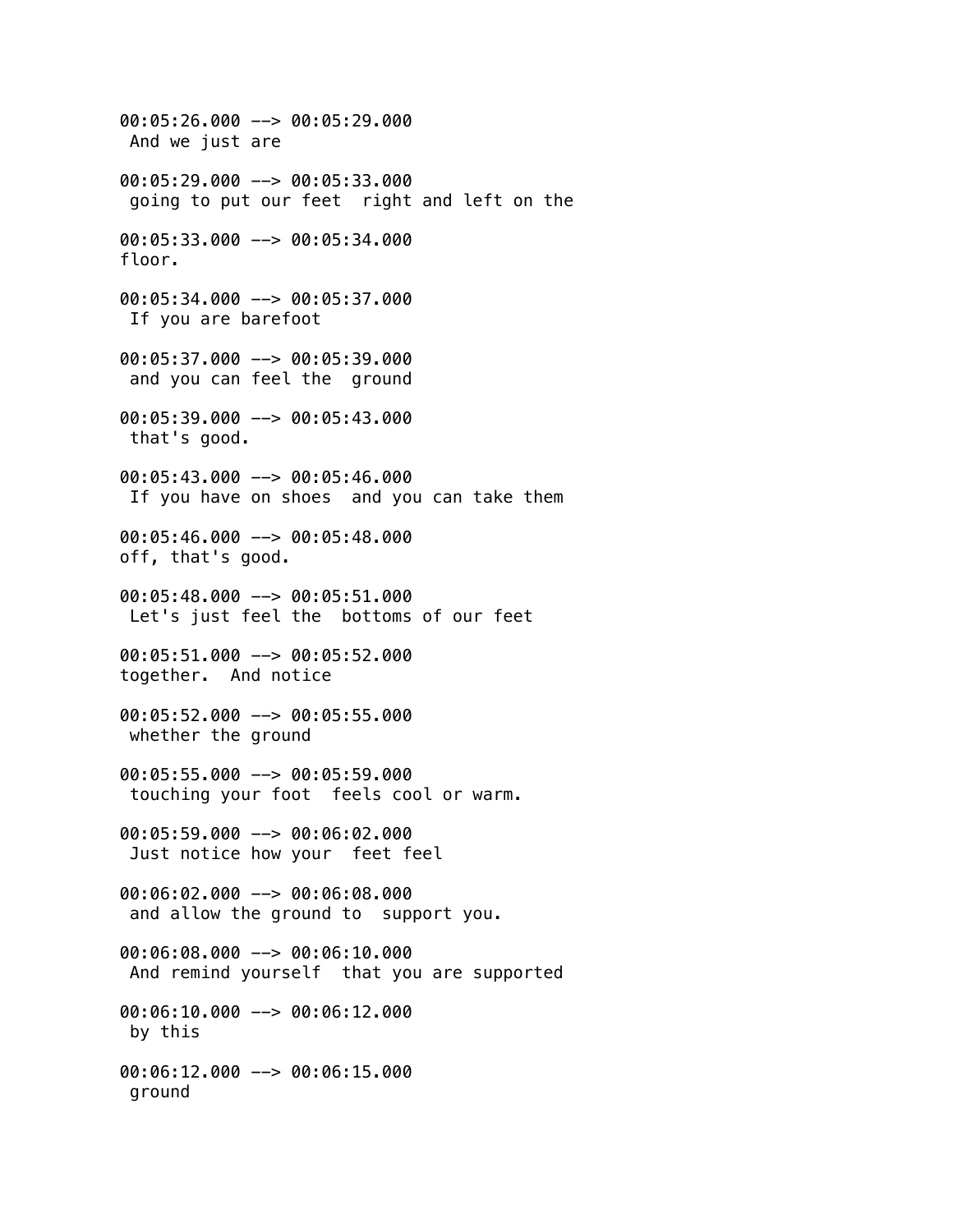00:05:26.000 --> 00:05:29.000 And we just are 00:05:29.000 --> 00:05:33.000 going to put our feet right and left on the 00:05:33.000 --> 00:05:34.000 floor. 00:05:34.000 --> 00:05:37.000 If you are barefoot 00:05:37.000 --> 00:05:39.000 and you can feel the ground 00:05:39.000 --> 00:05:43.000 that's good. 00:05:43.000 --> 00:05:46.000 If you have on shoes and you can take them 00:05:46.000 --> 00:05:48.000 off, that's good. 00:05:48.000 --> 00:05:51.000 Let's just feel the bottoms of our feet 00:05:51.000 --> 00:05:52.000 together. And notice 00:05:52.000 --> 00:05:55.000 whether the ground 00:05:55.000 --> 00:05:59.000 touching your foot feels cool or warm. 00:05:59.000 --> 00:06:02.000 Just notice how your feet feel 00:06:02.000 --> 00:06:08.000 and allow the ground to support you. 00:06:08.000 --> 00:06:10.000 And remind yourself that you are supported 00:06:10.000 --> 00:06:12.000 by this 00:06:12.000 --> 00:06:15.000 ground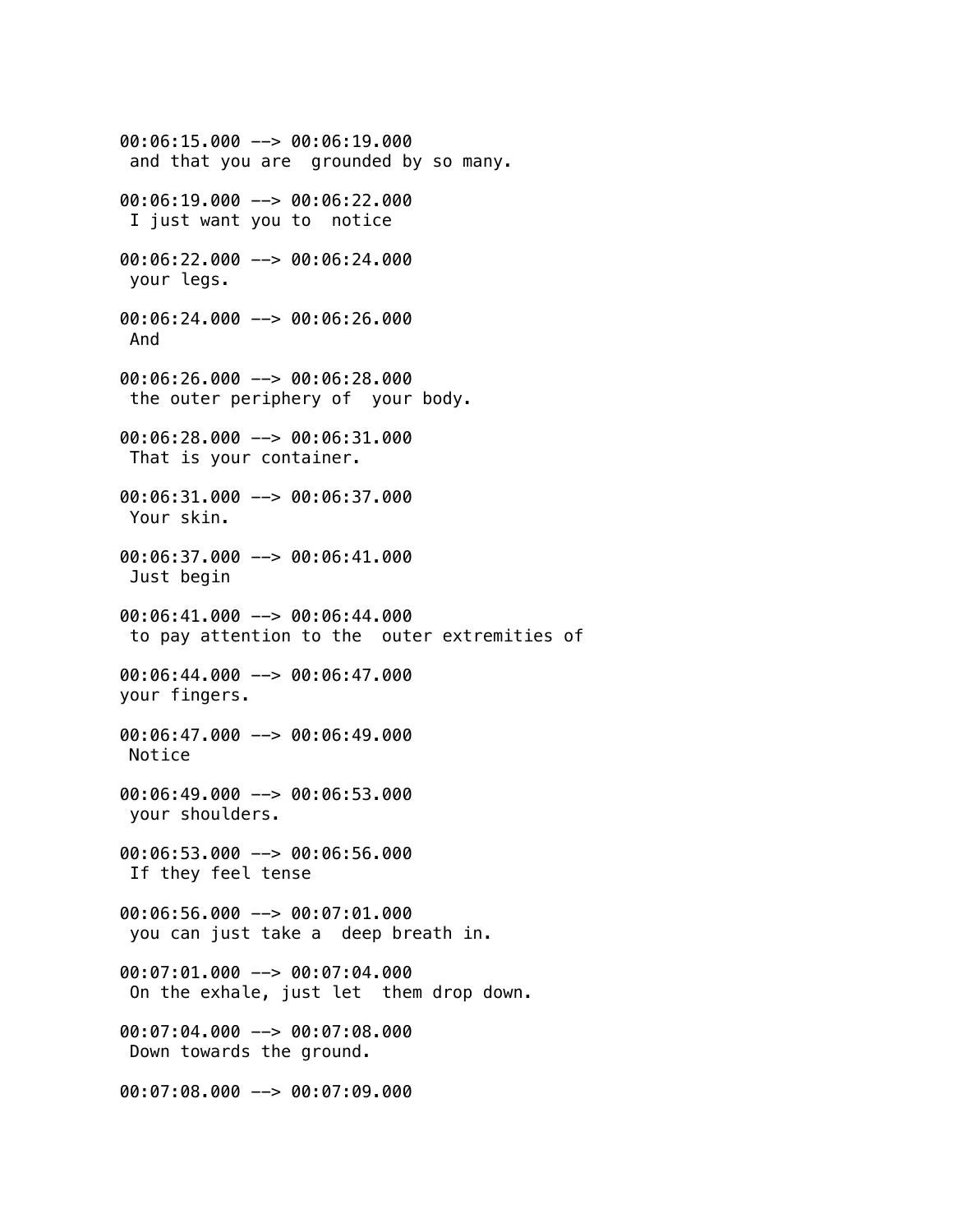00:06:15.000 --> 00:06:19.000 and that you are grounded by so many. 00:06:19.000 --> 00:06:22.000 I just want you to notice 00:06:22.000 --> 00:06:24.000 your legs. 00:06:24.000 --> 00:06:26.000 And 00:06:26.000 --> 00:06:28.000 the outer periphery of your body. 00:06:28.000 --> 00:06:31.000 That is your container. 00:06:31.000 --> 00:06:37.000 Your skin. 00:06:37.000 --> 00:06:41.000 Just begin 00:06:41.000 --> 00:06:44.000 to pay attention to the outer extremities of 00:06:44.000 --> 00:06:47.000 your fingers. 00:06:47.000 --> 00:06:49.000 Notice 00:06:49.000 --> 00:06:53.000 your shoulders. 00:06:53.000 --> 00:06:56.000 If they feel tense 00:06:56.000 --> 00:07:01.000 you can just take a deep breath in. 00:07:01.000 --> 00:07:04.000 On the exhale, just let them drop down. 00:07:04.000 --> 00:07:08.000 Down towards the ground. 00:07:08.000 --> 00:07:09.000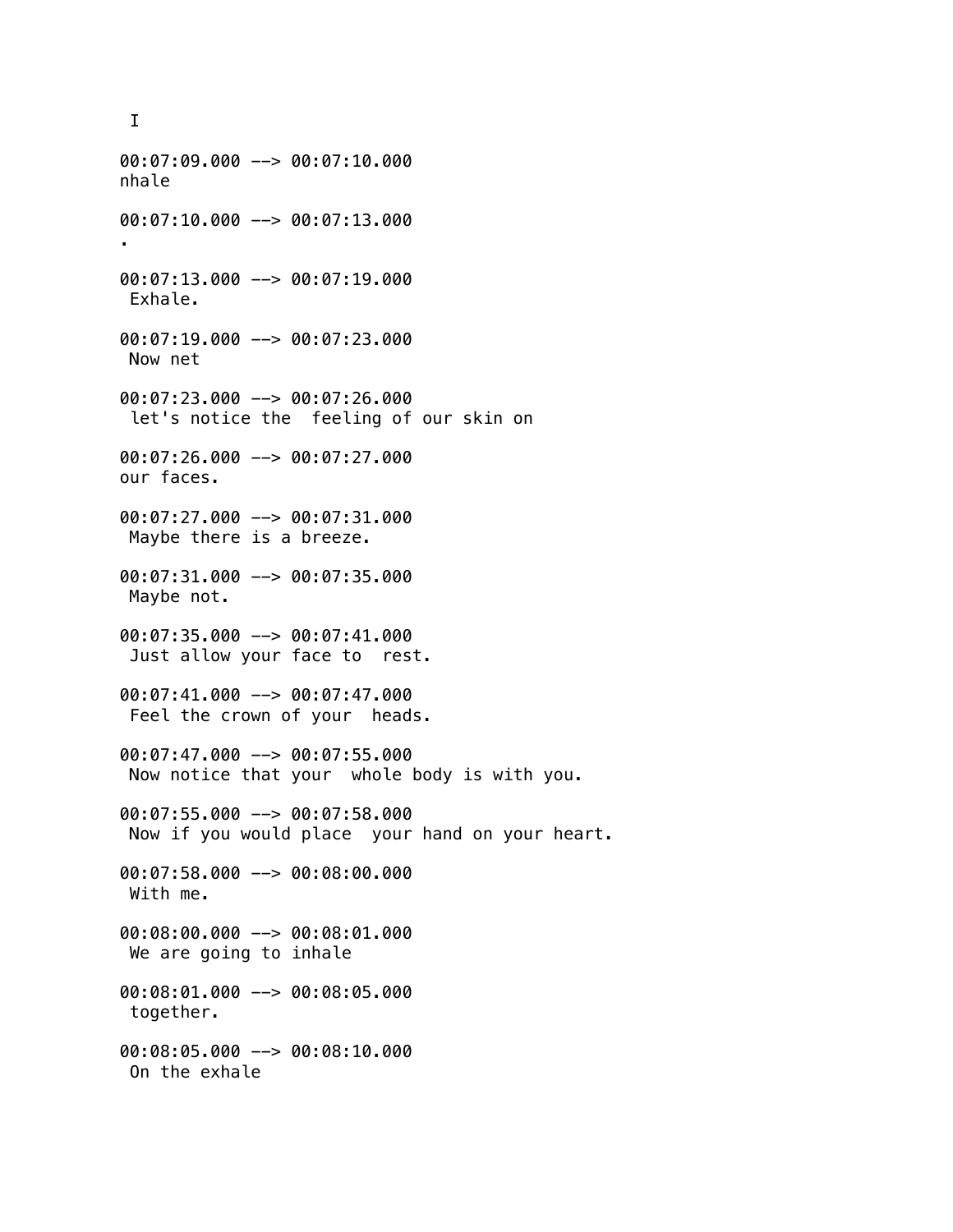00:07:09.000 --> 00:07:10.000 nhale 00:07:10.000 --> 00:07:13.000 . 00:07:13.000 --> 00:07:19.000 Exhale. 00:07:19.000 --> 00:07:23.000 Now net 00:07:23.000 --> 00:07:26.000 let's notice the feeling of our skin on 00:07:26.000 --> 00:07:27.000 our faces. 00:07:27.000 --> 00:07:31.000 Maybe there is a breeze. 00:07:31.000 --> 00:07:35.000 Maybe not. 00:07:35.000 --> 00:07:41.000 Just allow your face to rest. 00:07:41.000 --> 00:07:47.000 Feel the crown of your heads. 00:07:47.000 --> 00:07:55.000 Now notice that your whole body is with you. 00:07:55.000 --> 00:07:58.000 Now if you would place your hand on your heart. 00:07:58.000 --> 00:08:00.000 With me. 00:08:00.000 --> 00:08:01.000 We are going to inhale 00:08:01.000 --> 00:08:05.000 together. 00:08:05.000 --> 00:08:10.000 On the exhale

I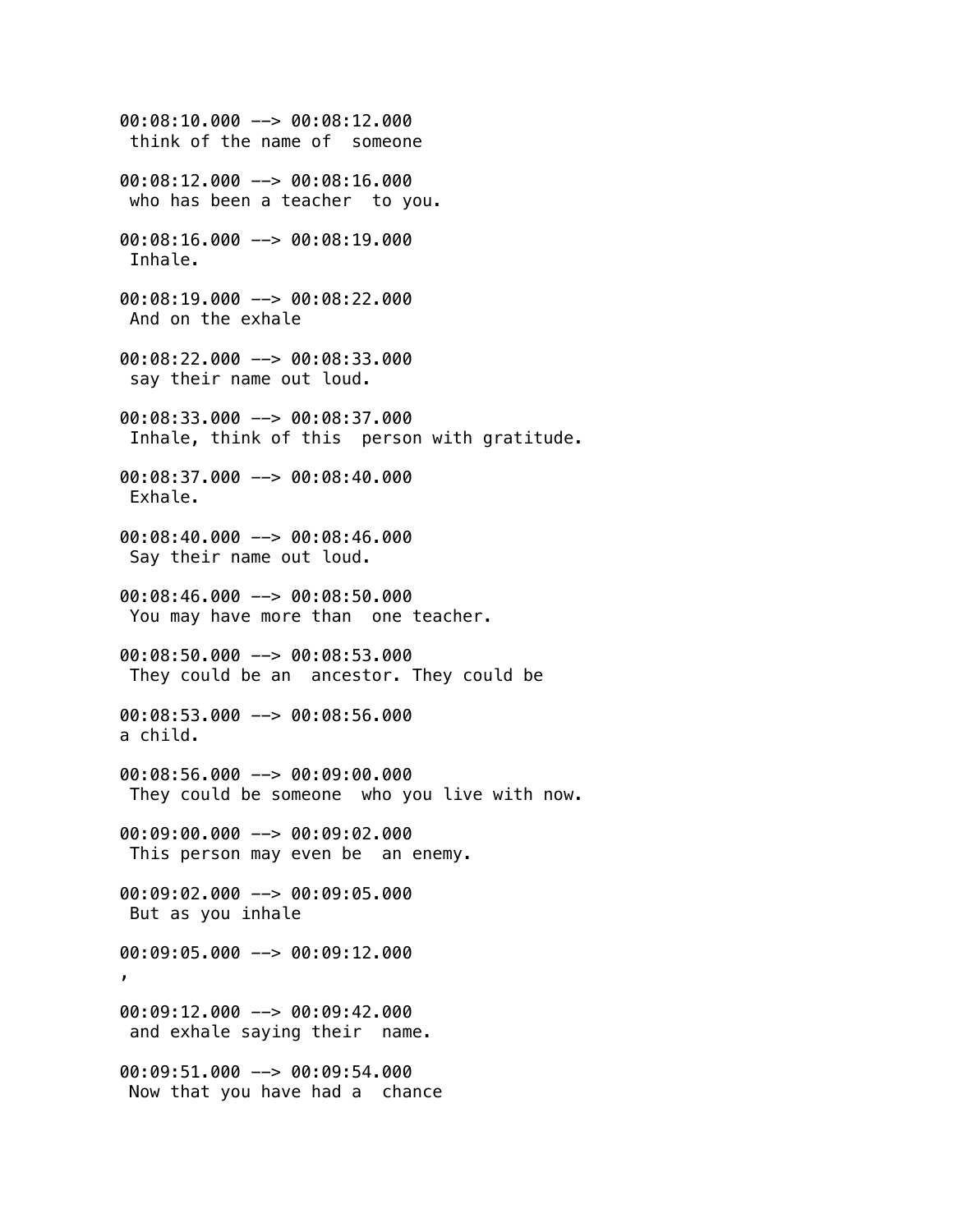00:08:10.000 --> 00:08:12.000 think of the name of someone 00:08:12.000 --> 00:08:16.000 who has been a teacher to you. 00:08:16.000 --> 00:08:19.000 Inhale. 00:08:19.000 --> 00:08:22.000 And on the exhale 00:08:22.000 --> 00:08:33.000 say their name out loud. 00:08:33.000 --> 00:08:37.000 Inhale, think of this person with gratitude. 00:08:37.000 --> 00:08:40.000 Exhale. 00:08:40.000 --> 00:08:46.000 Say their name out loud. 00:08:46.000 --> 00:08:50.000 You may have more than one teacher. 00:08:50.000 --> 00:08:53.000 They could be an ancestor. They could be 00:08:53.000 --> 00:08:56.000 a child. 00:08:56.000 --> 00:09:00.000 They could be someone who you live with now. 00:09:00.000 --> 00:09:02.000 This person may even be an enemy. 00:09:02.000 --> 00:09:05.000 But as you inhale 00:09:05.000 --> 00:09:12.000 , 00:09:12.000 --> 00:09:42.000 and exhale saying their name. 00:09:51.000 --> 00:09:54.000 Now that you have had a chance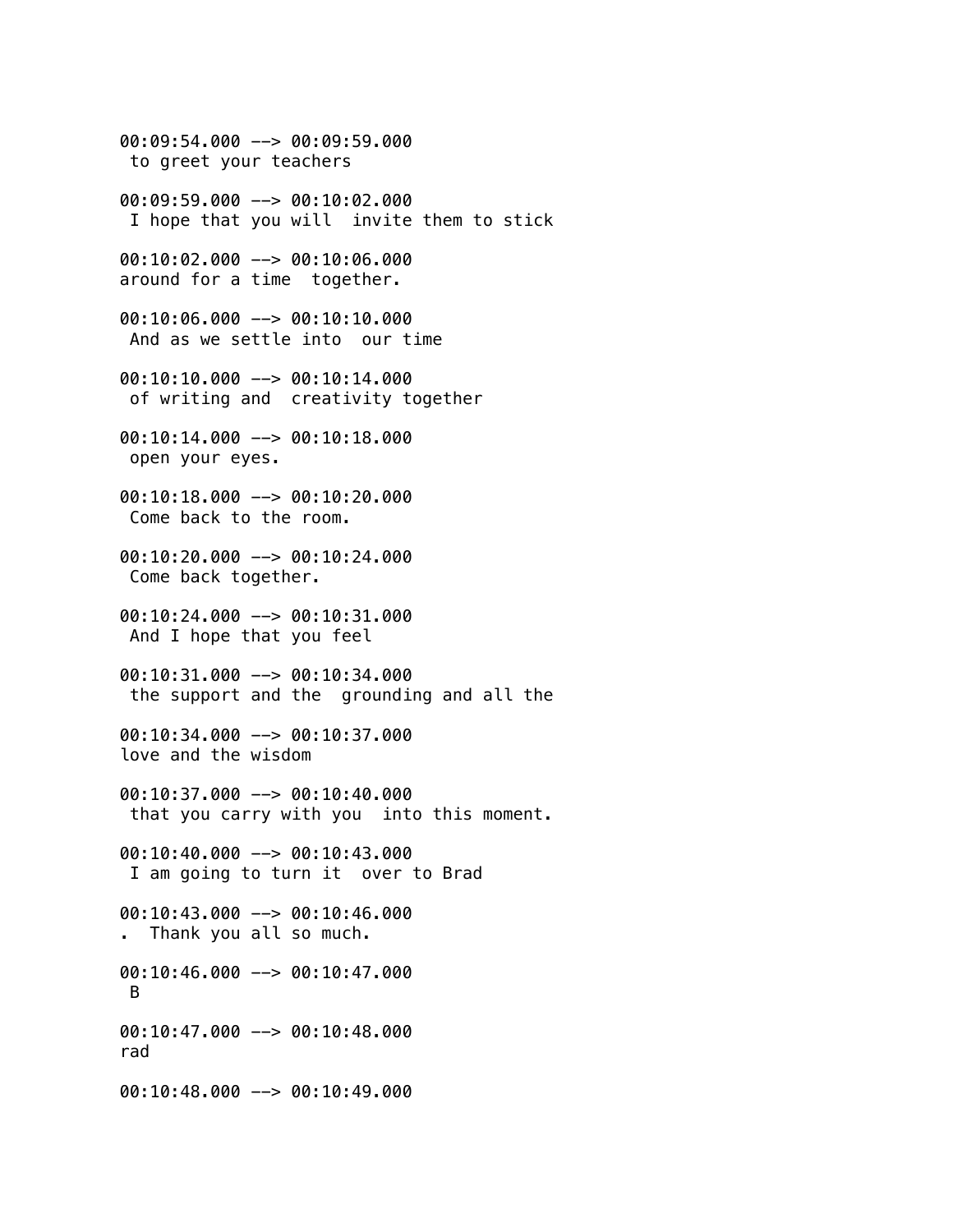00:09:54.000 --> 00:09:59.000 to greet your teachers 00:09:59.000 --> 00:10:02.000 I hope that you will invite them to stick 00:10:02.000 --> 00:10:06.000 around for a time together. 00:10:06.000 --> 00:10:10.000 And as we settle into our time 00:10:10.000 --> 00:10:14.000 of writing and creativity together 00:10:14.000 --> 00:10:18.000 open your eyes. 00:10:18.000 --> 00:10:20.000 Come back to the room. 00:10:20.000 --> 00:10:24.000 Come back together. 00:10:24.000 --> 00:10:31.000 And I hope that you feel 00:10:31.000 --> 00:10:34.000 the support and the grounding and all the 00:10:34.000 --> 00:10:37.000 love and the wisdom 00:10:37.000 --> 00:10:40.000 that you carry with you into this moment. 00:10:40.000 --> 00:10:43.000 I am going to turn it over to Brad 00:10:43.000 --> 00:10:46.000 . Thank you all so much. 00:10:46.000 --> 00:10:47.000 B 00:10:47.000 --> 00:10:48.000 rad 00:10:48.000 --> 00:10:49.000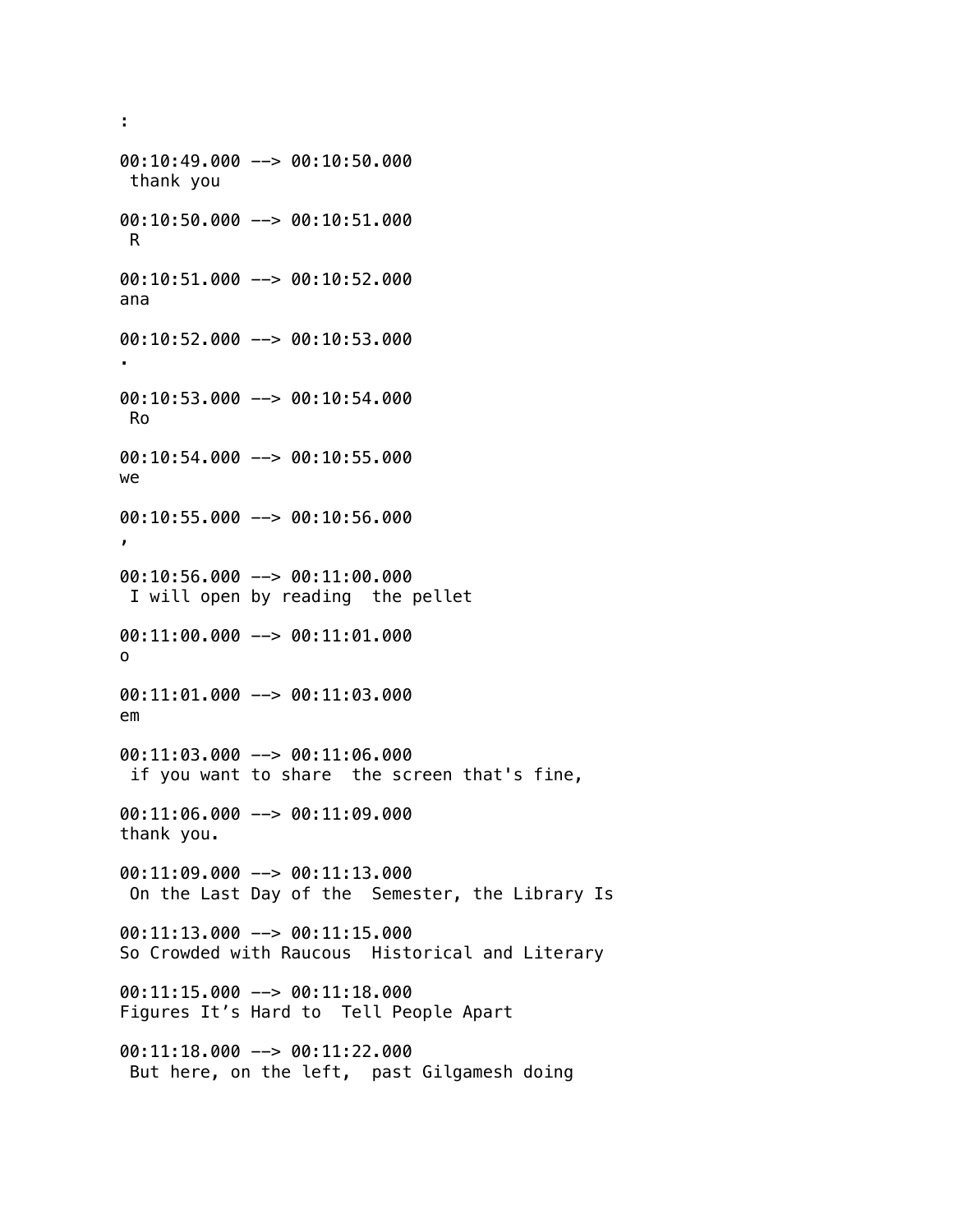00:10:49.000 --> 00:10:50.000 thank you 00:10:50.000 --> 00:10:51.000 R 00:10:51.000 --> 00:10:52.000 ana 00:10:52.000 --> 00:10:53.000 . 00:10:53.000 --> 00:10:54.000 Ro 00:10:54.000 --> 00:10:55.000 we 00:10:55.000 --> 00:10:56.000 , 00:10:56.000 --> 00:11:00.000 I will open by reading the pellet 00:11:00.000 --> 00:11:01.000 o 00:11:01.000 --> 00:11:03.000 em 00:11:03.000 --> 00:11:06.000 if you want to share the screen that's fine, 00:11:06.000 --> 00:11:09.000 thank you. 00:11:09.000 --> 00:11:13.000 On the Last Day of the Semester, the Library Is 00:11:13.000 --> 00:11:15.000 So Crowded with Raucous Historical and Literary 00:11:15.000 --> 00:11:18.000 Figures It's Hard to Tell People Apart 00:11:18.000 --> 00:11:22.000 But here, on the left, past Gilgamesh doing

: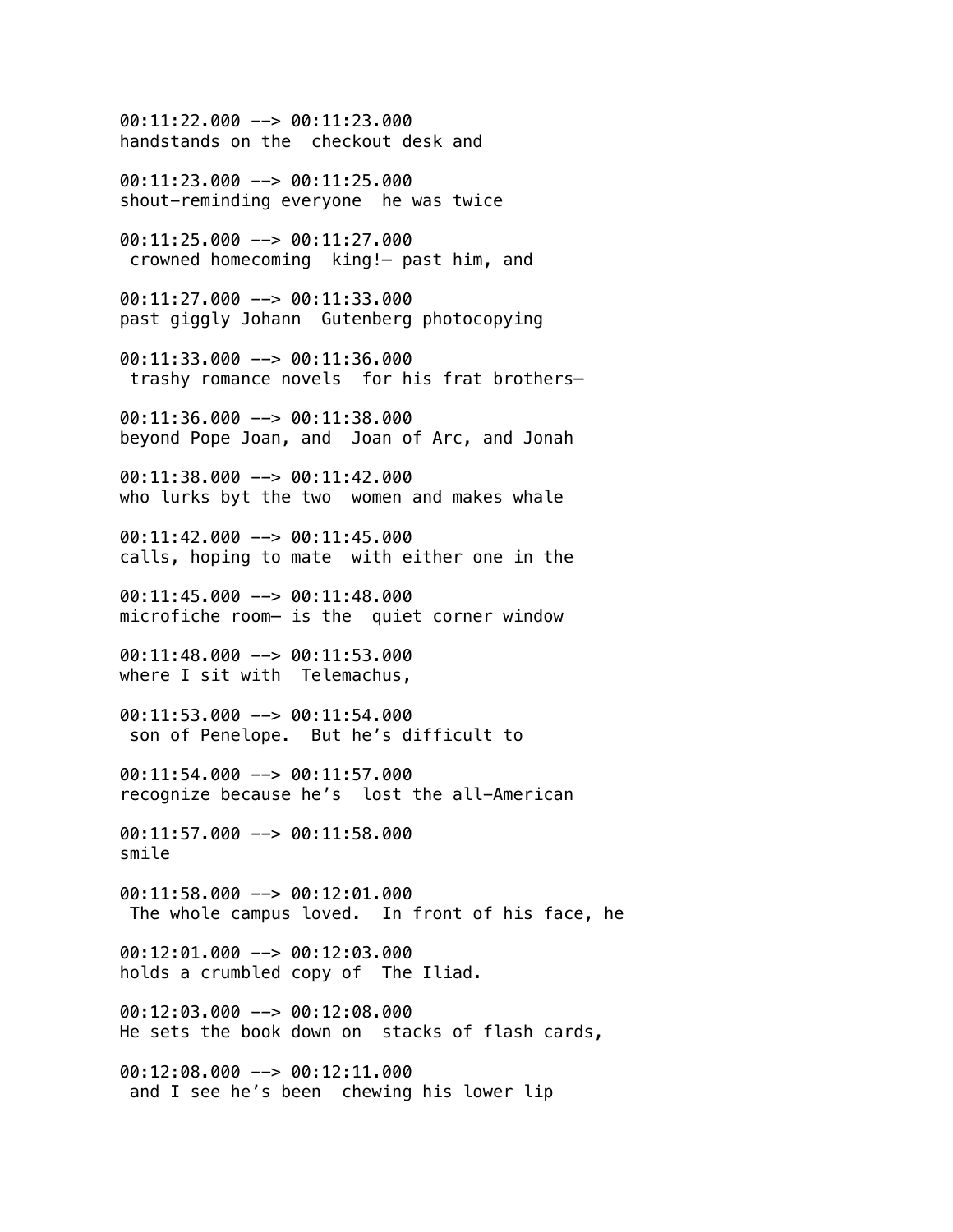00:11:22.000 --> 00:11:23.000 handstands on the checkout desk and

00:11:23.000 --> 00:11:25.000 shout-reminding everyone he was twice

00:11:25.000 --> 00:11:27.000 crowned homecoming king!— past him, and

00:11:27.000 --> 00:11:33.000 past giggly Johann Gutenberg photocopying

00:11:33.000 --> 00:11:36.000 trashy romance novels for his frat brothers—

00:11:36.000 --> 00:11:38.000 beyond Pope Joan, and Joan of Arc, and Jonah

00:11:38.000 --> 00:11:42.000 who lurks byt the two women and makes whale

 $00:11:42.000$  -->  $00:11:45.000$ calls, hoping to mate with either one in the

00:11:45.000 --> 00:11:48.000 microfiche room— is the quiet corner window

 $00:11:48.000$  -->  $00:11:53.000$ where I sit with Telemachus,

00:11:53.000 --> 00:11:54.000 son of Penelope. But he's difficult to

00:11:54.000 --> 00:11:57.000 recognize because he's lost the all-American

00:11:57.000 --> 00:11:58.000 smile

00:11:58.000 --> 00:12:01.000 The whole campus loved. In front of his face, he

 $00:12:01.000$  -->  $00:12:03.000$ holds a crumbled copy of The Iliad.

00:12:03.000 --> 00:12:08.000 He sets the book down on stacks of flash cards,

00:12:08.000 --> 00:12:11.000 and I see he's been chewing his lower lip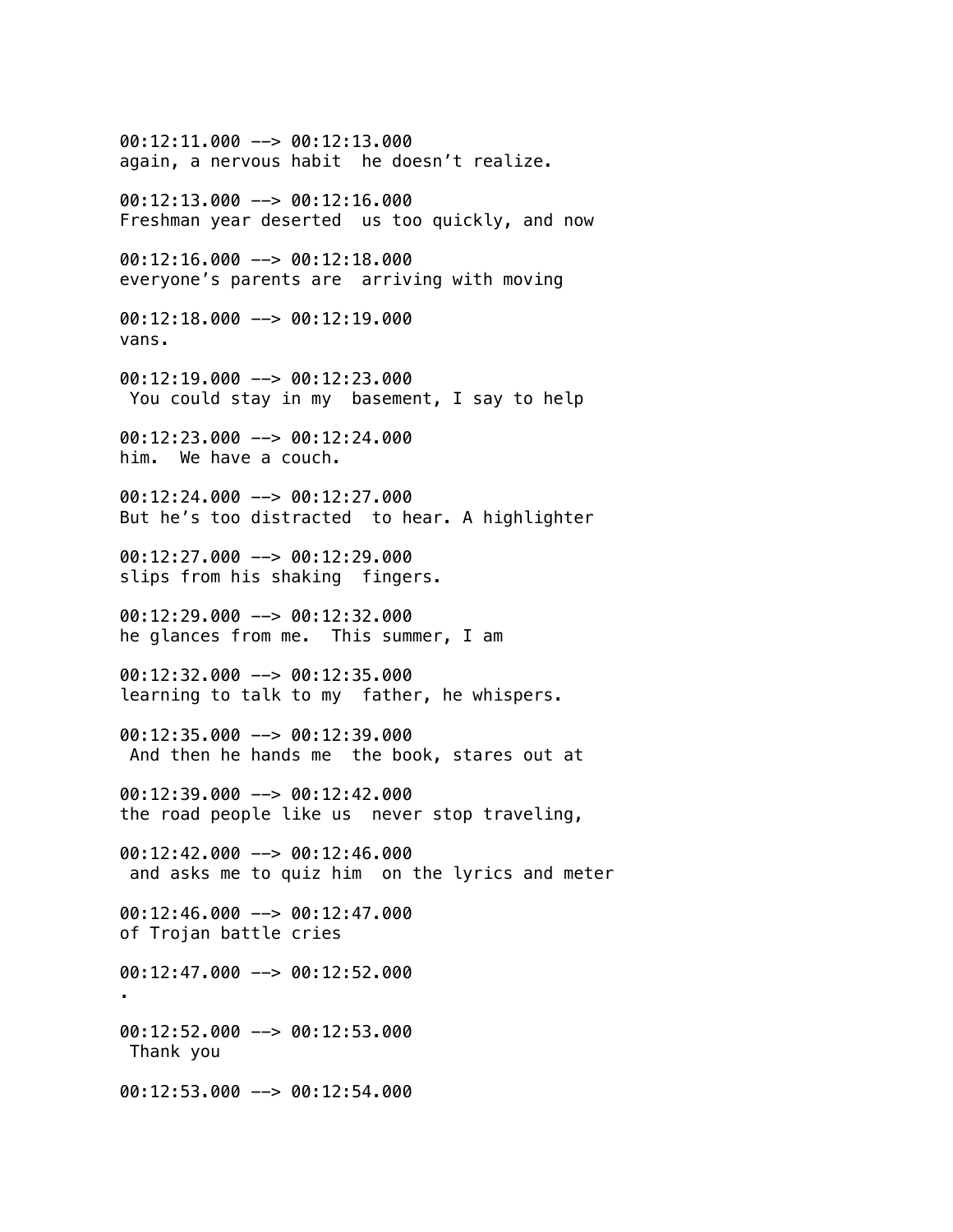$00:12:11.000$  -->  $00:12:13.000$ again, a nervous habit he doesn't realize. 00:12:13.000 --> 00:12:16.000 Freshman year deserted us too quickly, and now 00:12:16.000 --> 00:12:18.000 everyone's parents are arriving with moving 00:12:18.000 --> 00:12:19.000 vans. 00:12:19.000 --> 00:12:23.000 You could stay in my basement, I say to help 00:12:23.000 --> 00:12:24.000 him. We have a couch. 00:12:24.000 --> 00:12:27.000 But he's too distracted to hear. A highlighter 00:12:27.000 --> 00:12:29.000 slips from his shaking fingers. 00:12:29.000 --> 00:12:32.000 he glances from me. This summer, I am 00:12:32.000 --> 00:12:35.000 learning to talk to my father, he whispers. 00:12:35.000 --> 00:12:39.000 And then he hands me the book, stares out at 00:12:39.000 --> 00:12:42.000 the road people like us never stop traveling, 00:12:42.000 --> 00:12:46.000 and asks me to quiz him on the lyrics and meter 00:12:46.000 --> 00:12:47.000 of Trojan battle cries 00:12:47.000 --> 00:12:52.000 . 00:12:52.000 --> 00:12:53.000 Thank you 00:12:53.000 --> 00:12:54.000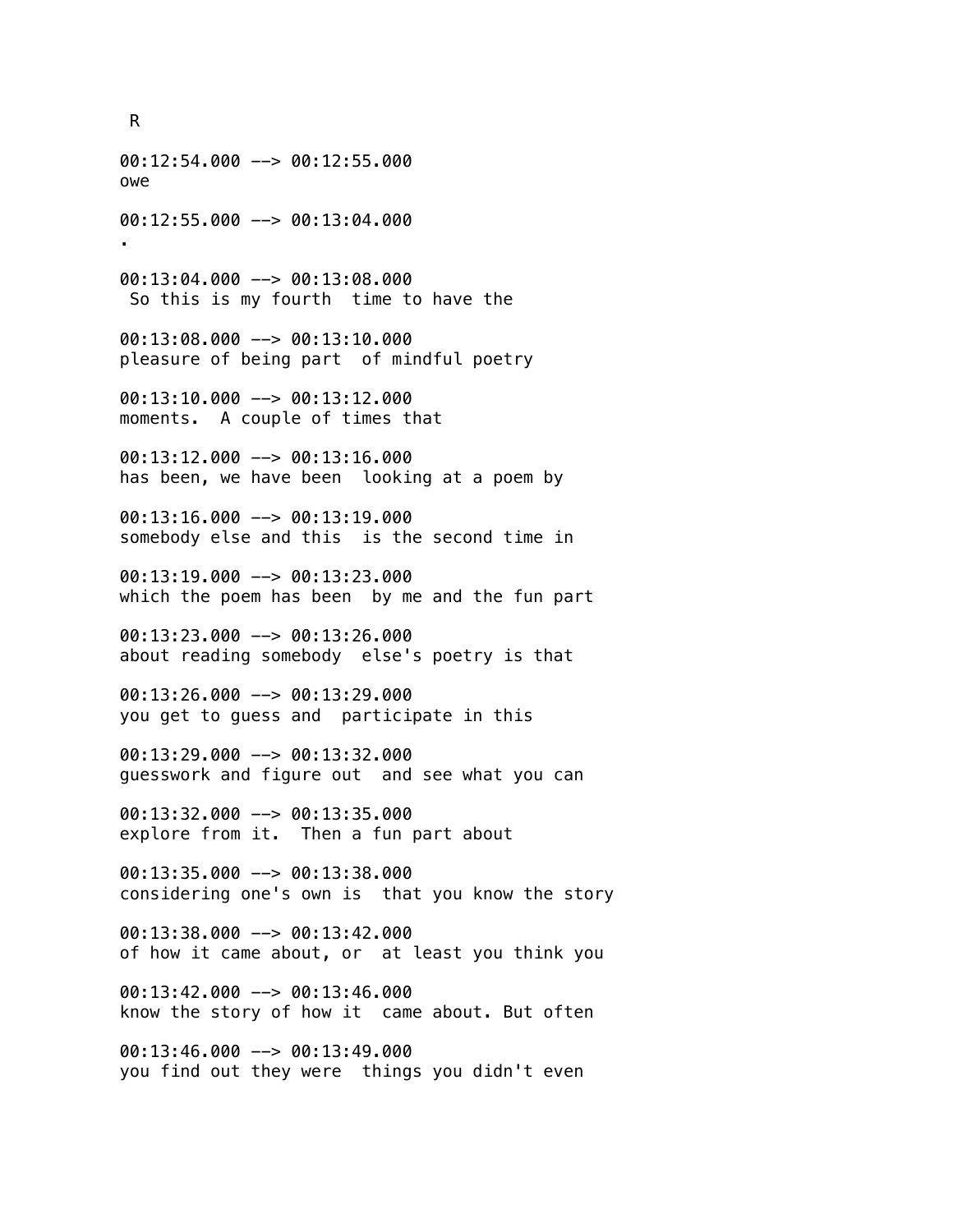00:12:54.000 --> 00:12:55.000 owe 00:12:55.000 --> 00:13:04.000 . 00:13:04.000 --> 00:13:08.000 So this is my fourth time to have the 00:13:08.000 --> 00:13:10.000 pleasure of being part of mindful poetry 00:13:10.000 --> 00:13:12.000 moments. A couple of times that 00:13:12.000 --> 00:13:16.000 has been, we have been looking at a poem by  $00:13:16.000$  -->  $00:13:19.000$ somebody else and this is the second time in 00:13:19.000 --> 00:13:23.000 which the poem has been by me and the fun part  $00:13:23.000$  -->  $00:13:26.000$ about reading somebody else's poetry is that 00:13:26.000 --> 00:13:29.000 you get to guess and participate in this 00:13:29.000 --> 00:13:32.000 guesswork and figure out and see what you can 00:13:32.000 --> 00:13:35.000 explore from it. Then a fun part about 00:13:35.000 --> 00:13:38.000 considering one's own is that you know the story 00:13:38.000 --> 00:13:42.000 of how it came about, or at least you think you 00:13:42.000 --> 00:13:46.000 know the story of how it came about. But often 00:13:46.000 --> 00:13:49.000 you find out they were things you didn't even

R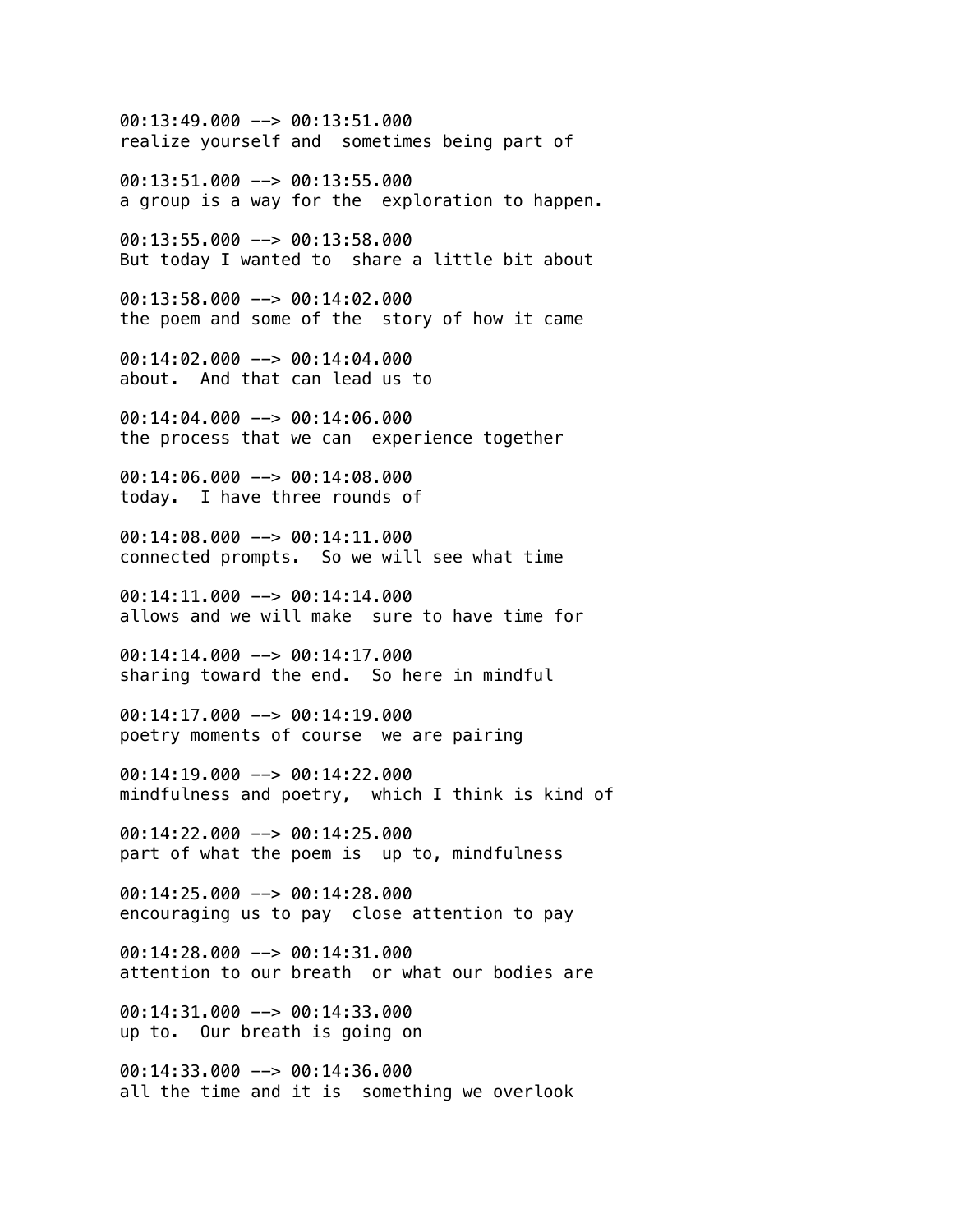00:13:49.000 --> 00:13:51.000 realize yourself and sometimes being part of

00:13:51.000 --> 00:13:55.000 a group is a way for the exploration to happen.

00:13:55.000 --> 00:13:58.000 But today I wanted to share a little bit about

00:13:58.000 --> 00:14:02.000 the poem and some of the story of how it came

00:14:02.000 --> 00:14:04.000 about. And that can lead us to

00:14:04.000 --> 00:14:06.000 the process that we can experience together

00:14:06.000 --> 00:14:08.000 today. I have three rounds of

00:14:08.000 --> 00:14:11.000 connected prompts. So we will see what time

00:14:11.000 --> 00:14:14.000 allows and we will make sure to have time for

 $00:14:14.000$  -->  $00:14:17.000$ sharing toward the end. So here in mindful

00:14:17.000 --> 00:14:19.000 poetry moments of course we are pairing

00:14:19.000 --> 00:14:22.000 mindfulness and poetry, which I think is kind of

 $00:14:22.000$  -->  $00:14:25.000$ part of what the poem is up to, mindfulness

00:14:25.000 --> 00:14:28.000 encouraging us to pay close attention to pay

00:14:28.000 --> 00:14:31.000 attention to our breath or what our bodies are

00:14:31.000 --> 00:14:33.000 up to. Our breath is going on

00:14:33.000 --> 00:14:36.000 all the time and it is something we overlook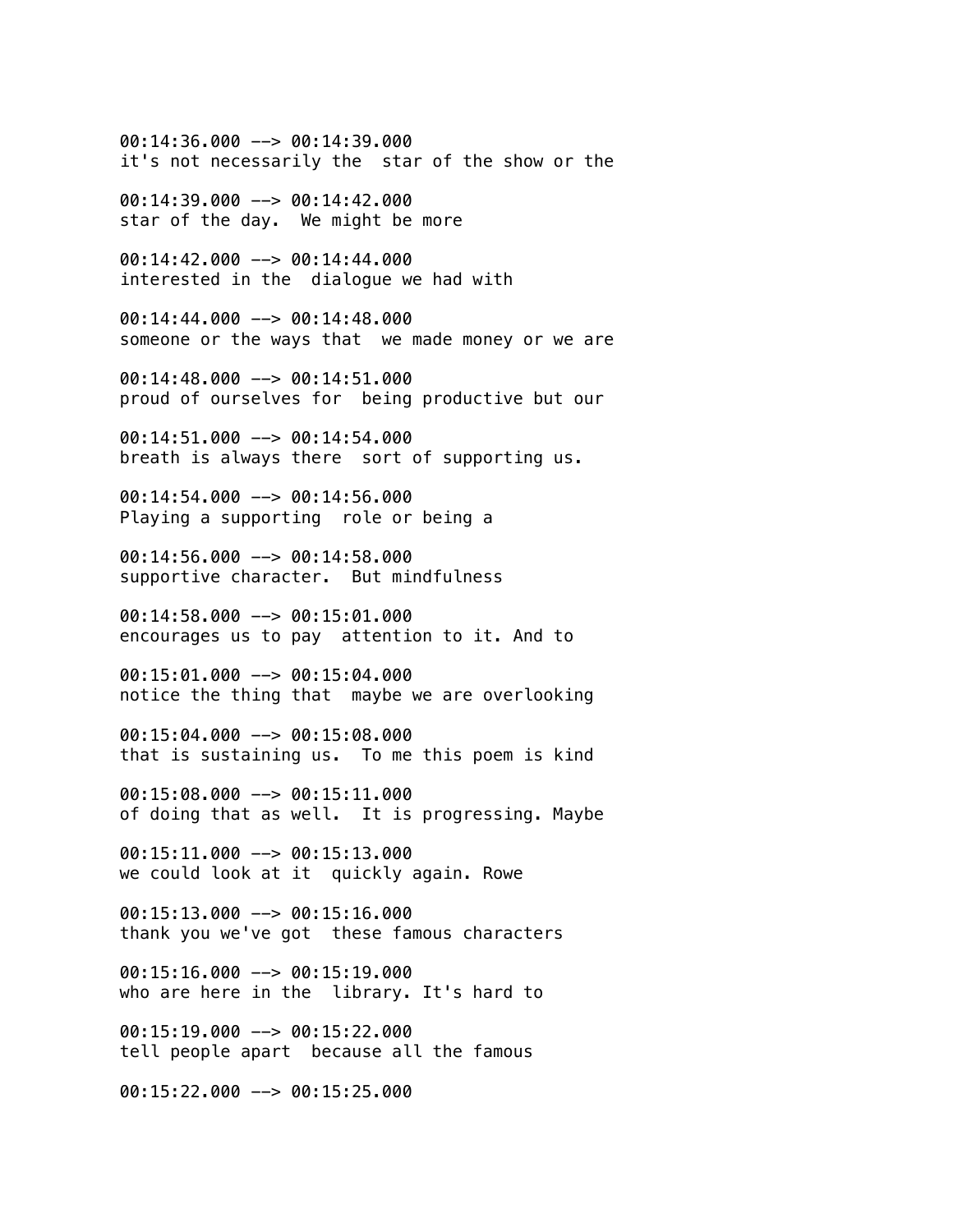$00:14:36.000$  -->  $00:14:39.000$ it's not necessarily the star of the show or the

00:14:39.000 --> 00:14:42.000 star of the day. We might be more

00:14:42.000 --> 00:14:44.000 interested in the dialogue we had with

00:14:44.000 --> 00:14:48.000 someone or the ways that we made money or we are

00:14:48.000 --> 00:14:51.000 proud of ourselves for being productive but our

00:14:51.000 --> 00:14:54.000 breath is always there sort of supporting us.

 $00:14:54.000$  -->  $00:14:56.000$ Playing a supporting role or being a

00:14:56.000 --> 00:14:58.000 supportive character. But mindfulness

00:14:58.000 --> 00:15:01.000 encourages us to pay attention to it. And to

00:15:01.000 --> 00:15:04.000 notice the thing that maybe we are overlooking

00:15:04.000 --> 00:15:08.000 that is sustaining us. To me this poem is kind

00:15:08.000 --> 00:15:11.000 of doing that as well. It is progressing. Maybe

00:15:11.000 --> 00:15:13.000 we could look at it quickly again. Rowe

00:15:13.000 --> 00:15:16.000 thank you we've got these famous characters

00:15:16.000 --> 00:15:19.000 who are here in the library. It's hard to

00:15:19.000 --> 00:15:22.000 tell people apart because all the famous

00:15:22.000 --> 00:15:25.000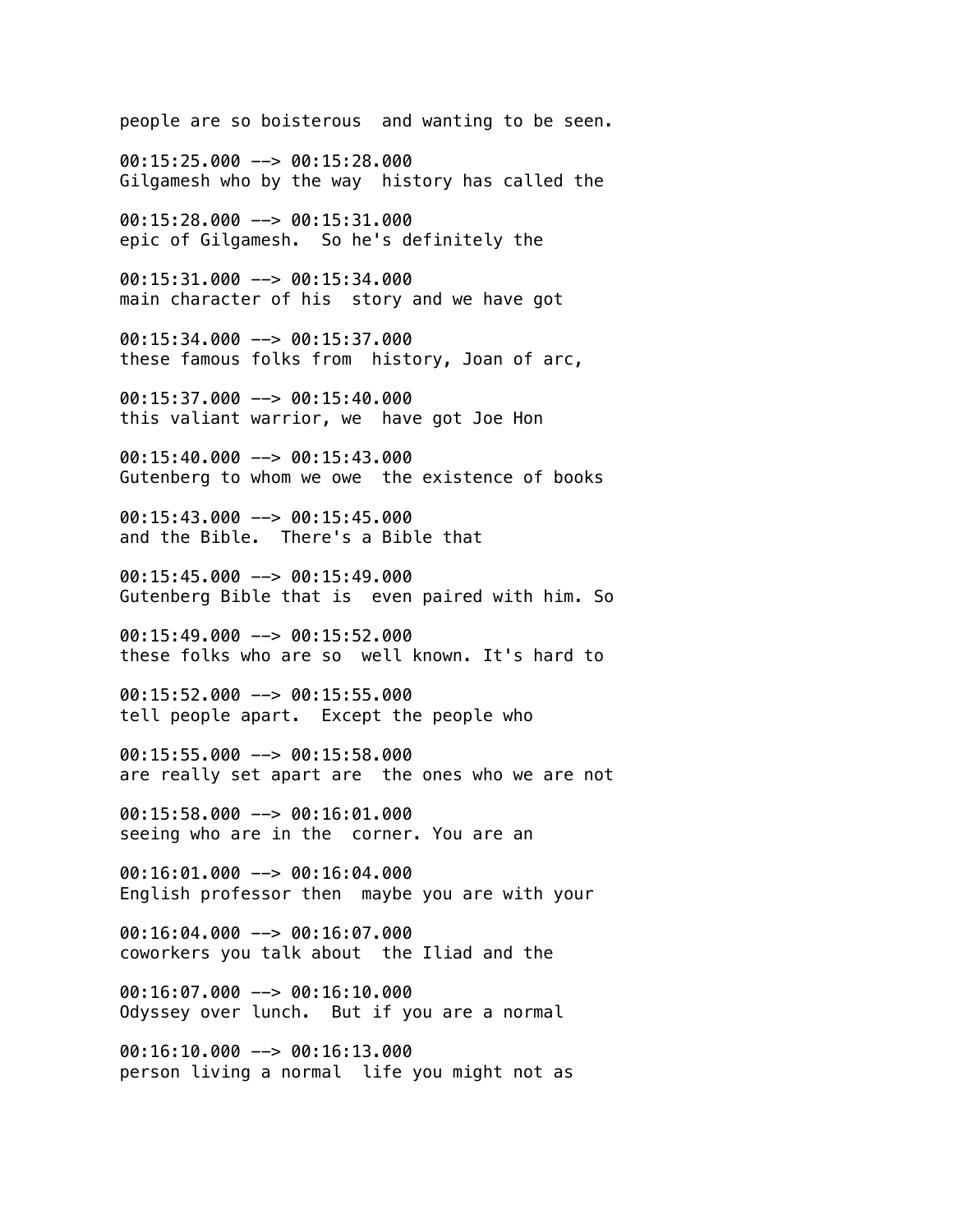people are so boisterous and wanting to be seen.

00:15:25.000 --> 00:15:28.000 Gilgamesh who by the way history has called the

00:15:28.000 --> 00:15:31.000 epic of Gilgamesh. So he's definitely the

00:15:31.000 --> 00:15:34.000 main character of his story and we have got

00:15:34.000 --> 00:15:37.000 these famous folks from history, Joan of arc,

00:15:37.000 --> 00:15:40.000 this valiant warrior, we have got Joe Hon

00:15:40.000 --> 00:15:43.000 Gutenberg to whom we owe the existence of books

00:15:43.000 --> 00:15:45.000 and the Bible. There's a Bible that

00:15:45.000 --> 00:15:49.000 Gutenberg Bible that is even paired with him. So

00:15:49.000 --> 00:15:52.000 these folks who are so well known. It's hard to

00:15:52.000 --> 00:15:55.000 tell people apart. Except the people who

00:15:55.000 --> 00:15:58.000 are really set apart are the ones who we are not

00:15:58.000 --> 00:16:01.000 seeing who are in the corner. You are an

00:16:01.000 --> 00:16:04.000 English professor then maybe you are with your

00:16:04.000 --> 00:16:07.000 coworkers you talk about the Iliad and the

00:16:07.000 --> 00:16:10.000 Odyssey over lunch. But if you are a normal

00:16:10.000 --> 00:16:13.000 person living a normal life you might not as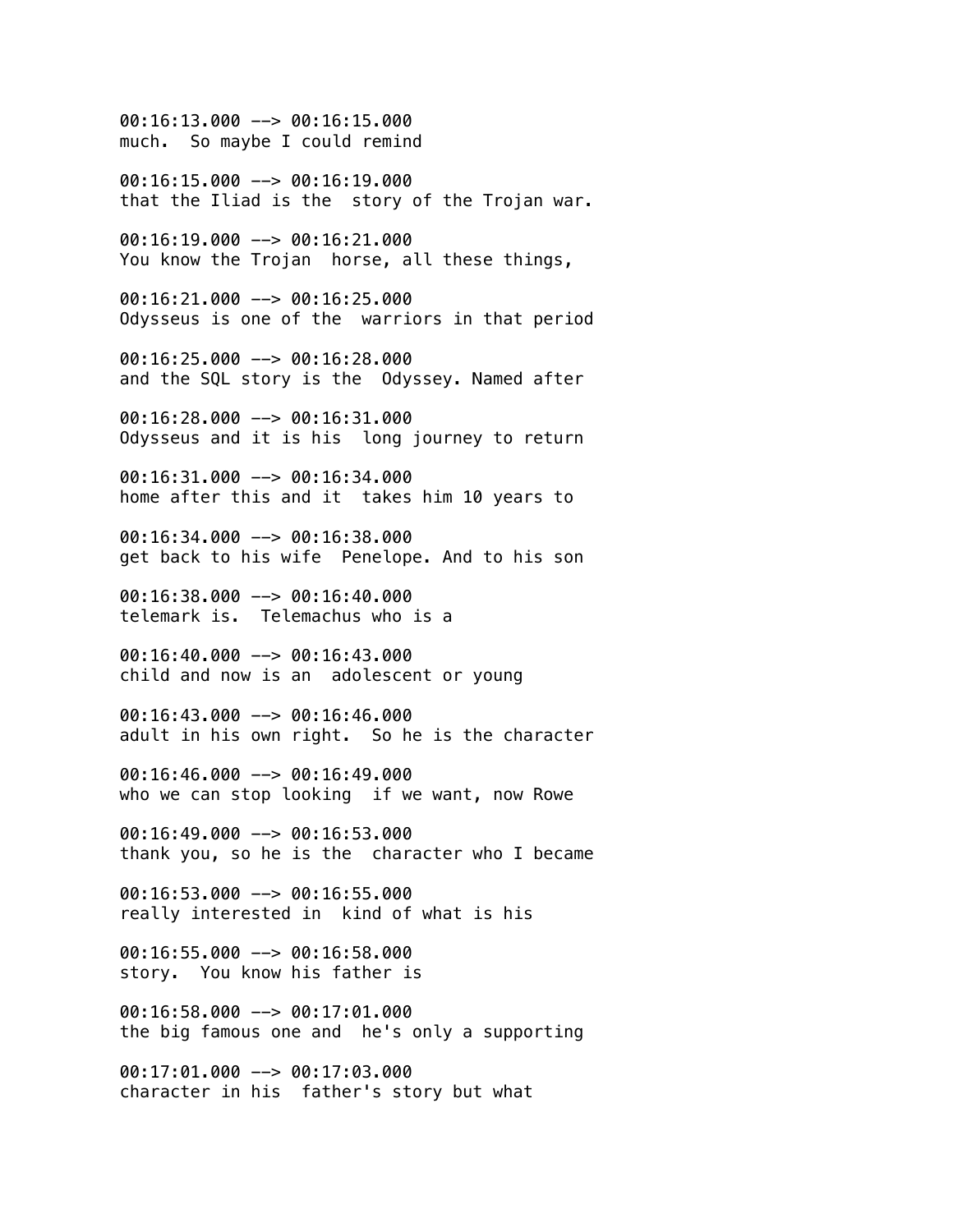00:16:13.000 --> 00:16:15.000 much. So maybe I could remind

00:16:15.000 --> 00:16:19.000 that the Iliad is the story of the Trojan war.

00:16:19.000 --> 00:16:21.000 You know the Trojan horse, all these things,

00:16:21.000 --> 00:16:25.000 Odysseus is one of the warriors in that period

00:16:25.000 --> 00:16:28.000 and the SQL story is the Odyssey. Named after

00:16:28.000 --> 00:16:31.000 Odysseus and it is his long journey to return

00:16:31.000 --> 00:16:34.000 home after this and it takes him 10 years to

00:16:34.000 --> 00:16:38.000 get back to his wife Penelope. And to his son

00:16:38.000 --> 00:16:40.000 telemark is. Telemachus who is a

00:16:40.000 --> 00:16:43.000 child and now is an adolescent or young

00:16:43.000 --> 00:16:46.000 adult in his own right. So he is the character

00:16:46.000 --> 00:16:49.000 who we can stop looking if we want, now Rowe

00:16:49.000 --> 00:16:53.000 thank you, so he is the character who I became

00:16:53.000 --> 00:16:55.000 really interested in kind of what is his

 $00:16:55.000$  -->  $00:16:58.000$ story. You know his father is

00:16:58.000 --> 00:17:01.000 the big famous one and he's only a supporting

00:17:01.000 --> 00:17:03.000 character in his father's story but what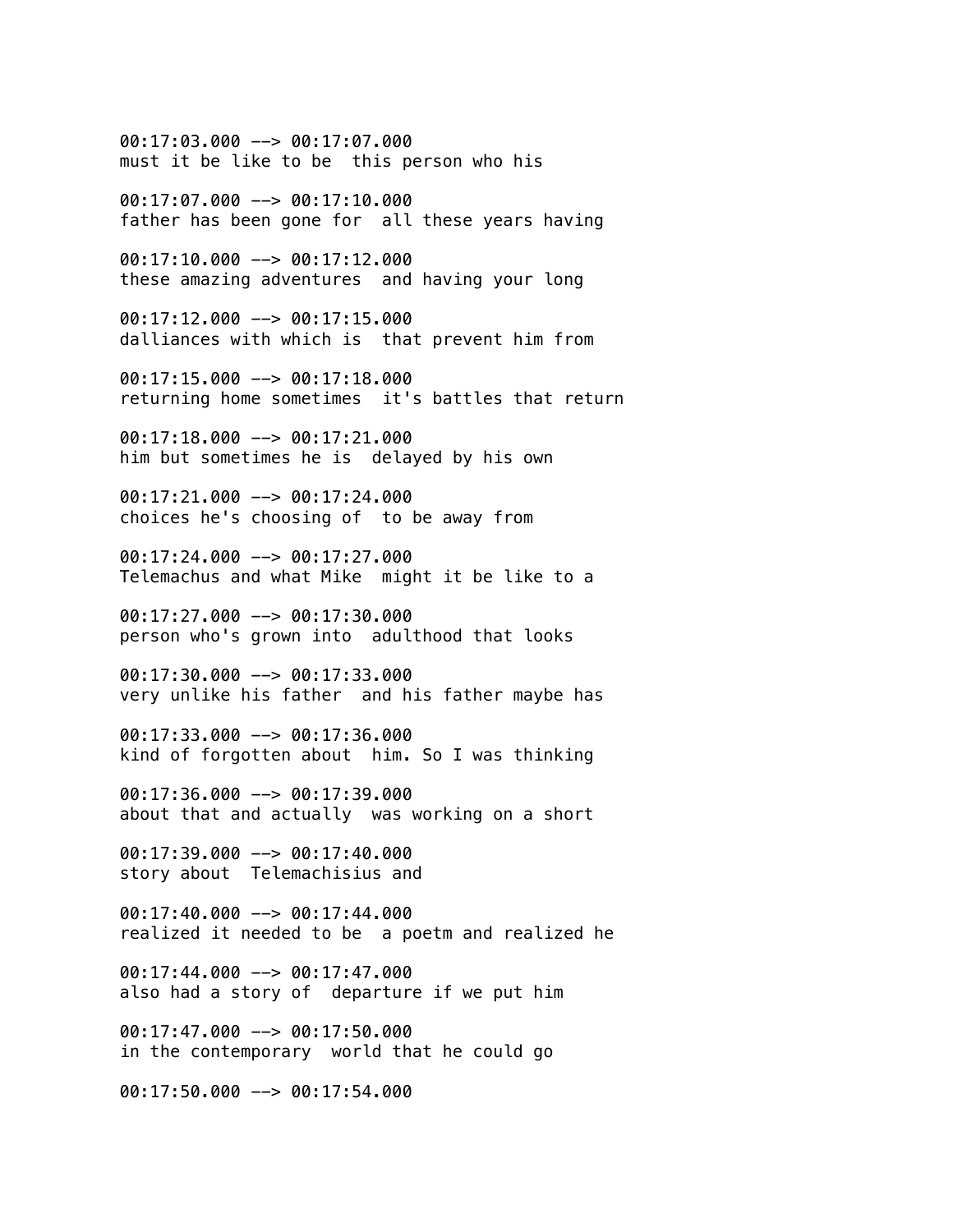00:17:03.000 --> 00:17:07.000 must it be like to be this person who his

00:17:07.000 --> 00:17:10.000 father has been gone for all these years having

00:17:10.000 --> 00:17:12.000 these amazing adventures and having your long

00:17:12.000 --> 00:17:15.000 dalliances with which is that prevent him from

00:17:15.000 --> 00:17:18.000 returning home sometimes it's battles that return

00:17:18.000 --> 00:17:21.000 him but sometimes he is delayed by his own

00:17:21.000 --> 00:17:24.000 choices he's choosing of to be away from

00:17:24.000 --> 00:17:27.000 Telemachus and what Mike might it be like to a

00:17:27.000 --> 00:17:30.000 person who's grown into adulthood that looks

00:17:30.000 --> 00:17:33.000 very unlike his father and his father maybe has

00:17:33.000 --> 00:17:36.000 kind of forgotten about him. So I was thinking

00:17:36.000 --> 00:17:39.000 about that and actually was working on a short

00:17:39.000 --> 00:17:40.000 story about Telemachisius and

00:17:40.000 --> 00:17:44.000 realized it needed to be a poetm and realized he

00:17:44.000 --> 00:17:47.000 also had a story of departure if we put him

00:17:47.000 --> 00:17:50.000 in the contemporary world that he could go

00:17:50.000 --> 00:17:54.000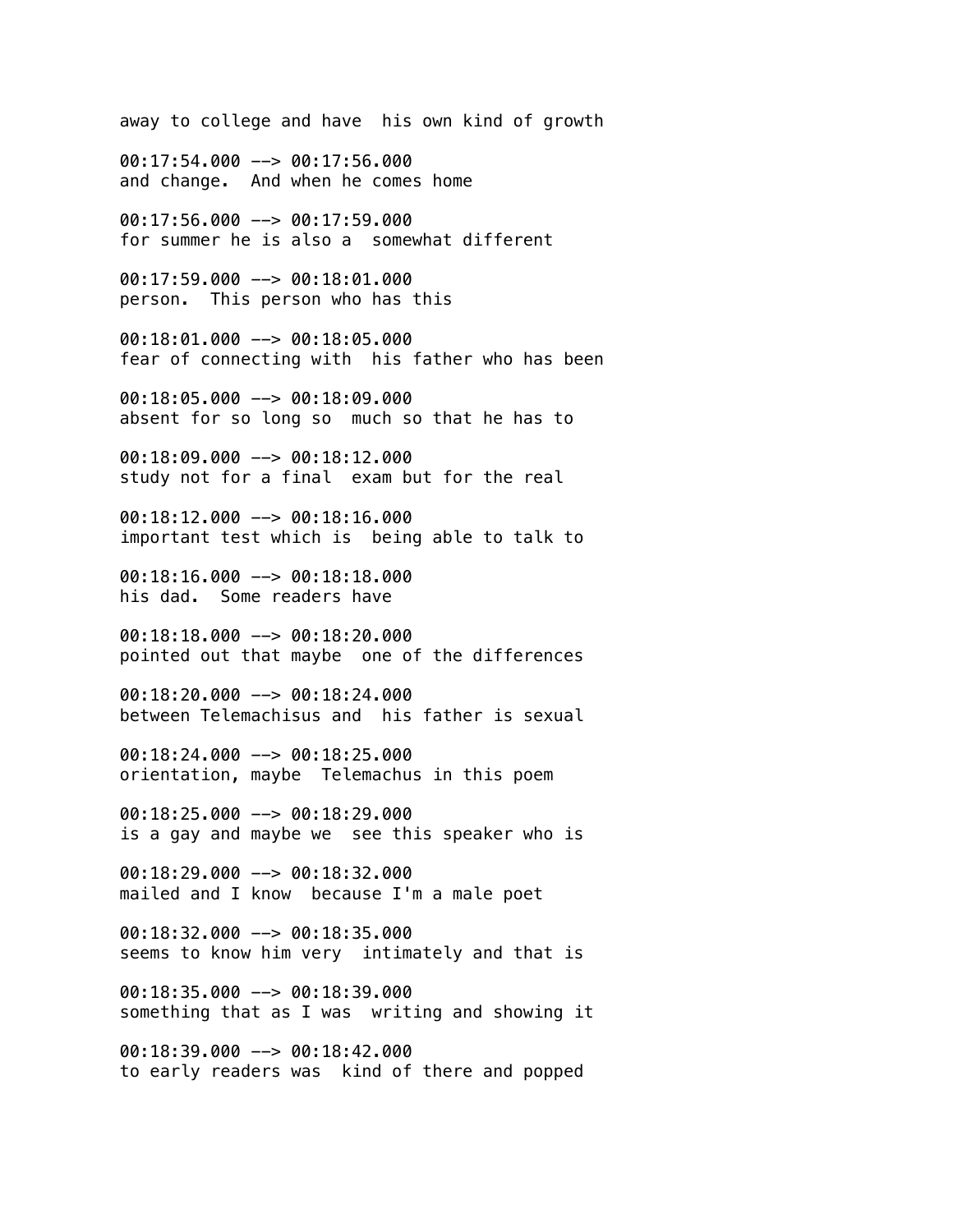away to college and have his own kind of growth

00:17:54.000 --> 00:17:56.000 and change. And when he comes home

00:17:56.000 --> 00:17:59.000 for summer he is also a somewhat different

00:17:59.000 --> 00:18:01.000 person. This person who has this

00:18:01.000 --> 00:18:05.000 fear of connecting with his father who has been

00:18:05.000 --> 00:18:09.000 absent for so long so much so that he has to

00:18:09.000 --> 00:18:12.000 study not for a final exam but for the real

 $00:18:12.000$  -->  $00:18:16.000$ important test which is being able to talk to

 $00:18:16.000$  -->  $00:18:18.000$ his dad. Some readers have

00:18:18.000 --> 00:18:20.000 pointed out that maybe one of the differences

00:18:20.000 --> 00:18:24.000 between Telemachisus and his father is sexual

00:18:24.000 --> 00:18:25.000 orientation, maybe Telemachus in this poem

00:18:25.000 --> 00:18:29.000 is a gay and maybe we see this speaker who is

00:18:29.000 --> 00:18:32.000 mailed and I know because I'm a male poet

00:18:32.000 --> 00:18:35.000 seems to know him very intimately and that is

00:18:35.000 --> 00:18:39.000 something that as I was writing and showing it

00:18:39.000 --> 00:18:42.000 to early readers was kind of there and popped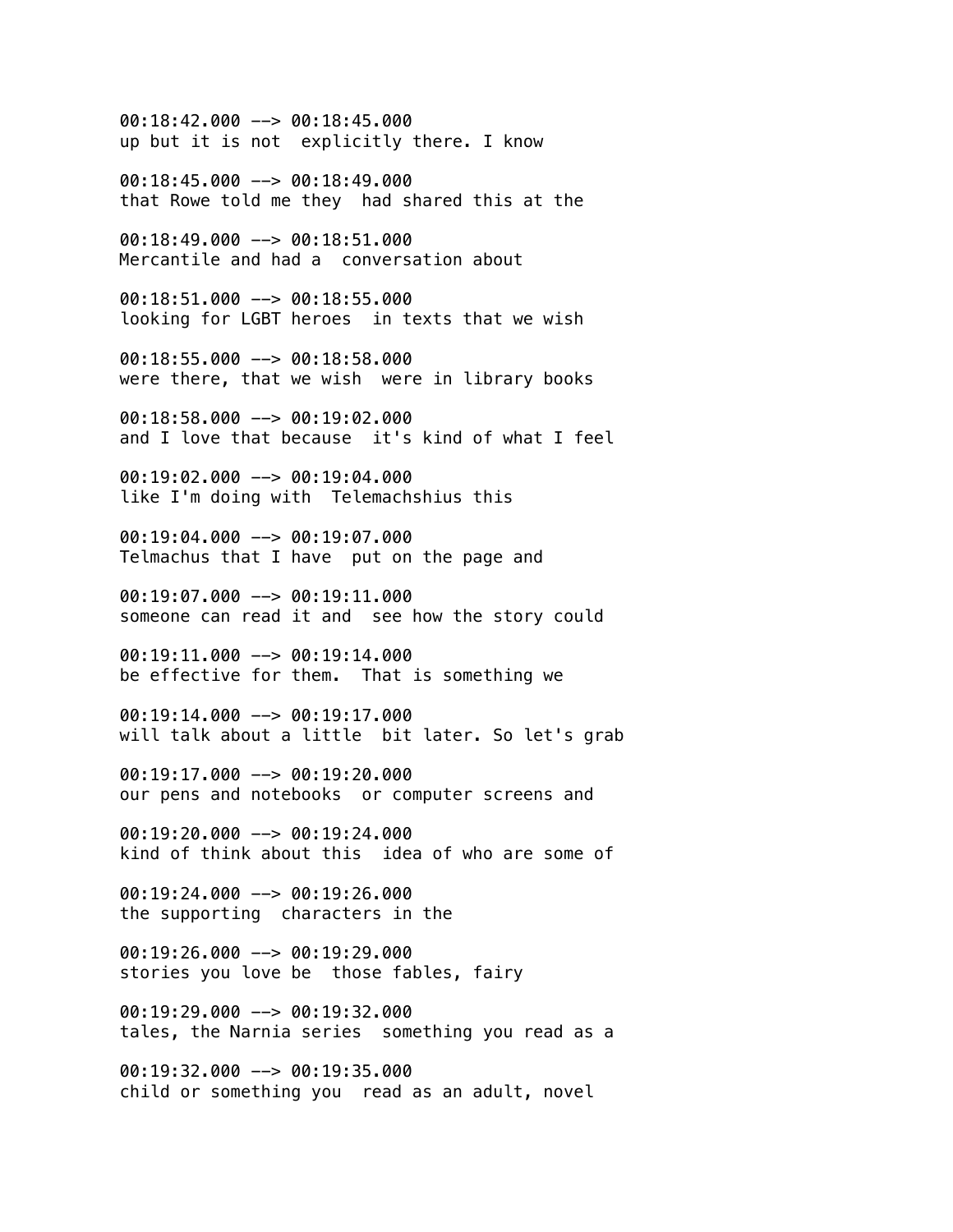00:18:42.000 --> 00:18:45.000 up but it is not explicitly there. I know

00:18:45.000 --> 00:18:49.000 that Rowe told me they had shared this at the

00:18:49.000 --> 00:18:51.000 Mercantile and had a conversation about

00:18:51.000 --> 00:18:55.000 looking for LGBT heroes in texts that we wish

00:18:55.000 --> 00:18:58.000 were there, that we wish were in library books

00:18:58.000 --> 00:19:02.000 and I love that because it's kind of what I feel

00:19:02.000 --> 00:19:04.000 like I'm doing with Telemachshius this

00:19:04.000 --> 00:19:07.000 Telmachus that I have put on the page and

00:19:07.000 --> 00:19:11.000 someone can read it and see how the story could

 $00:19:11.000$  -->  $00:19:14.000$ be effective for them. That is something we

00:19:14.000 --> 00:19:17.000 will talk about a little bit later. So let's grab

00:19:17.000 --> 00:19:20.000 our pens and notebooks or computer screens and

00:19:20.000 --> 00:19:24.000 kind of think about this idea of who are some of

00:19:24.000 --> 00:19:26.000 the supporting characters in the

00:19:26.000 --> 00:19:29.000 stories you love be those fables, fairy

00:19:29.000 --> 00:19:32.000 tales, the Narnia series something you read as a

00:19:32.000 --> 00:19:35.000 child or something you read as an adult, novel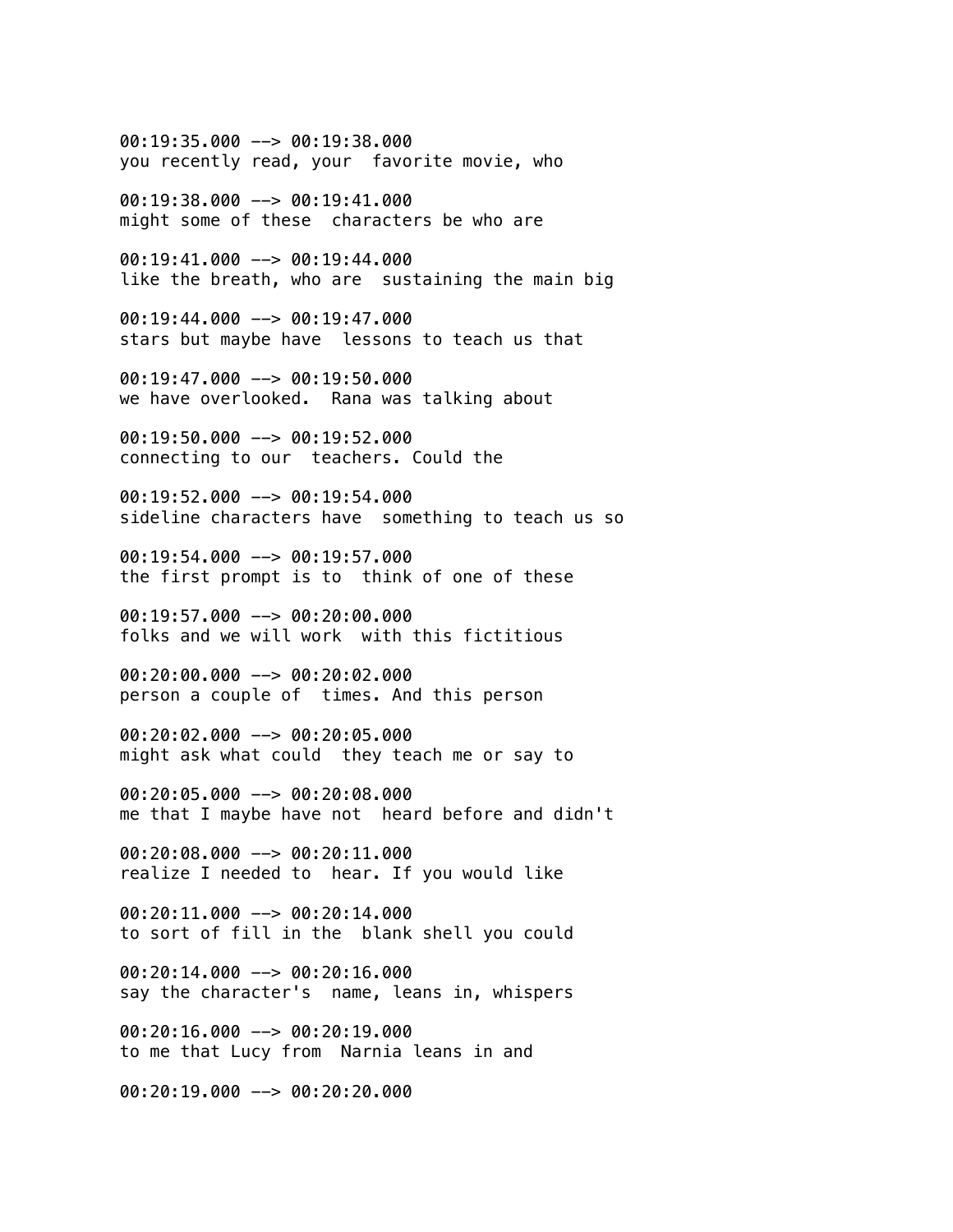00:19:35.000 --> 00:19:38.000 you recently read, your favorite movie, who

00:19:38.000 --> 00:19:41.000 might some of these characters be who are

00:19:41.000 --> 00:19:44.000 like the breath, who are sustaining the main big

00:19:44.000 --> 00:19:47.000 stars but maybe have lessons to teach us that

00:19:47.000 --> 00:19:50.000 we have overlooked. Rana was talking about

00:19:50.000 --> 00:19:52.000 connecting to our teachers. Could the

 $00:19:52.000$  -->  $00:19:54.000$ sideline characters have something to teach us so

00:19:54.000 --> 00:19:57.000 the first prompt is to think of one of these

00:19:57.000 --> 00:20:00.000 folks and we will work with this fictitious

00:20:00.000 --> 00:20:02.000 person a couple of times. And this person

00:20:02.000 --> 00:20:05.000 might ask what could they teach me or say to

00:20:05.000 --> 00:20:08.000 me that I maybe have not heard before and didn't

00:20:08.000 --> 00:20:11.000 realize I needed to hear. If you would like

00:20:11.000 --> 00:20:14.000 to sort of fill in the blank shell you could

00:20:14.000 --> 00:20:16.000 say the character's name, leans in, whispers

00:20:16.000 --> 00:20:19.000 to me that Lucy from Narnia leans in and

00:20:19.000 --> 00:20:20.000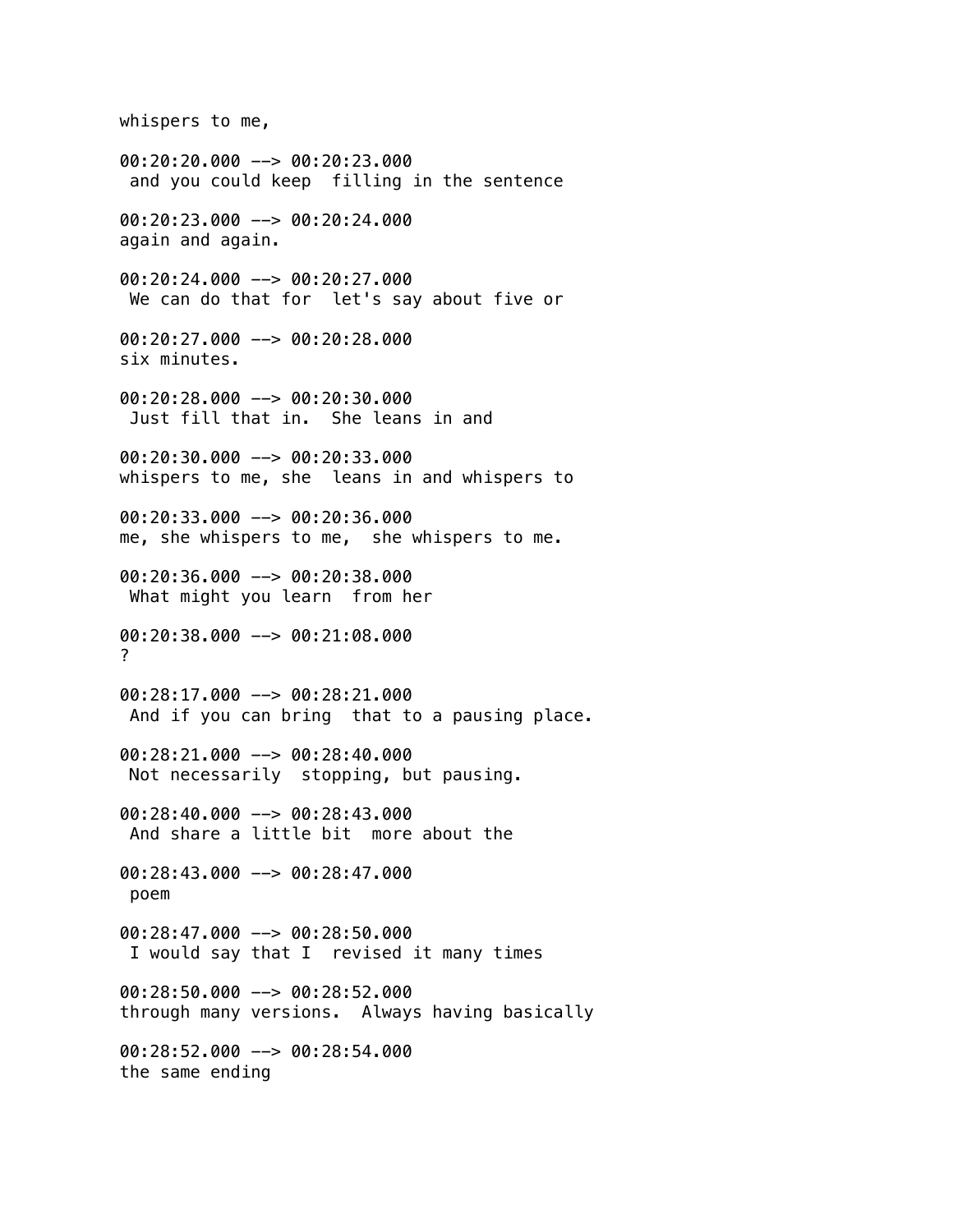whispers to me, 00:20:20.000 --> 00:20:23.000 and you could keep filling in the sentence 00:20:23.000 --> 00:20:24.000 again and again. 00:20:24.000 --> 00:20:27.000 We can do that for let's say about five or 00:20:27.000 --> 00:20:28.000 six minutes. 00:20:28.000 --> 00:20:30.000 Just fill that in. She leans in and 00:20:30.000 --> 00:20:33.000 whispers to me, she leans in and whispers to 00:20:33.000 --> 00:20:36.000 me, she whispers to me, she whispers to me. 00:20:36.000 --> 00:20:38.000 What might you learn from her 00:20:38.000 --> 00:21:08.000 ? 00:28:17.000 --> 00:28:21.000 And if you can bring that to a pausing place. 00:28:21.000 --> 00:28:40.000 Not necessarily stopping, but pausing. 00:28:40.000 --> 00:28:43.000 And share a little bit more about the 00:28:43.000 --> 00:28:47.000 poem 00:28:47.000 --> 00:28:50.000 I would say that I revised it many times 00:28:50.000 --> 00:28:52.000 through many versions. Always having basically 00:28:52.000 --> 00:28:54.000 the same ending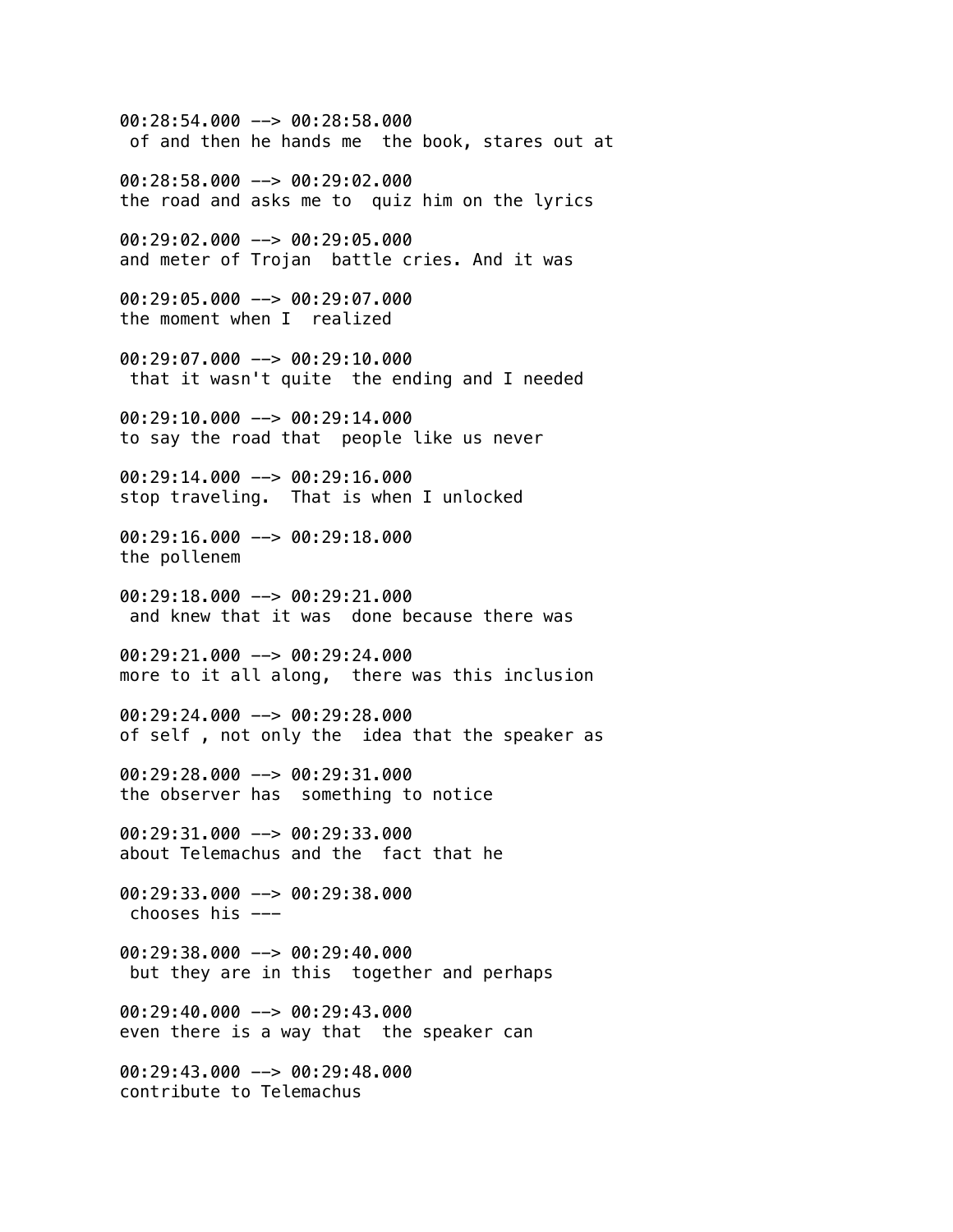00:28:54.000 --> 00:28:58.000 of and then he hands me the book, stares out at 00:28:58.000 --> 00:29:02.000 the road and asks me to quiz him on the lyrics 00:29:02.000 --> 00:29:05.000 and meter of Trojan battle cries. And it was 00:29:05.000 --> 00:29:07.000 the moment when I realized 00:29:07.000 --> 00:29:10.000 that it wasn't quite the ending and I needed 00:29:10.000 --> 00:29:14.000 to say the road that people like us never 00:29:14.000 --> 00:29:16.000 stop traveling. That is when I unlocked 00:29:16.000 --> 00:29:18.000 the pollenem  $0.29:18.000 -> 0.029:21.000$  and knew that it was done because there was 00:29:21.000 --> 00:29:24.000 more to it all along, there was this inclusion 00:29:24.000 --> 00:29:28.000 of self , not only the idea that the speaker as 00:29:28.000 --> 00:29:31.000 the observer has something to notice 00:29:31.000 --> 00:29:33.000 about Telemachus and the fact that he 00:29:33.000 --> 00:29:38.000 chooses his  $---$ 00:29:38.000 --> 00:29:40.000 but they are in this together and perhaps 00:29:40.000 --> 00:29:43.000 even there is a way that the speaker can 00:29:43.000 --> 00:29:48.000 contribute to Telemachus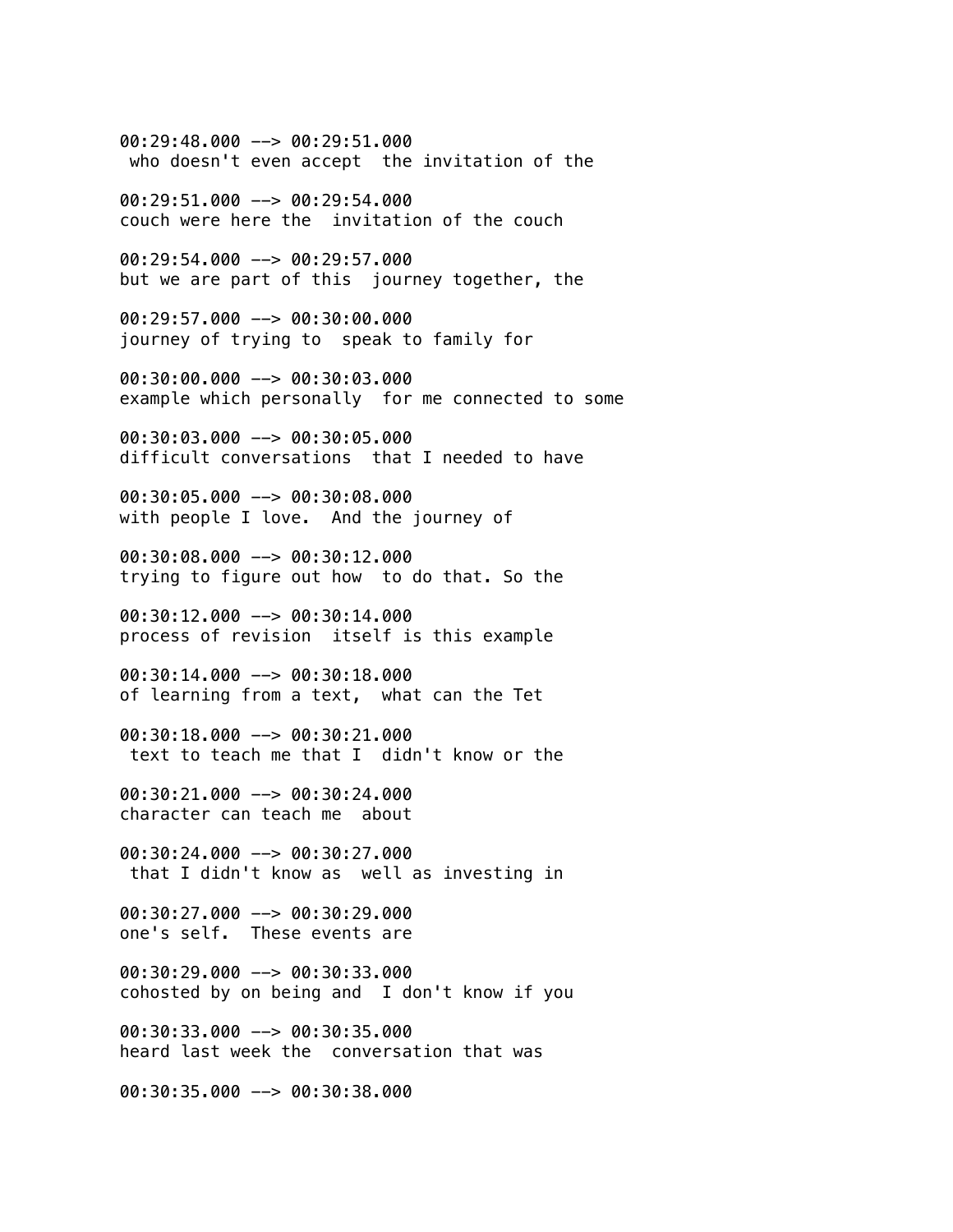$00:29:48.000$  -->  $00:29:51.000$ who doesn't even accept the invitation of the

00:29:51.000 --> 00:29:54.000 couch were here the invitation of the couch

00:29:54.000 --> 00:29:57.000 but we are part of this journey together, the

00:29:57.000 --> 00:30:00.000 journey of trying to speak to family for

00:30:00.000 --> 00:30:03.000 example which personally for me connected to some

00:30:03.000 --> 00:30:05.000 difficult conversations that I needed to have

00:30:05.000 --> 00:30:08.000 with people I love. And the journey of

00:30:08.000 --> 00:30:12.000 trying to figure out how to do that. So the

00:30:12.000 --> 00:30:14.000 process of revision itself is this example

00:30:14.000 --> 00:30:18.000 of learning from a text, what can the Tet

00:30:18.000 --> 00:30:21.000 text to teach me that I didn't know or the

00:30:21.000 --> 00:30:24.000 character can teach me about

00:30:24.000 --> 00:30:27.000 that I didn't know as well as investing in

00:30:27.000 --> 00:30:29.000 one's self. These events are

00:30:29.000 --> 00:30:33.000 cohosted by on being and I don't know if you

00:30:33.000 --> 00:30:35.000 heard last week the conversation that was

00:30:35.000 --> 00:30:38.000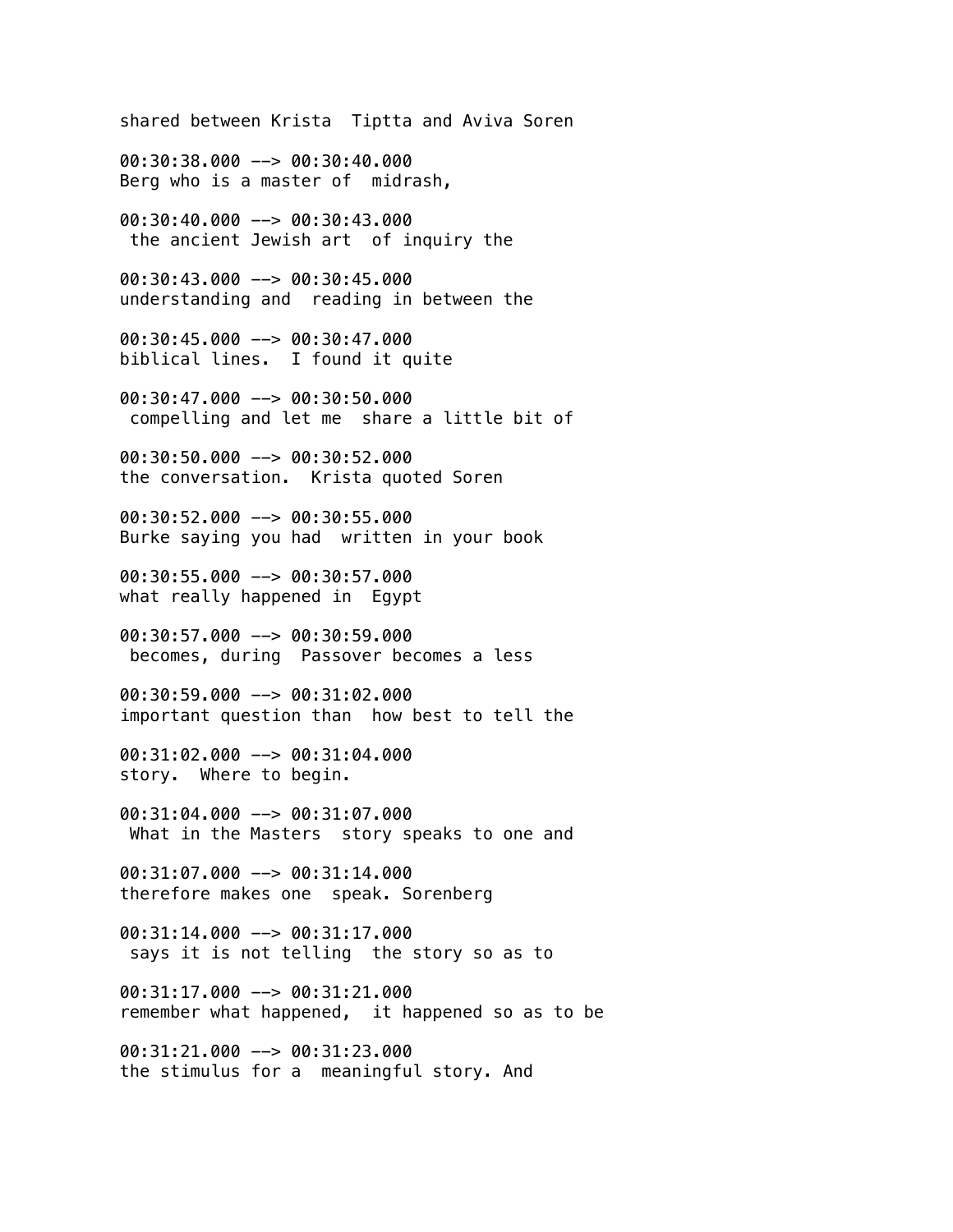shared between Krista Tiptta and Aviva Soren 00:30:38.000 --> 00:30:40.000 Berg who is a master of midrash, 00:30:40.000 --> 00:30:43.000 the ancient Jewish art of inquiry the 00:30:43.000 --> 00:30:45.000 understanding and reading in between the 00:30:45.000 --> 00:30:47.000 biblical lines. I found it quite 00:30:47.000 --> 00:30:50.000 compelling and let me share a little bit of 00:30:50.000 --> 00:30:52.000 the conversation. Krista quoted Soren 00:30:52.000 --> 00:30:55.000 Burke saying you had written in your book 00:30:55.000 --> 00:30:57.000 what really happened in Egypt 00:30:57.000 --> 00:30:59.000 becomes, during Passover becomes a less 00:30:59.000 --> 00:31:02.000 important question than how best to tell the 00:31:02.000 --> 00:31:04.000 story. Where to begin. 00:31:04.000 --> 00:31:07.000 What in the Masters story speaks to one and 00:31:07.000 --> 00:31:14.000 therefore makes one speak. Sorenberg 00:31:14.000 --> 00:31:17.000 says it is not telling the story so as to 00:31:17.000 --> 00:31:21.000 remember what happened, it happened so as to be 00:31:21.000 --> 00:31:23.000 the stimulus for a meaningful story. And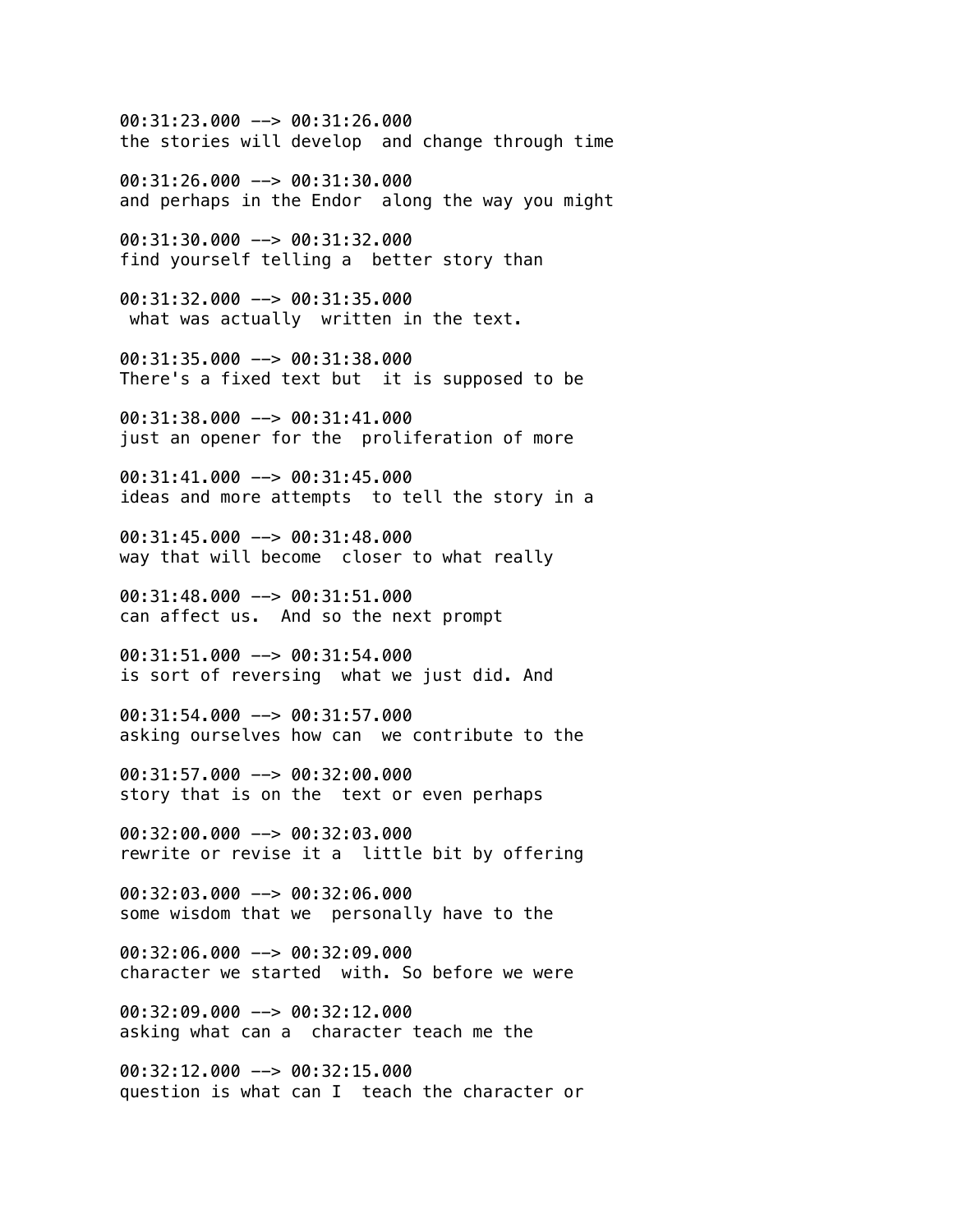00:31:23.000 --> 00:31:26.000 the stories will develop and change through time

00:31:26.000 --> 00:31:30.000 and perhaps in the Endor along the way you might

00:31:30.000 --> 00:31:32.000 find yourself telling a better story than

00:31:32.000 --> 00:31:35.000 what was actually written in the text.

00:31:35.000 --> 00:31:38.000 There's a fixed text but it is supposed to be

00:31:38.000 --> 00:31:41.000 just an opener for the proliferation of more

00:31:41.000 --> 00:31:45.000 ideas and more attempts to tell the story in a

00:31:45.000 --> 00:31:48.000 way that will become closer to what really

00:31:48.000 --> 00:31:51.000 can affect us. And so the next prompt

00:31:51.000 --> 00:31:54.000 is sort of reversing what we just did. And

00:31:54.000 --> 00:31:57.000 asking ourselves how can we contribute to the

00:31:57.000 --> 00:32:00.000 story that is on the text or even perhaps

00:32:00.000 --> 00:32:03.000 rewrite or revise it a little bit by offering

00:32:03.000 --> 00:32:06.000 some wisdom that we personally have to the

00:32:06.000 --> 00:32:09.000 character we started with. So before we were

00:32:09.000 --> 00:32:12.000 asking what can a character teach me the

00:32:12.000 --> 00:32:15.000 question is what can I teach the character or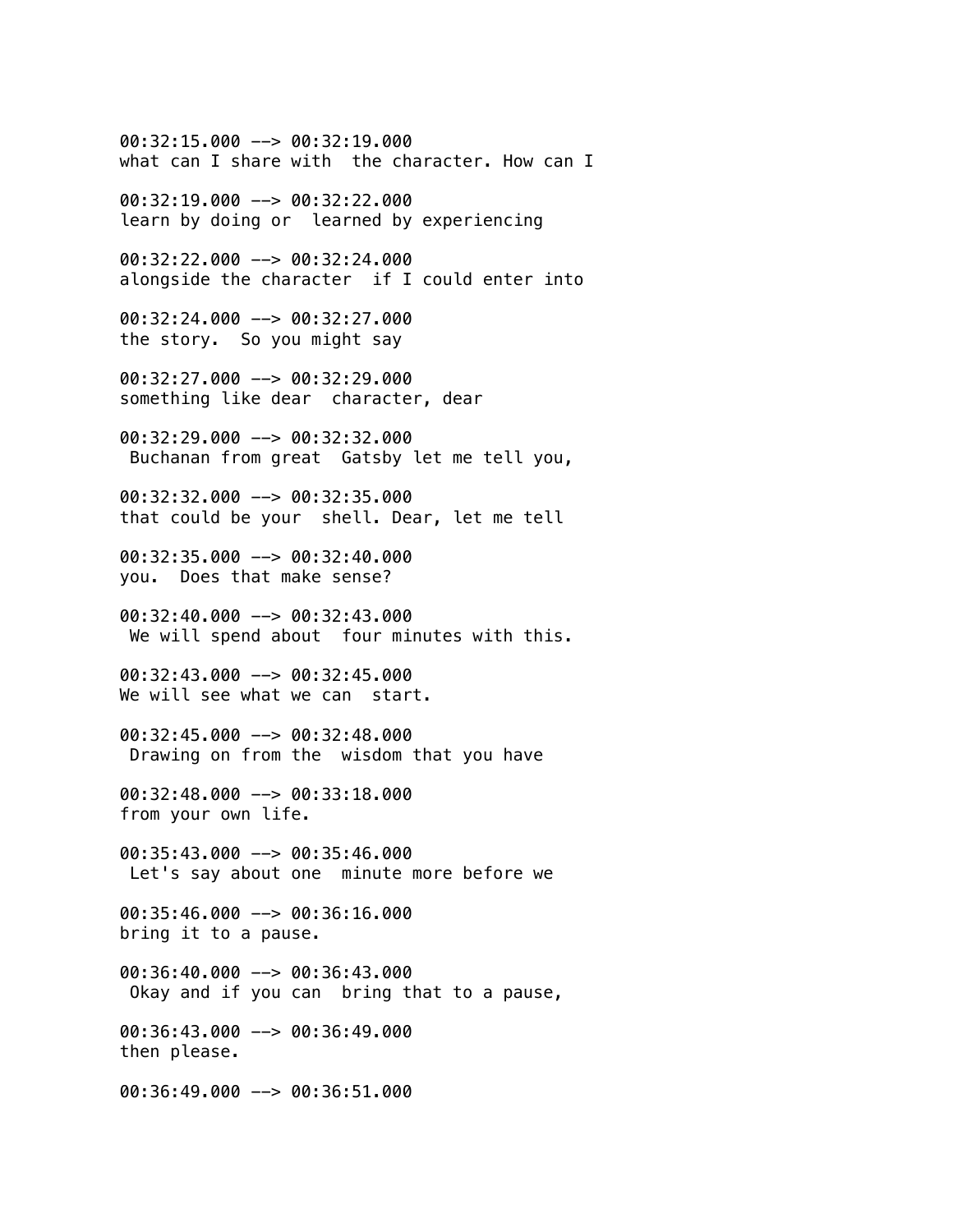00:32:15.000 --> 00:32:19.000 what can I share with the character. How can I

00:32:19.000 --> 00:32:22.000 learn by doing or learned by experiencing

 $00:32:22.000$  -->  $00:32:24.000$ alongside the character if I could enter into

00:32:24.000 --> 00:32:27.000 the story. So you might say

00:32:27.000 --> 00:32:29.000 something like dear character, dear

00:32:29.000 --> 00:32:32.000 Buchanan from great Gatsby let me tell you,

00:32:32.000 --> 00:32:35.000 that could be your shell. Dear, let me tell

00:32:35.000 --> 00:32:40.000 you. Does that make sense?

00:32:40.000 --> 00:32:43.000 We will spend about four minutes with this.

00:32:43.000 --> 00:32:45.000 We will see what we can start.

00:32:45.000 --> 00:32:48.000 Drawing on from the wisdom that you have

00:32:48.000 --> 00:33:18.000 from your own life.

00:35:43.000 --> 00:35:46.000 Let's say about one minute more before we

00:35:46.000 --> 00:36:16.000 bring it to a pause.

00:36:40.000 --> 00:36:43.000 Okay and if you can bring that to a pause,

00:36:43.000 --> 00:36:49.000 then please.

00:36:49.000 --> 00:36:51.000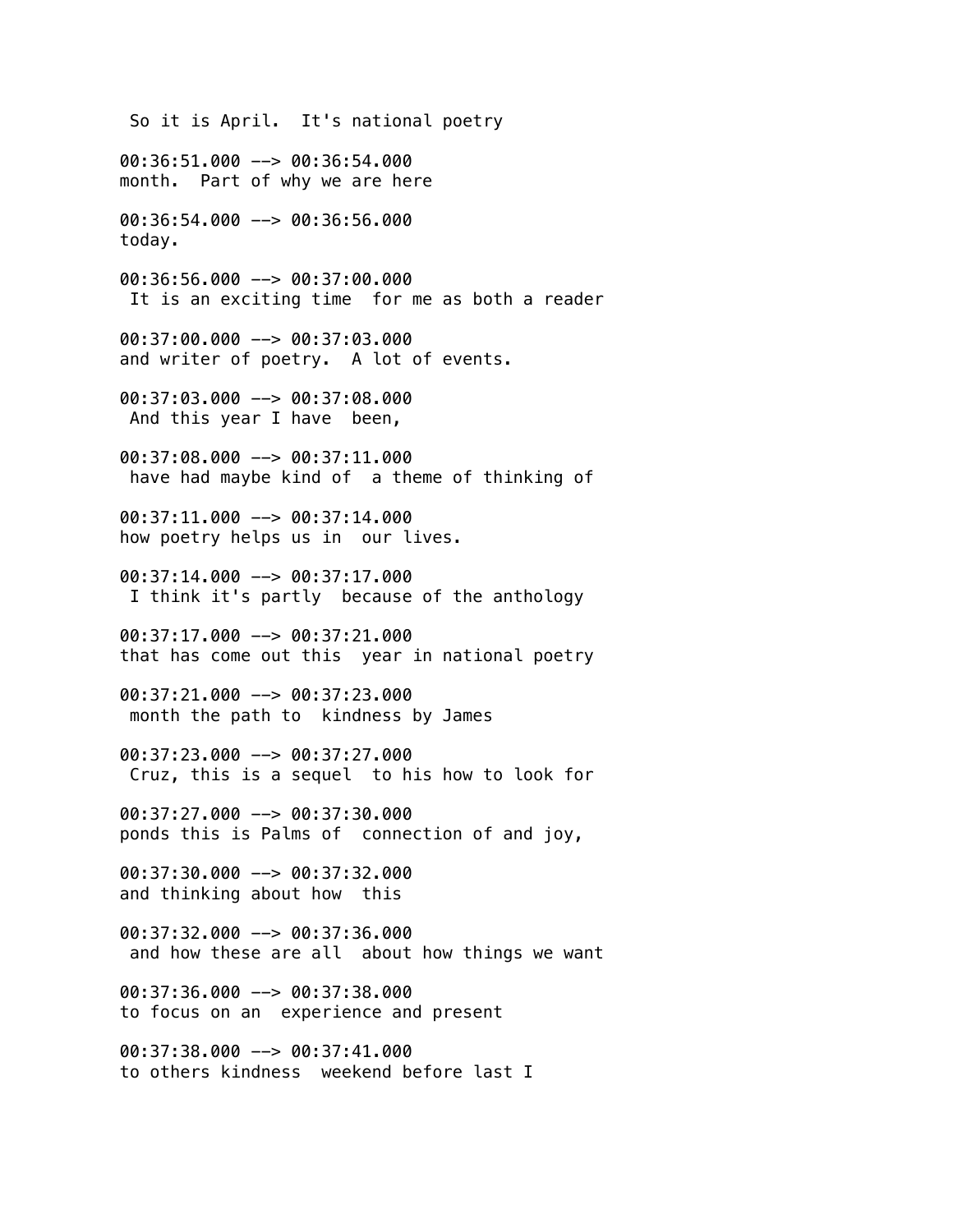So it is April. It's national poetry 00:36:51.000 --> 00:36:54.000 month. Part of why we are here 00:36:54.000 --> 00:36:56.000 today. 00:36:56.000 --> 00:37:00.000 It is an exciting time for me as both a reader 00:37:00.000 --> 00:37:03.000 and writer of poetry. A lot of events. 00:37:03.000 --> 00:37:08.000 And this year I have been, 00:37:08.000 --> 00:37:11.000 have had maybe kind of a theme of thinking of 00:37:11.000 --> 00:37:14.000 how poetry helps us in our lives. 00:37:14.000 --> 00:37:17.000 I think it's partly because of the anthology 00:37:17.000 --> 00:37:21.000 that has come out this year in national poetry 00:37:21.000 --> 00:37:23.000 month the path to kindness by James 00:37:23.000 --> 00:37:27.000 Cruz, this is a sequel to his how to look for 00:37:27.000 --> 00:37:30.000 ponds this is Palms of connection of and joy, 00:37:30.000 --> 00:37:32.000 and thinking about how this 00:37:32.000 --> 00:37:36.000 and how these are all about how things we want 00:37:36.000 --> 00:37:38.000 to focus on an experience and present 00:37:38.000 --> 00:37:41.000 to others kindness weekend before last I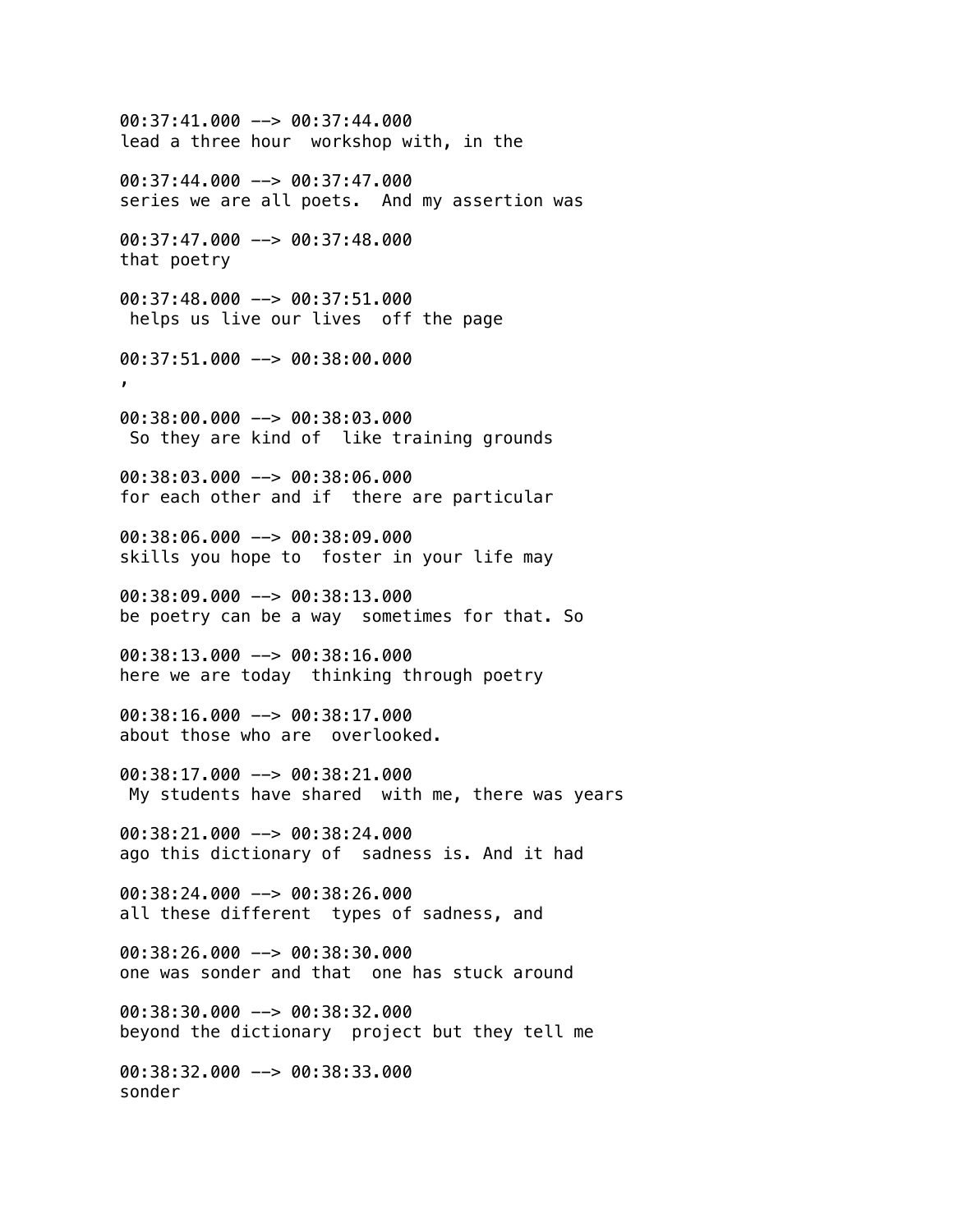00:37:41.000 --> 00:37:44.000 lead a three hour workshop with, in the 00:37:44.000 --> 00:37:47.000 series we are all poets. And my assertion was 00:37:47.000 --> 00:37:48.000 that poetry 00:37:48.000 --> 00:37:51.000 helps us live our lives off the page 00:37:51.000 --> 00:38:00.000 , 00:38:00.000 --> 00:38:03.000 So they are kind of like training grounds 00:38:03.000 --> 00:38:06.000 for each other and if there are particular 00:38:06.000 --> 00:38:09.000 skills you hope to foster in your life may 00:38:09.000 --> 00:38:13.000 be poetry can be a way sometimes for that. So 00:38:13.000 --> 00:38:16.000 here we are today thinking through poetry 00:38:16.000 --> 00:38:17.000 about those who are overlooked. 00:38:17.000 --> 00:38:21.000 My students have shared with me, there was years 00:38:21.000 --> 00:38:24.000 ago this dictionary of sadness is. And it had 00:38:24.000 --> 00:38:26.000 all these different types of sadness, and  $00:38:26.000$  -->  $00:38:30.000$ one was sonder and that one has stuck around 00:38:30.000 --> 00:38:32.000 beyond the dictionary project but they tell me 00:38:32.000 --> 00:38:33.000 sonder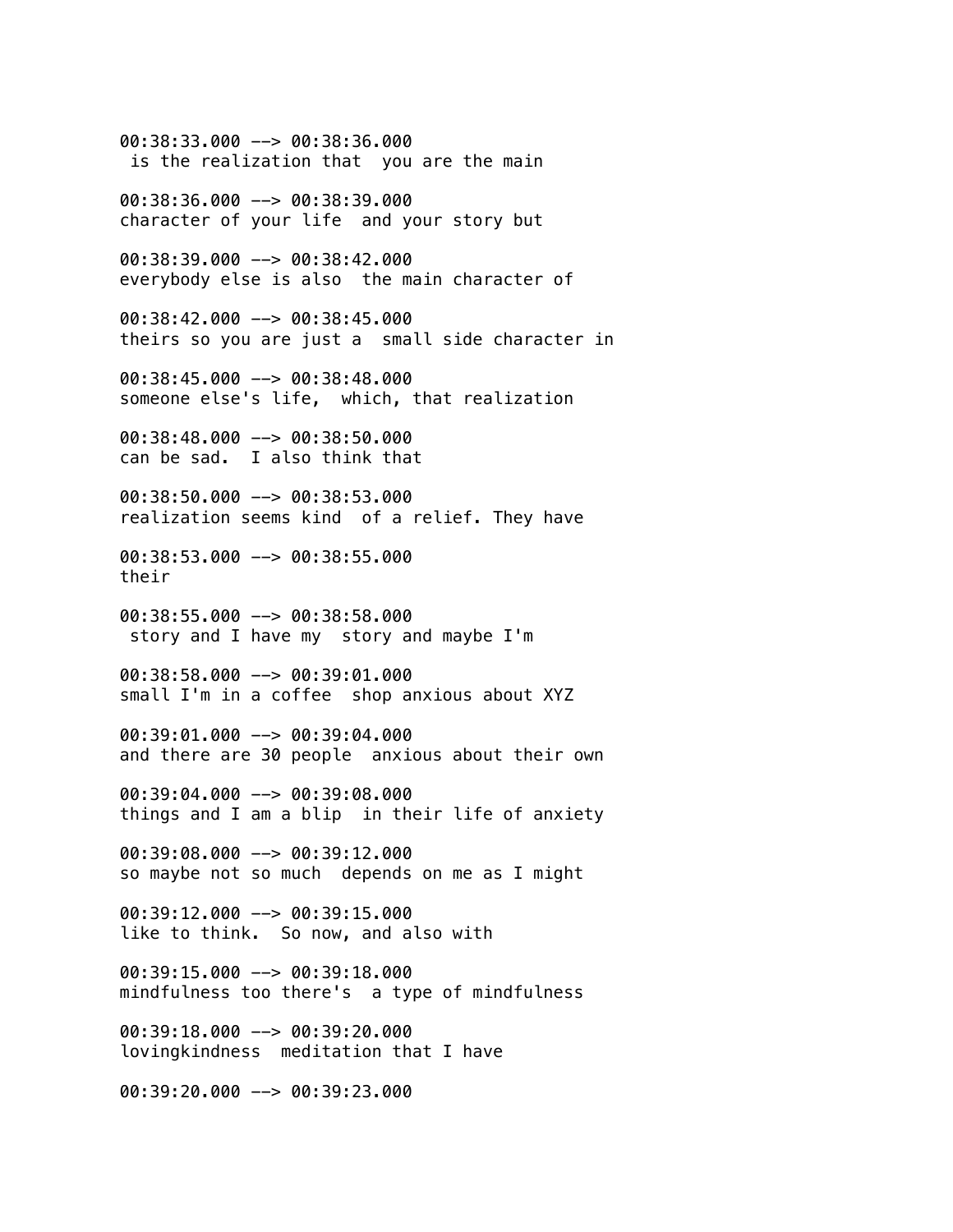00:38:33.000 --> 00:38:36.000 is the realization that you are the main

00:38:36.000 --> 00:38:39.000 character of your life and your story but

00:38:39.000 --> 00:38:42.000 everybody else is also the main character of

00:38:42.000 --> 00:38:45.000 theirs so you are just a small side character in

00:38:45.000 --> 00:38:48.000 someone else's life, which, that realization

00:38:48.000 --> 00:38:50.000 can be sad. I also think that

00:38:50.000 --> 00:38:53.000 realization seems kind of a relief. They have

00:38:53.000 --> 00:38:55.000 their

00:38:55.000 --> 00:38:58.000 story and I have my story and maybe I'm

00:38:58.000 --> 00:39:01.000 small I'm in a coffee shop anxious about XYZ

00:39:01.000 --> 00:39:04.000 and there are 30 people anxious about their own

00:39:04.000 --> 00:39:08.000 things and I am a blip in their life of anxiety

00:39:08.000 --> 00:39:12.000 so maybe not so much depends on me as I might

00:39:12.000 --> 00:39:15.000 like to think. So now, and also with

00:39:15.000 --> 00:39:18.000 mindfulness too there's a type of mindfulness

00:39:18.000 --> 00:39:20.000 lovingkindness meditation that I have

00:39:20.000 --> 00:39:23.000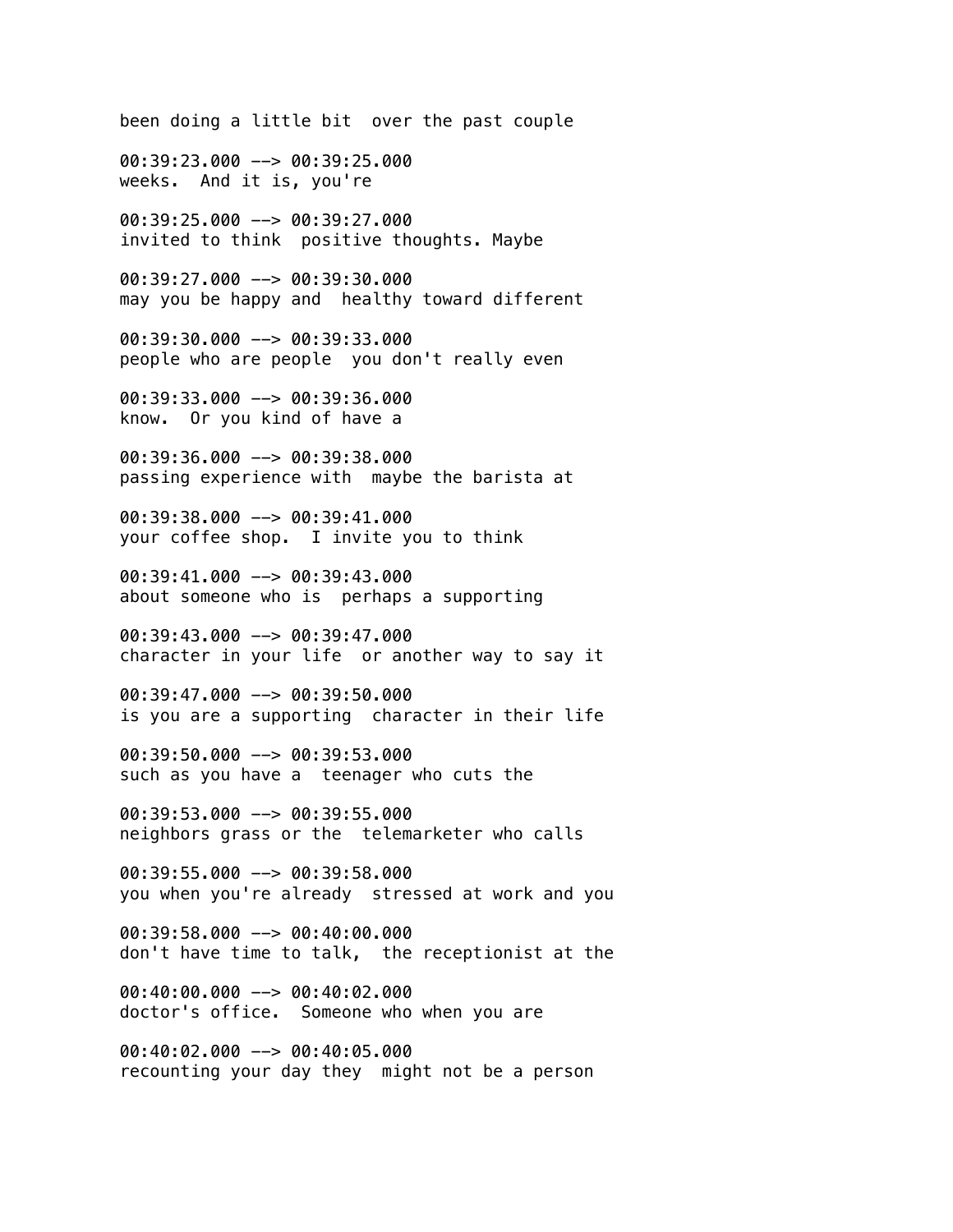been doing a little bit over the past couple

00:39:23.000 --> 00:39:25.000 weeks. And it is, you're

00:39:25.000 --> 00:39:27.000 invited to think positive thoughts. Maybe

00:39:27.000 --> 00:39:30.000 may you be happy and healthy toward different

00:39:30.000 --> 00:39:33.000 people who are people you don't really even

00:39:33.000 --> 00:39:36.000 know. Or you kind of have a

00:39:36.000 --> 00:39:38.000 passing experience with maybe the barista at

00:39:38.000 --> 00:39:41.000 your coffee shop. I invite you to think

00:39:41.000 --> 00:39:43.000 about someone who is perhaps a supporting

00:39:43.000 --> 00:39:47.000 character in your life or another way to say it

00:39:47.000 --> 00:39:50.000 is you are a supporting character in their life

00:39:50.000 --> 00:39:53.000 such as you have a teenager who cuts the

00:39:53.000 --> 00:39:55.000 neighbors grass or the telemarketer who calls

00:39:55.000 --> 00:39:58.000 you when you're already stressed at work and you

00:39:58.000 --> 00:40:00.000 don't have time to talk, the receptionist at the

00:40:00.000 --> 00:40:02.000 doctor's office. Someone who when you are

00:40:02.000 --> 00:40:05.000 recounting your day they might not be a person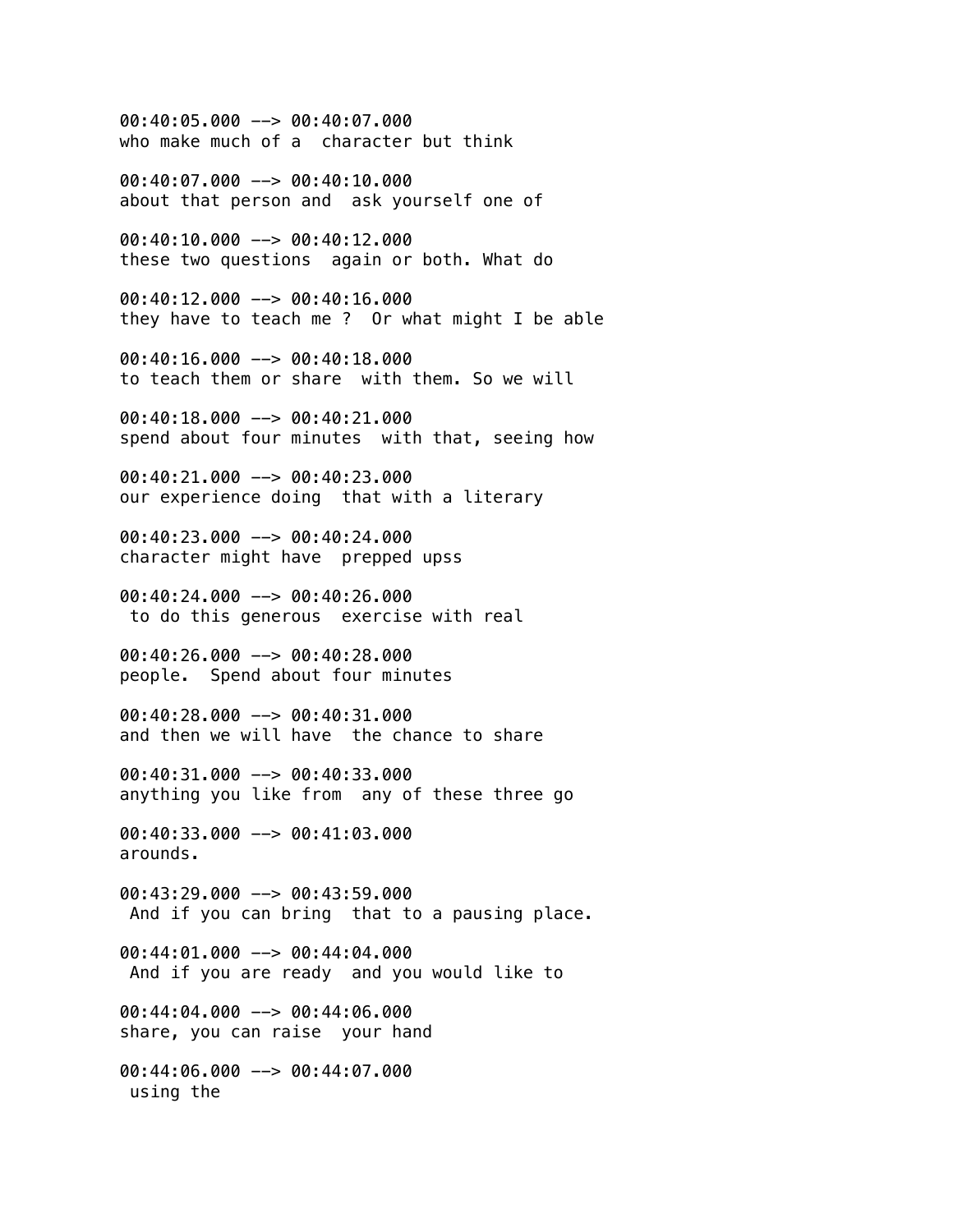00:40:05.000 --> 00:40:07.000 who make much of a character but think

00:40:07.000 --> 00:40:10.000 about that person and ask yourself one of

00:40:10.000 --> 00:40:12.000 these two questions again or both. What do

00:40:12.000 --> 00:40:16.000 they have to teach me ? Or what might I be able

00:40:16.000 --> 00:40:18.000 to teach them or share with them. So we will

00:40:18.000 --> 00:40:21.000 spend about four minutes with that, seeing how

00:40:21.000 --> 00:40:23.000 our experience doing that with a literary

00:40:23.000 --> 00:40:24.000 character might have prepped upss

00:40:24.000 --> 00:40:26.000 to do this generous exercise with real

00:40:26.000 --> 00:40:28.000 people. Spend about four minutes

00:40:28.000 --> 00:40:31.000 and then we will have the chance to share

00:40:31.000 --> 00:40:33.000 anything you like from any of these three go

00:40:33.000 --> 00:41:03.000 arounds.

00:43:29.000 --> 00:43:59.000 And if you can bring that to a pausing place.

00:44:01.000 --> 00:44:04.000 And if you are ready and you would like to

00:44:04.000 --> 00:44:06.000 share, you can raise your hand

00:44:06.000 --> 00:44:07.000 using the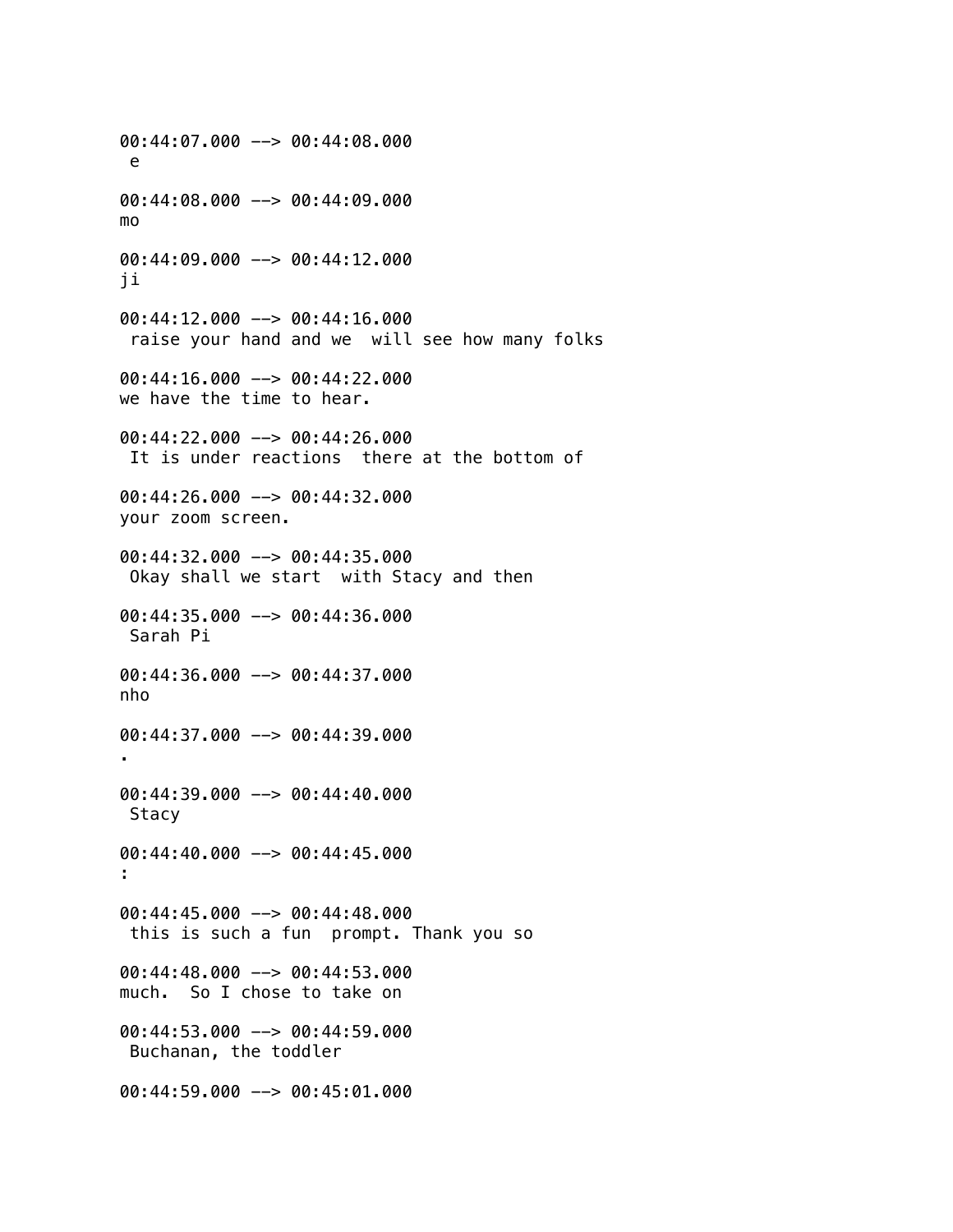00:44:07.000 --> 00:44:08.000 e 00:44:08.000 --> 00:44:09.000 mo 00:44:09.000 --> 00:44:12.000 ji 00:44:12.000 --> 00:44:16.000 raise your hand and we will see how many folks 00:44:16.000 --> 00:44:22.000 we have the time to hear. 00:44:22.000 --> 00:44:26.000 It is under reactions there at the bottom of 00:44:26.000 --> 00:44:32.000 your zoom screen. 00:44:32.000 --> 00:44:35.000 Okay shall we start with Stacy and then 00:44:35.000 --> 00:44:36.000 Sarah Pi 00:44:36.000 --> 00:44:37.000 nho 00:44:37.000 --> 00:44:39.000 . 00:44:39.000 --> 00:44:40.000 Stacy 00:44:40.000 --> 00:44:45.000 : 00:44:45.000 --> 00:44:48.000 this is such a fun prompt. Thank you so 00:44:48.000 --> 00:44:53.000 much. So I chose to take on 00:44:53.000 --> 00:44:59.000 Buchanan, the toddler 00:44:59.000 --> 00:45:01.000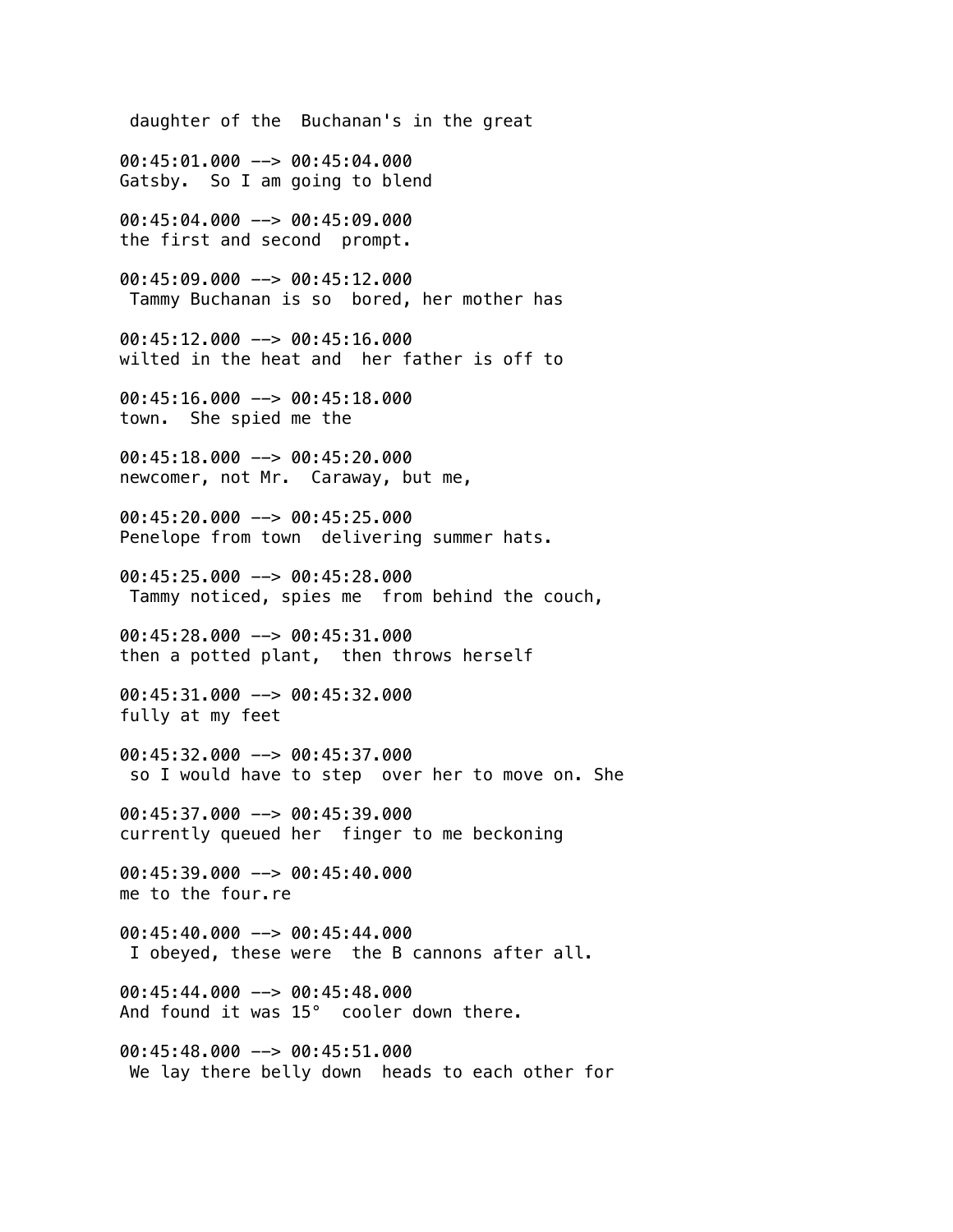daughter of the Buchanan's in the great 00:45:01.000 --> 00:45:04.000 Gatsby. So I am going to blend 00:45:04.000 --> 00:45:09.000 the first and second prompt. 00:45:09.000 --> 00:45:12.000 Tammy Buchanan is so bored, her mother has 00:45:12.000 --> 00:45:16.000 wilted in the heat and her father is off to 00:45:16.000 --> 00:45:18.000 town. She spied me the 00:45:18.000 --> 00:45:20.000 newcomer, not Mr. Caraway, but me, 00:45:20.000 --> 00:45:25.000 Penelope from town delivering summer hats. 00:45:25.000 --> 00:45:28.000 Tammy noticed, spies me from behind the couch, 00:45:28.000 --> 00:45:31.000 then a potted plant, then throws herself 00:45:31.000 --> 00:45:32.000 fully at my feet 00:45:32.000 --> 00:45:37.000 so I would have to step over her to move on. She 00:45:37.000 --> 00:45:39.000 currently queued her finger to me beckoning 00:45:39.000 --> 00:45:40.000 me to the four.re 00:45:40.000 --> 00:45:44.000 I obeyed, these were the B cannons after all. 00:45:44.000 --> 00:45:48.000 And found it was 15° cooler down there. 00:45:48.000 --> 00:45:51.000 We lay there belly down heads to each other for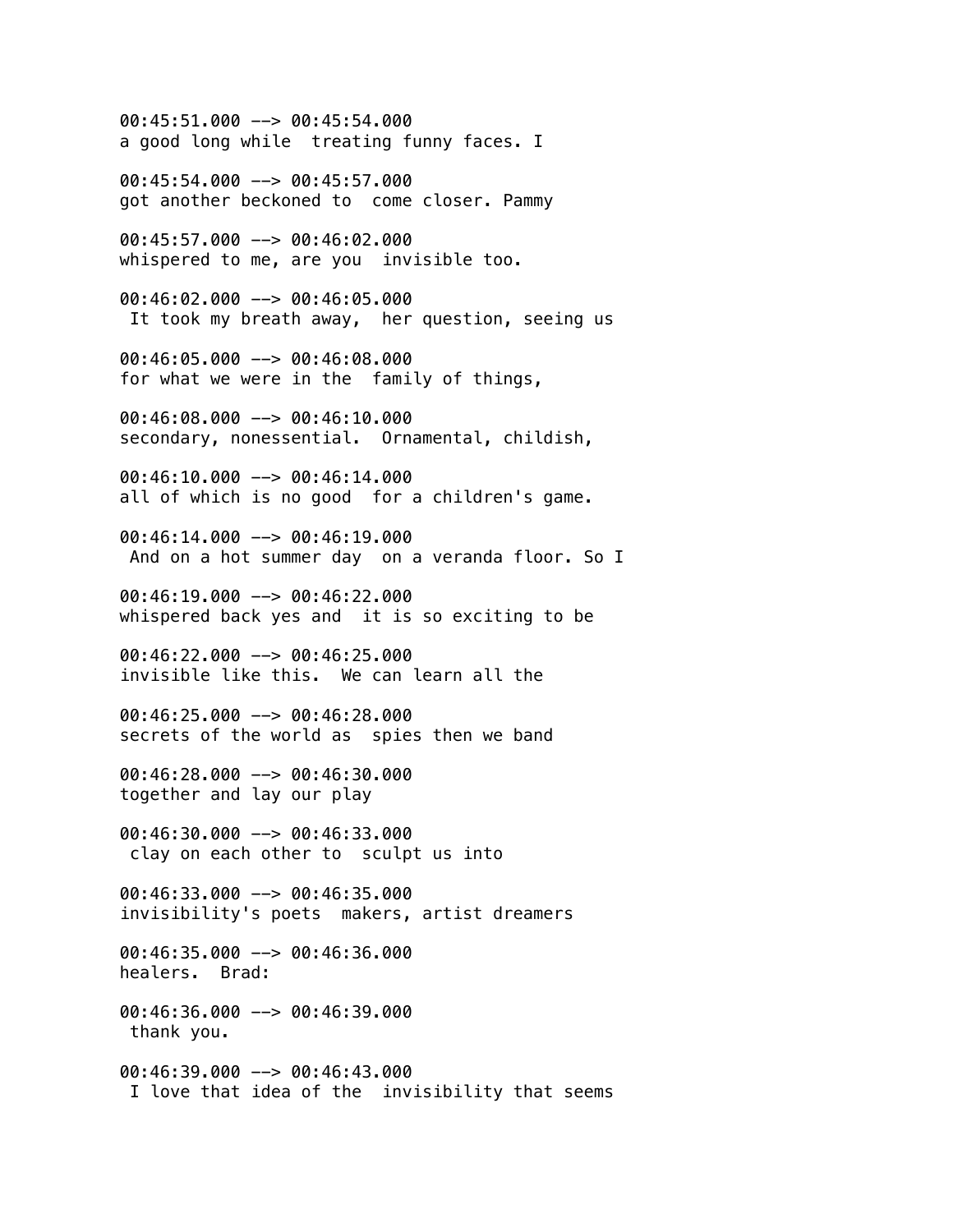00:45:51.000 --> 00:45:54.000 a good long while treating funny faces. I

00:45:54.000 --> 00:45:57.000 got another beckoned to come closer. Pammy

00:45:57.000 --> 00:46:02.000 whispered to me, are you invisible too.

00:46:02.000 --> 00:46:05.000 It took my breath away, her question, seeing us

00:46:05.000 --> 00:46:08.000 for what we were in the family of things,

00:46:08.000 --> 00:46:10.000 secondary, nonessential. Ornamental, childish,

00:46:10.000 --> 00:46:14.000 all of which is no good for a children's game.

00:46:14.000 --> 00:46:19.000 And on a hot summer day on a veranda floor. So I

 $0.99:46:19.000$   $\rightarrow$  00:46:22.000 whispered back yes and it is so exciting to be

00:46:22.000 --> 00:46:25.000 invisible like this. We can learn all the

00:46:25.000 --> 00:46:28.000 secrets of the world as spies then we band

00:46:28.000 --> 00:46:30.000 together and lay our play

00:46:30.000 --> 00:46:33.000 clay on each other to sculpt us into

00:46:33.000 --> 00:46:35.000 invisibility's poets makers, artist dreamers

00:46:35.000 --> 00:46:36.000 healers. Brad:

00:46:36.000 --> 00:46:39.000 thank you.

00:46:39.000 --> 00:46:43.000 I love that idea of the invisibility that seems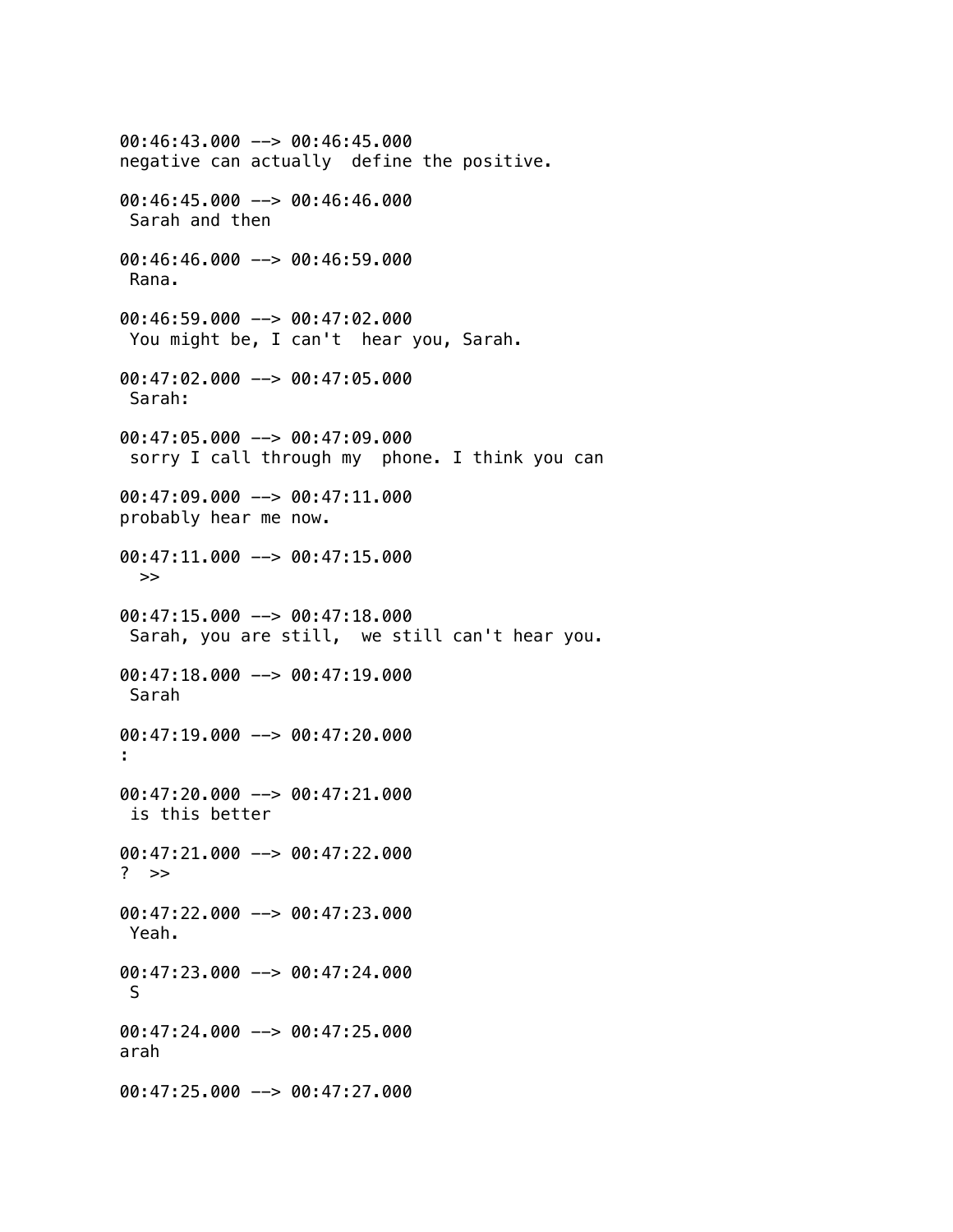00:46:43.000 --> 00:46:45.000 negative can actually define the positive. 00:46:45.000 --> 00:46:46.000 Sarah and then 00:46:46.000 --> 00:46:59.000 Rana. 00:46:59.000 --> 00:47:02.000 You might be, I can't hear you, Sarah. 00:47:02.000 --> 00:47:05.000 Sarah: 00:47:05.000 --> 00:47:09.000 sorry I call through my phone. I think you can 00:47:09.000 --> 00:47:11.000 probably hear me now. 00:47:11.000 --> 00:47:15.000 >> 00:47:15.000 --> 00:47:18.000 Sarah, you are still, we still can't hear you. 00:47:18.000 --> 00:47:19.000 Sarah 00:47:19.000 --> 00:47:20.000 : 00:47:20.000 --> 00:47:21.000 is this better 00:47:21.000 --> 00:47:22.000 ? >> 00:47:22.000 --> 00:47:23.000 Yeah. 00:47:23.000 --> 00:47:24.000 S 00:47:24.000 --> 00:47:25.000 arah 00:47:25.000 --> 00:47:27.000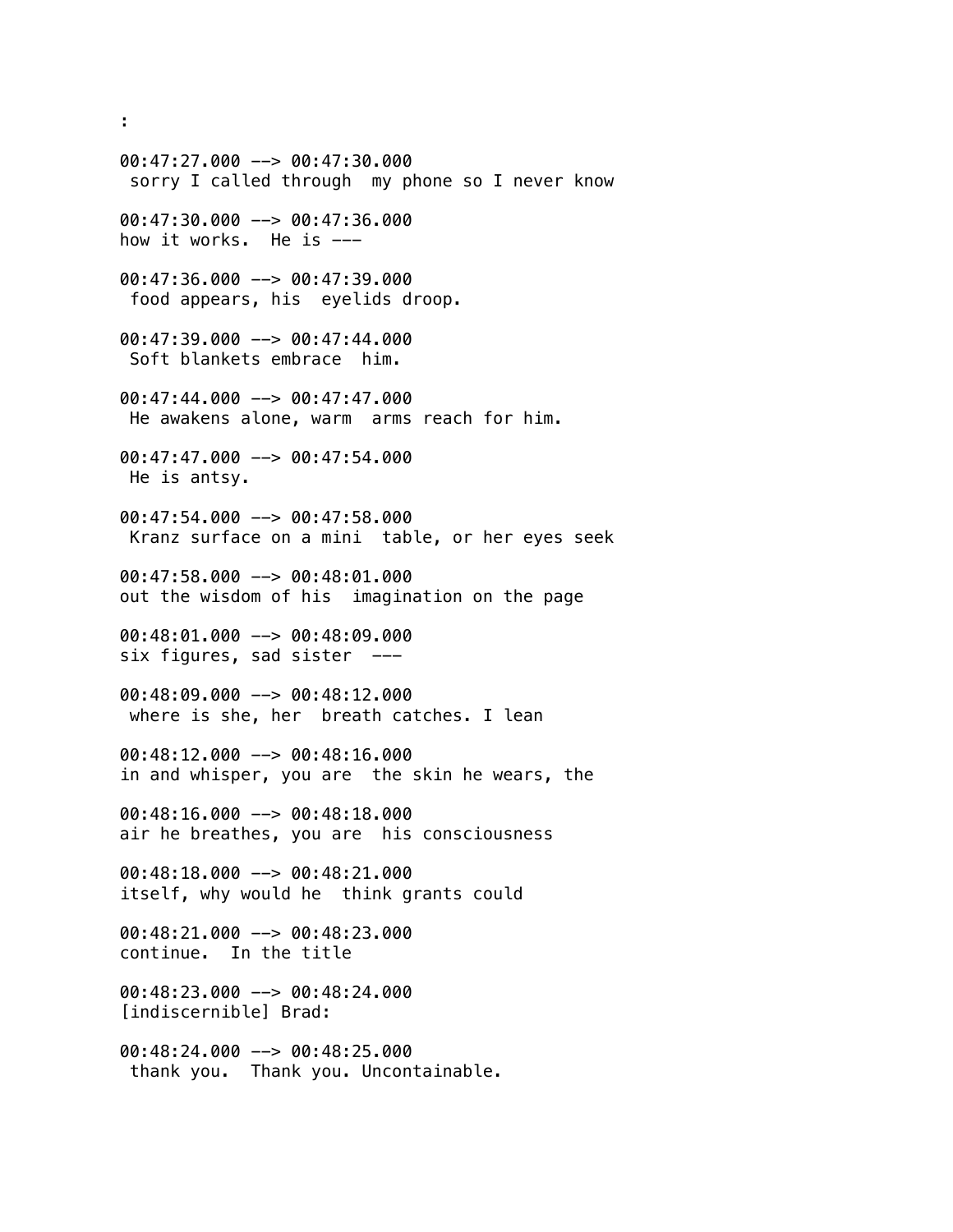:

00:47:27.000 --> 00:47:30.000 sorry I called through my phone so I never know 00:47:30.000 --> 00:47:36.000 how it works. He is ---00:47:36.000 --> 00:47:39.000 food appears, his eyelids droop. 00:47:39.000 --> 00:47:44.000 Soft blankets embrace him. 00:47:44.000 --> 00:47:47.000 He awakens alone, warm arms reach for him. 00:47:47.000 --> 00:47:54.000 He is antsy. 00:47:54.000 --> 00:47:58.000 Kranz surface on a mini table, or her eyes seek 00:47:58.000 --> 00:48:01.000 out the wisdom of his imagination on the page 00:48:01.000 --> 00:48:09.000 six figures, sad sister ---00:48:09.000 --> 00:48:12.000 where is she, her breath catches. I lean 00:48:12.000 --> 00:48:16.000 in and whisper, you are the skin he wears, the 00:48:16.000 --> 00:48:18.000 air he breathes, you are his consciousness 00:48:18.000 --> 00:48:21.000 itself, why would he think grants could 00:48:21.000 --> 00:48:23.000 continue. In the title 00:48:23.000 --> 00:48:24.000 [indiscernible] Brad: 00:48:24.000 --> 00:48:25.000 thank you. Thank you. Uncontainable.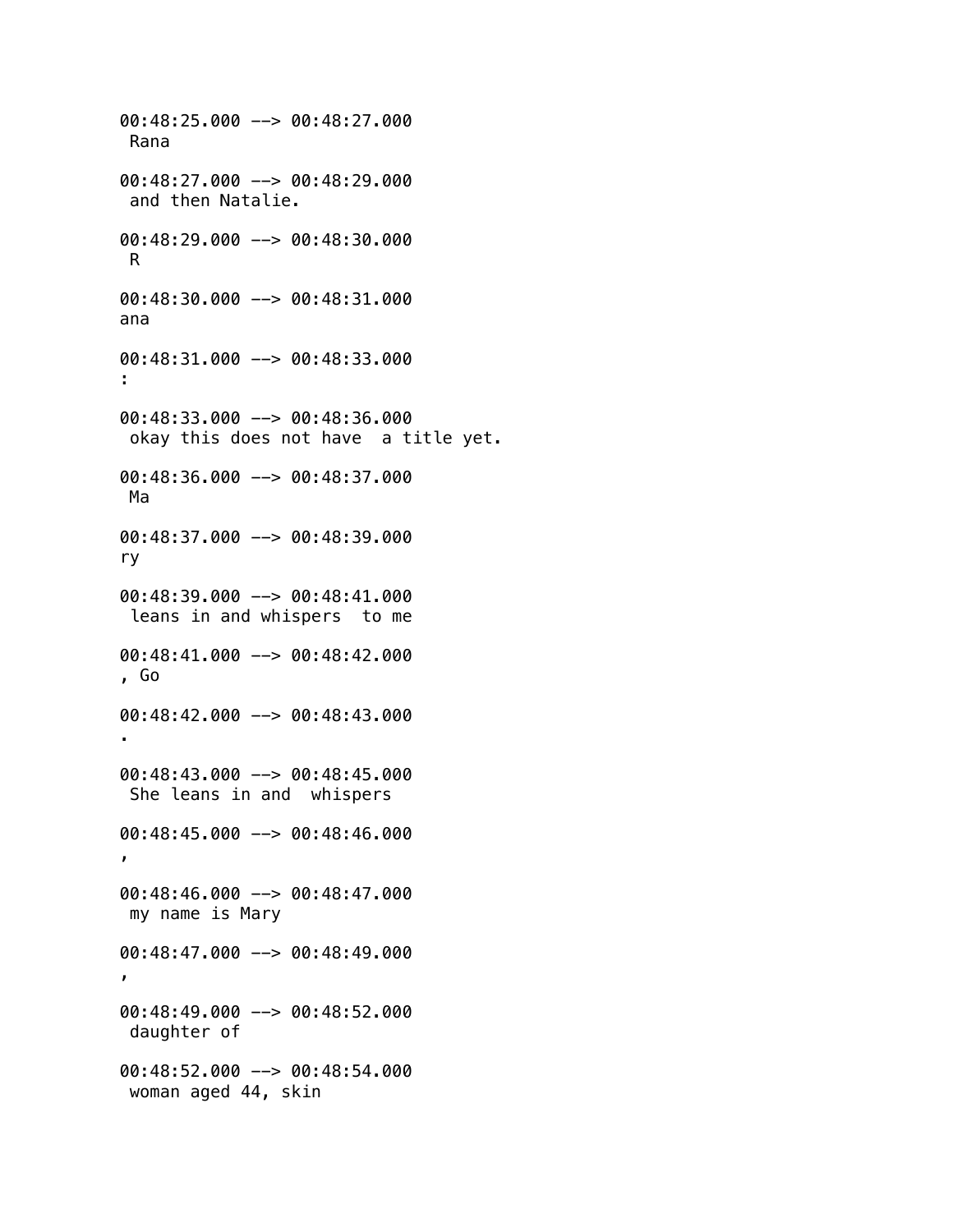00:48:25.000 --> 00:48:27.000 Rana 00:48:27.000 --> 00:48:29.000 and then Natalie. 00:48:29.000 --> 00:48:30.000 R 00:48:30.000 --> 00:48:31.000 ana 00:48:31.000 --> 00:48:33.000 : 00:48:33.000 --> 00:48:36.000 okay this does not have a title yet. 00:48:36.000 --> 00:48:37.000 Ma 00:48:37.000 --> 00:48:39.000 ry 00:48:39.000 --> 00:48:41.000 leans in and whispers to me 00:48:41.000 --> 00:48:42.000 , Go 00:48:42.000 --> 00:48:43.000 . 00:48:43.000 --> 00:48:45.000 She leans in and whispers 00:48:45.000 --> 00:48:46.000 , 00:48:46.000 --> 00:48:47.000 my name is Mary 00:48:47.000 --> 00:48:49.000 , 00:48:49.000 --> 00:48:52.000 daughter of 00:48:52.000 --> 00:48:54.000 woman aged 44, skin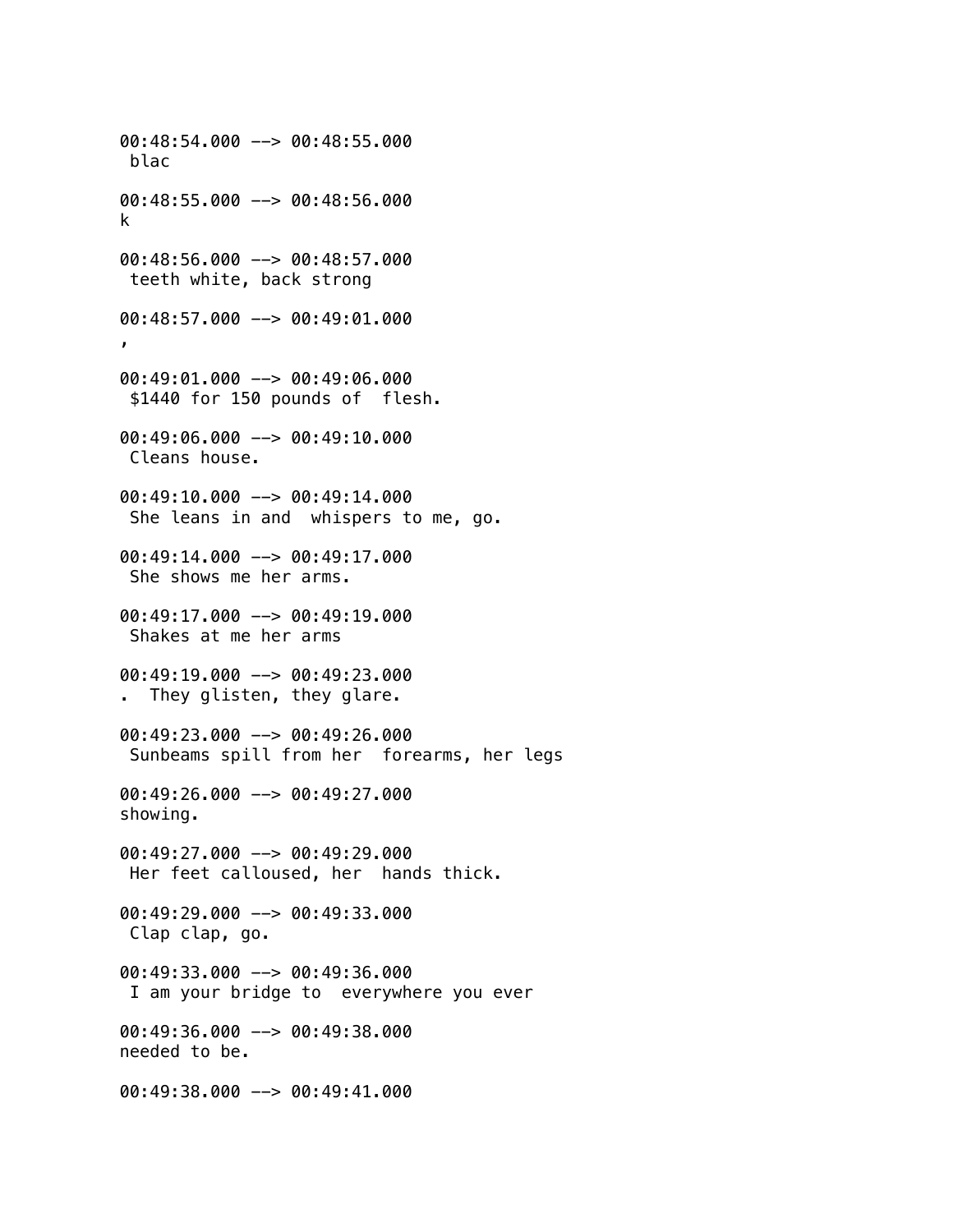00:48:54.000 --> 00:48:55.000 blac 00:48:55.000 --> 00:48:56.000 k 00:48:56.000 --> 00:48:57.000 teeth white, back strong 00:48:57.000 --> 00:49:01.000 , 00:49:01.000 --> 00:49:06.000 \$1440 for 150 pounds of flesh. 00:49:06.000 --> 00:49:10.000 Cleans house. 00:49:10.000 --> 00:49:14.000 She leans in and whispers to me, go. 00:49:14.000 --> 00:49:17.000 She shows me her arms. 00:49:17.000 --> 00:49:19.000 Shakes at me her arms 00:49:19.000 --> 00:49:23.000 . They glisten, they glare. 00:49:23.000 --> 00:49:26.000 Sunbeams spill from her forearms, her legs 00:49:26.000 --> 00:49:27.000 showing. 00:49:27.000 --> 00:49:29.000 Her feet calloused, her hands thick. 00:49:29.000 --> 00:49:33.000 Clap clap, go. 00:49:33.000 --> 00:49:36.000 I am your bridge to everywhere you ever 00:49:36.000 --> 00:49:38.000 needed to be. 00:49:38.000 --> 00:49:41.000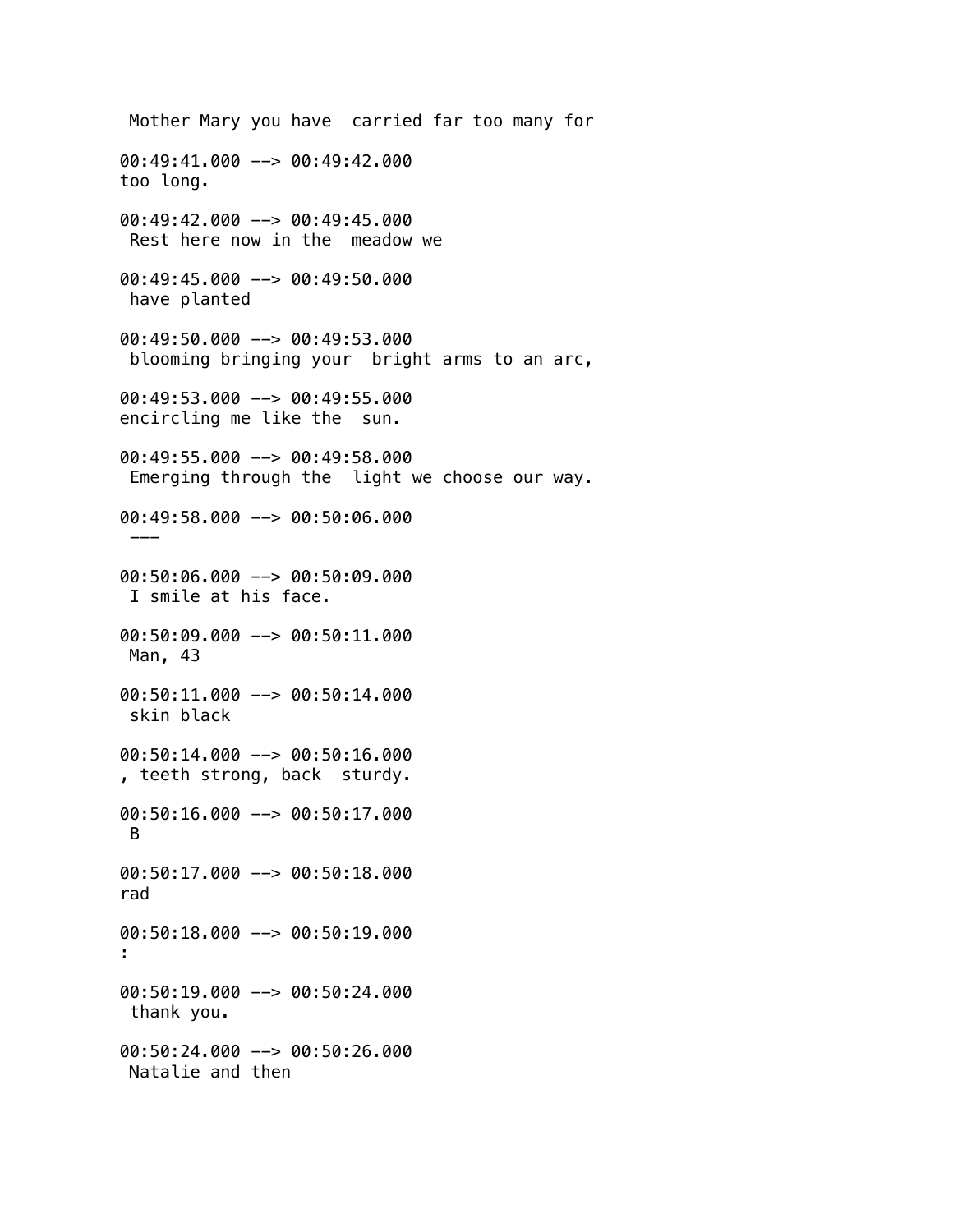Mother Mary you have carried far too many for 00:49:41.000 --> 00:49:42.000 too long. 00:49:42.000 --> 00:49:45.000 Rest here now in the meadow we 00:49:45.000 --> 00:49:50.000 have planted 00:49:50.000 --> 00:49:53.000 blooming bringing your bright arms to an arc, 00:49:53.000 --> 00:49:55.000 encircling me like the sun. 00:49:55.000 --> 00:49:58.000 Emerging through the light we choose our way. 00:49:58.000 --> 00:50:06.000  $---$ 00:50:06.000 --> 00:50:09.000 I smile at his face. 00:50:09.000 --> 00:50:11.000 Man, 43 00:50:11.000 --> 00:50:14.000 skin black 00:50:14.000 --> 00:50:16.000 , teeth strong, back sturdy. 00:50:16.000 --> 00:50:17.000 B 00:50:17.000 --> 00:50:18.000 rad 00:50:18.000 --> 00:50:19.000 : 00:50:19.000 --> 00:50:24.000 thank you. 00:50:24.000 --> 00:50:26.000 Natalie and then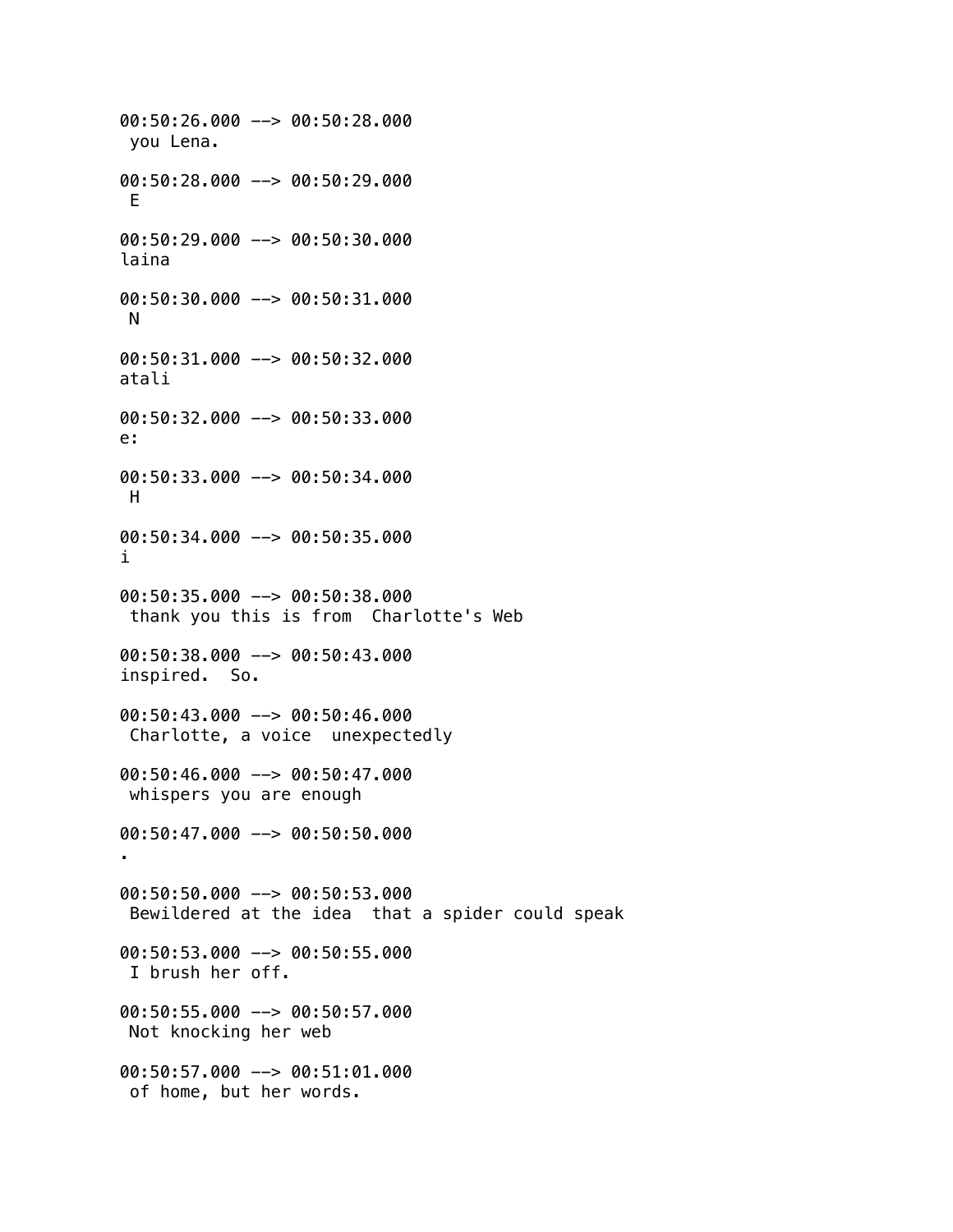00:50:26.000 --> 00:50:28.000 you Lena. 00:50:28.000 --> 00:50:29.000 E 00:50:29.000 --> 00:50:30.000 laina 00:50:30.000 --> 00:50:31.000 N 00:50:31.000 --> 00:50:32.000 atali 00:50:32.000 --> 00:50:33.000 e: 00:50:33.000 --> 00:50:34.000 H 00:50:34.000 --> 00:50:35.000 i 00:50:35.000 --> 00:50:38.000 thank you this is from Charlotte's Web 00:50:38.000 --> 00:50:43.000 inspired. So. 00:50:43.000 --> 00:50:46.000 Charlotte, a voice unexpectedly 00:50:46.000 --> 00:50:47.000 whispers you are enough 00:50:47.000 --> 00:50:50.000 . 00:50:50.000 --> 00:50:53.000 Bewildered at the idea that a spider could speak 00:50:53.000 --> 00:50:55.000 I brush her off. 00:50:55.000 --> 00:50:57.000 Not knocking her web 00:50:57.000 --> 00:51:01.000 of home, but her words.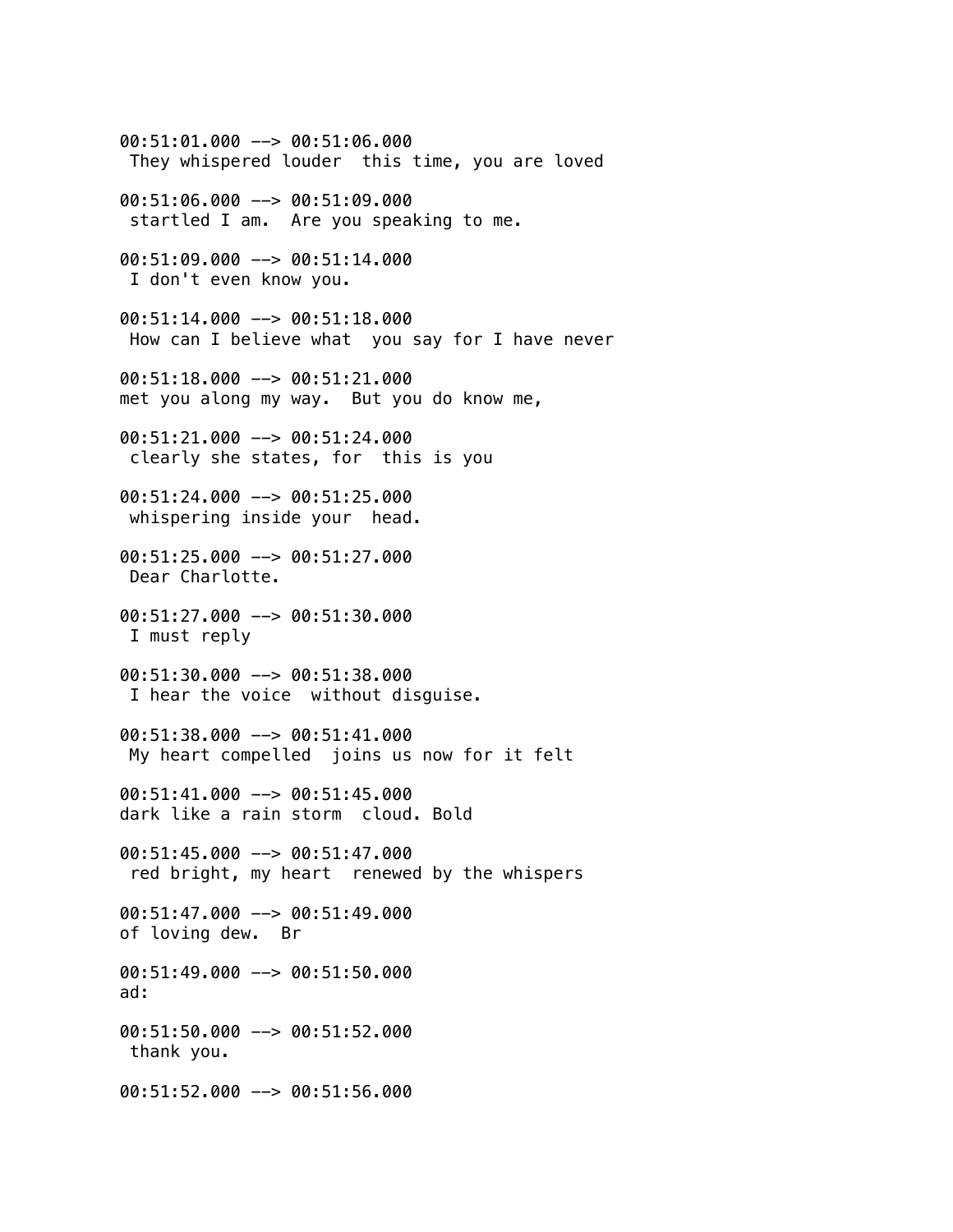00:51:01.000 --> 00:51:06.000 They whispered louder this time, you are loved 00:51:06.000 --> 00:51:09.000 startled I am. Are you speaking to me. 00:51:09.000 --> 00:51:14.000 I don't even know you. 00:51:14.000 --> 00:51:18.000 How can I believe what you say for I have never 00:51:18.000 --> 00:51:21.000 met you along my way. But you do know me, 00:51:21.000 --> 00:51:24.000 clearly she states, for this is you 00:51:24.000 --> 00:51:25.000 whispering inside your head. 00:51:25.000 --> 00:51:27.000 Dear Charlotte. 00:51:27.000 --> 00:51:30.000 I must reply 00:51:30.000 --> 00:51:38.000 I hear the voice without disguise. 00:51:38.000 --> 00:51:41.000 My heart compelled joins us now for it felt 00:51:41.000 --> 00:51:45.000 dark like a rain storm cloud. Bold 00:51:45.000 --> 00:51:47.000 red bright, my heart renewed by the whispers 00:51:47.000 --> 00:51:49.000 of loving dew. Br 00:51:49.000 --> 00:51:50.000 ad: 00:51:50.000 --> 00:51:52.000 thank you. 00:51:52.000 --> 00:51:56.000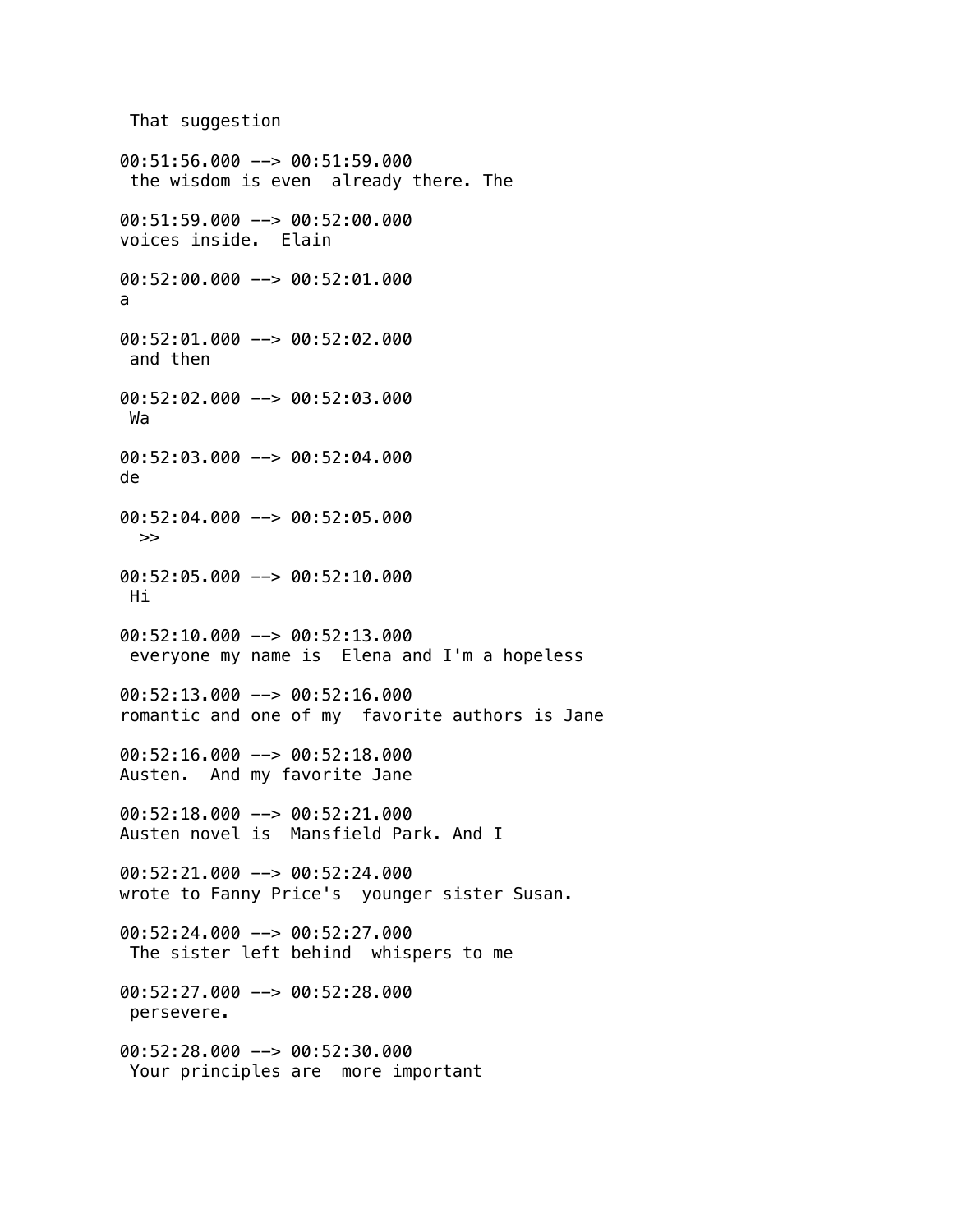That suggestion 00:51:56.000 --> 00:51:59.000 the wisdom is even already there. The 00:51:59.000 --> 00:52:00.000 voices inside. Elain 00:52:00.000 --> 00:52:01.000 a 00:52:01.000 --> 00:52:02.000 and then 00:52:02.000 --> 00:52:03.000 Wa 00:52:03.000 --> 00:52:04.000 de 00:52:04.000 --> 00:52:05.000 >> 00:52:05.000 --> 00:52:10.000 Hi 00:52:10.000 --> 00:52:13.000 everyone my name is Elena and I'm a hopeless 00:52:13.000 --> 00:52:16.000 romantic and one of my favorite authors is Jane 00:52:16.000 --> 00:52:18.000 Austen. And my favorite Jane 00:52:18.000 --> 00:52:21.000 Austen novel is Mansfield Park. And I 00:52:21.000 --> 00:52:24.000 wrote to Fanny Price's younger sister Susan. 00:52:24.000 --> 00:52:27.000 The sister left behind whispers to me 00:52:27.000 --> 00:52:28.000 persevere. 00:52:28.000 --> 00:52:30.000 Your principles are more important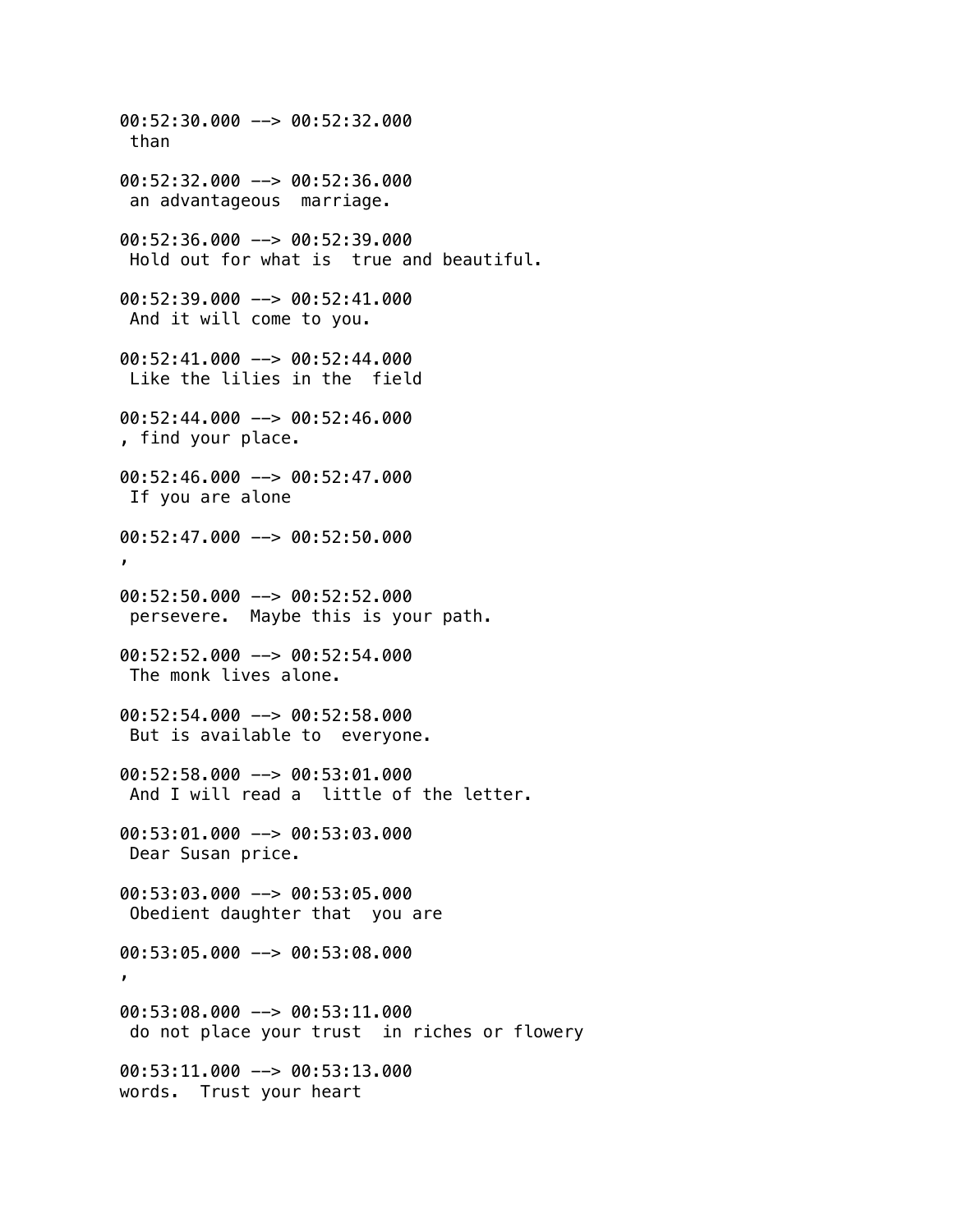00:52:30.000 --> 00:52:32.000 than 00:52:32.000 --> 00:52:36.000 an advantageous marriage. 00:52:36.000 --> 00:52:39.000 Hold out for what is true and beautiful. 00:52:39.000 --> 00:52:41.000 And it will come to you. 00:52:41.000 --> 00:52:44.000 Like the lilies in the field 00:52:44.000 --> 00:52:46.000 , find your place. 00:52:46.000 --> 00:52:47.000 If you are alone 00:52:47.000 --> 00:52:50.000 , 00:52:50.000 --> 00:52:52.000 persevere. Maybe this is your path. 00:52:52.000 --> 00:52:54.000 The monk lives alone. 00:52:54.000 --> 00:52:58.000 But is available to everyone. 00:52:58.000 --> 00:53:01.000 And I will read a little of the letter. 00:53:01.000 --> 00:53:03.000 Dear Susan price. 00:53:03.000 --> 00:53:05.000 Obedient daughter that you are 00:53:05.000 --> 00:53:08.000 , 00:53:08.000 --> 00:53:11.000 do not place your trust in riches or flowery 00:53:11.000 --> 00:53:13.000 words. Trust your heart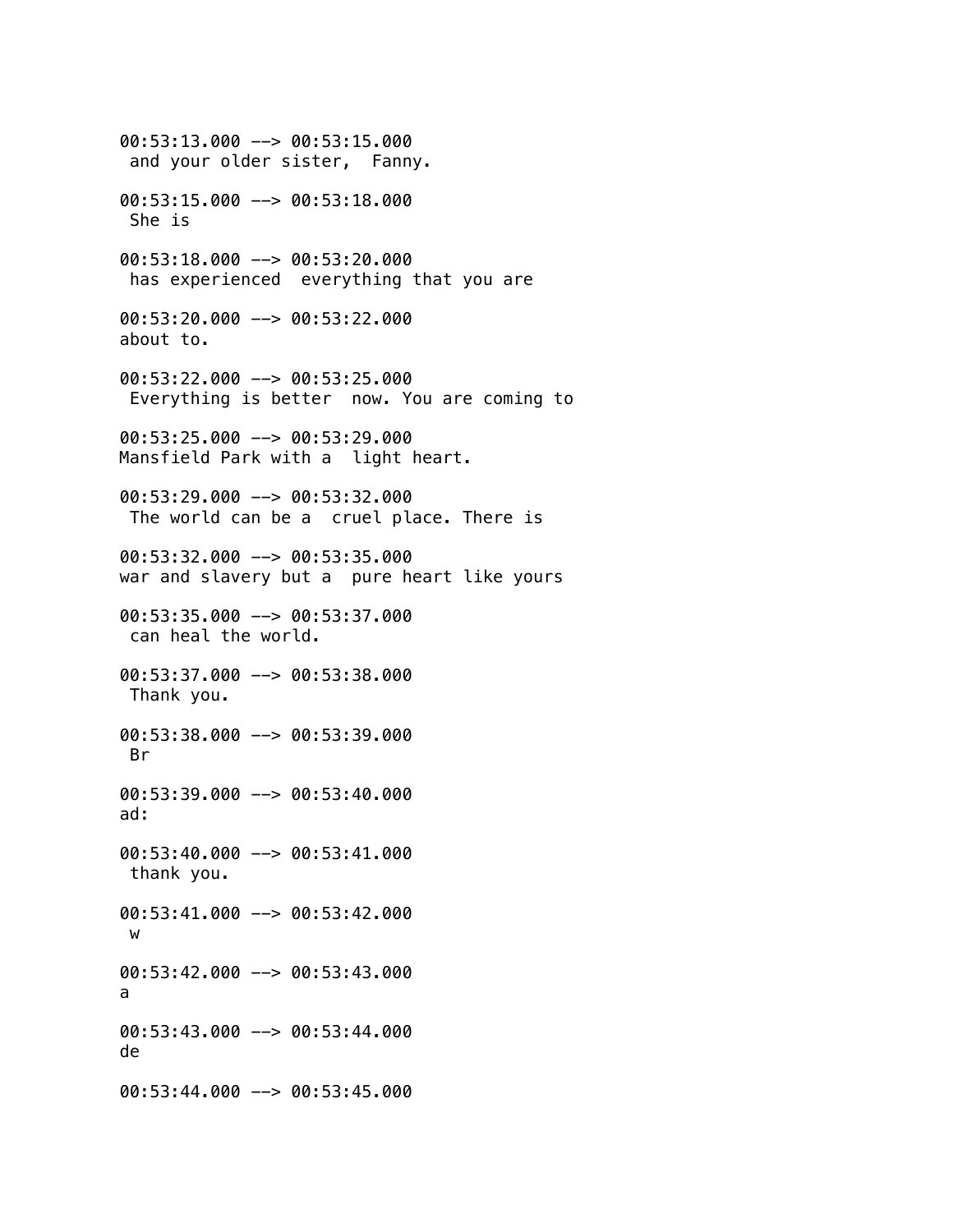00:53:13.000 --> 00:53:15.000 and your older sister, Fanny. 00:53:15.000 --> 00:53:18.000 She is 00:53:18.000 --> 00:53:20.000 has experienced everything that you are 00:53:20.000 --> 00:53:22.000 about to. 00:53:22.000 --> 00:53:25.000 Everything is better now. You are coming to 00:53:25.000 --> 00:53:29.000 Mansfield Park with a light heart. 00:53:29.000 --> 00:53:32.000 The world can be a cruel place. There is 00:53:32.000 --> 00:53:35.000 war and slavery but a pure heart like yours 00:53:35.000 --> 00:53:37.000 can heal the world. 00:53:37.000 --> 00:53:38.000 Thank you. 00:53:38.000 --> 00:53:39.000 Br 00:53:39.000 --> 00:53:40.000 ad: 00:53:40.000 --> 00:53:41.000 thank you. 00:53:41.000 --> 00:53:42.000 w 00:53:42.000 --> 00:53:43.000 a 00:53:43.000 --> 00:53:44.000 de 00:53:44.000 --> 00:53:45.000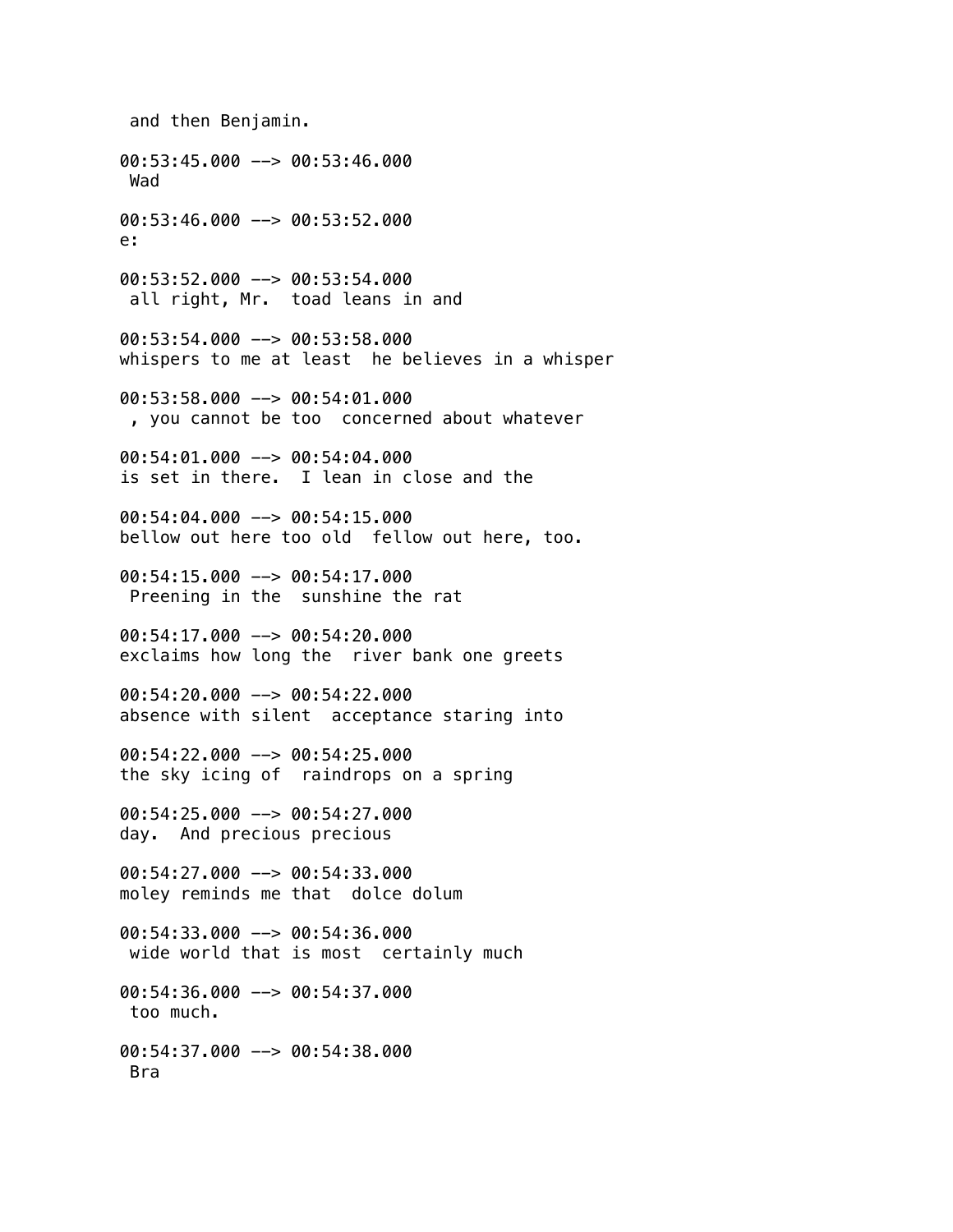and then Benjamin. 00:53:45.000 --> 00:53:46.000 Wad 00:53:46.000 --> 00:53:52.000 e: 00:53:52.000 --> 00:53:54.000 all right, Mr. toad leans in and 00:53:54.000 --> 00:53:58.000 whispers to me at least he believes in a whisper 00:53:58.000 --> 00:54:01.000 , you cannot be too concerned about whatever 00:54:01.000 --> 00:54:04.000 is set in there. I lean in close and the 00:54:04.000 --> 00:54:15.000 bellow out here too old fellow out here, too. 00:54:15.000 --> 00:54:17.000 Preening in the sunshine the rat 00:54:17.000 --> 00:54:20.000 exclaims how long the river bank one greets 00:54:20.000 --> 00:54:22.000 absence with silent acceptance staring into 00:54:22.000 --> 00:54:25.000 the sky icing of raindrops on a spring 00:54:25.000 --> 00:54:27.000 day. And precious precious 00:54:27.000 --> 00:54:33.000 moley reminds me that dolce dolum 00:54:33.000 --> 00:54:36.000 wide world that is most certainly much 00:54:36.000 --> 00:54:37.000 too much. 00:54:37.000 --> 00:54:38.000 Bra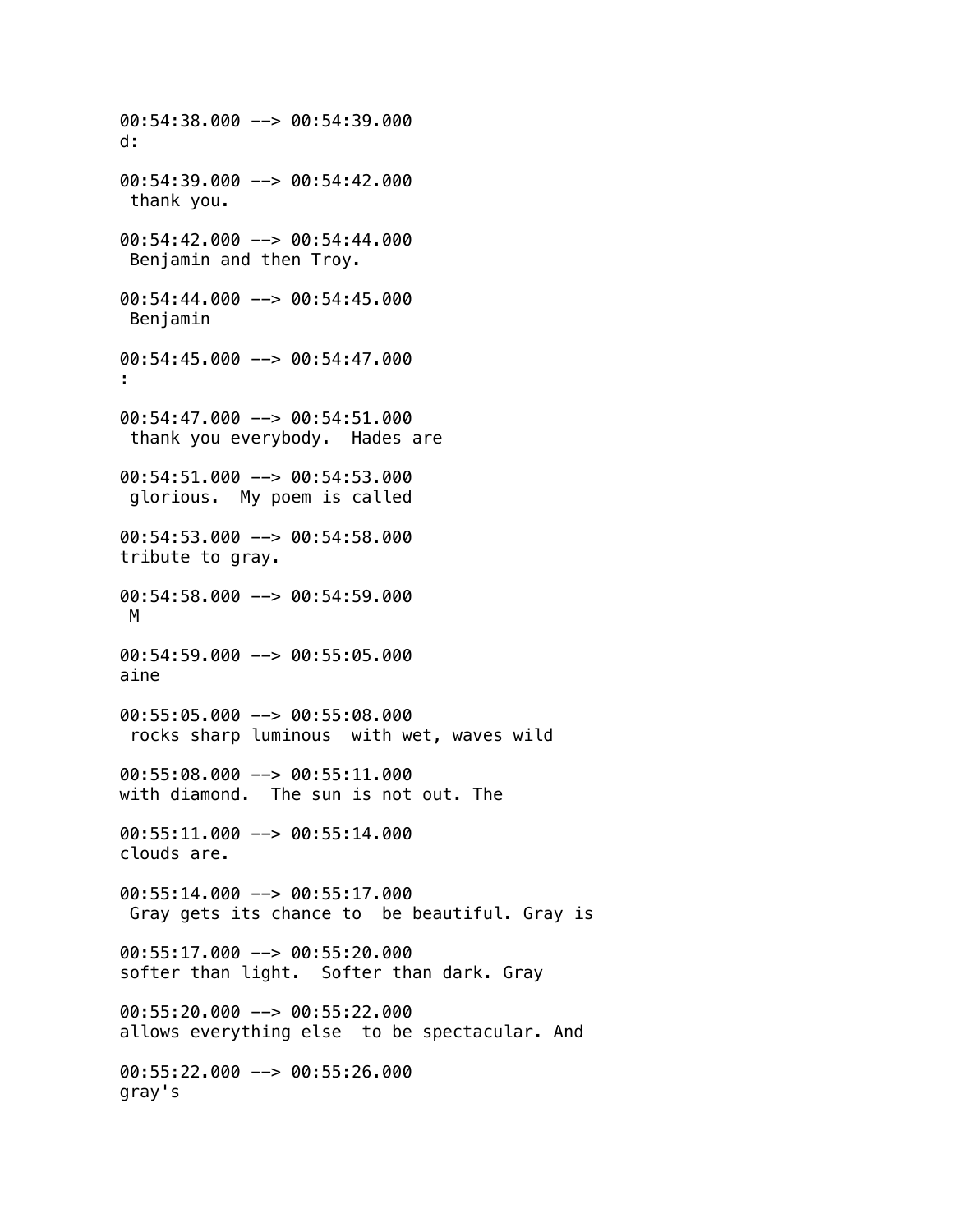00:54:38.000 --> 00:54:39.000 d: 00:54:39.000 --> 00:54:42.000 thank you. 00:54:42.000 --> 00:54:44.000 Benjamin and then Troy. 00:54:44.000 --> 00:54:45.000 Benjamin 00:54:45.000 --> 00:54:47.000 : 00:54:47.000 --> 00:54:51.000 thank you everybody. Hades are 00:54:51.000 --> 00:54:53.000 glorious. My poem is called 00:54:53.000 --> 00:54:58.000 tribute to gray. 00:54:58.000 --> 00:54:59.000 M 00:54:59.000 --> 00:55:05.000 aine 00:55:05.000 --> 00:55:08.000 rocks sharp luminous with wet, waves wild 00:55:08.000 --> 00:55:11.000 with diamond. The sun is not out. The 00:55:11.000 --> 00:55:14.000 clouds are. 00:55:14.000 --> 00:55:17.000 Gray gets its chance to be beautiful. Gray is 00:55:17.000 --> 00:55:20.000 softer than light. Softer than dark. Gray 00:55:20.000 --> 00:55:22.000 allows everything else to be spectacular. And 00:55:22.000 --> 00:55:26.000 gray's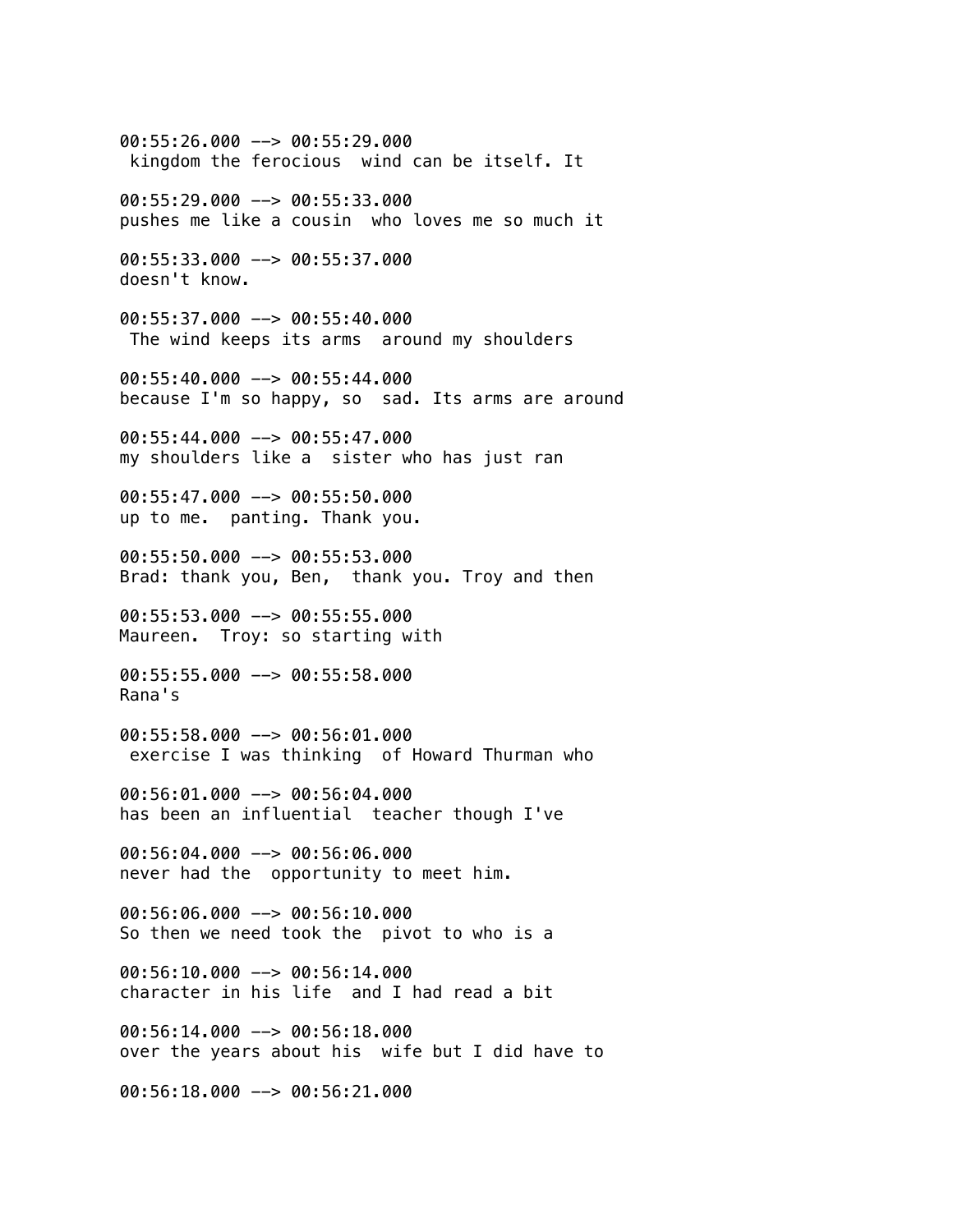$00:55:26.000$  -->  $00:55:29.000$  kingdom the ferocious wind can be itself. It 00:55:29.000 --> 00:55:33.000 pushes me like a cousin who loves me so much it 00:55:33.000 --> 00:55:37.000 doesn't know. 00:55:37.000 --> 00:55:40.000 The wind keeps its arms around my shoulders 00:55:40.000 --> 00:55:44.000 because I'm so happy, so sad. Its arms are around 00:55:44.000 --> 00:55:47.000 my shoulders like a sister who has just ran 00:55:47.000 --> 00:55:50.000 up to me. panting. Thank you. 00:55:50.000 --> 00:55:53.000 Brad: thank you, Ben, thank you. Troy and then 00:55:53.000 --> 00:55:55.000 Maureen. Troy: so starting with 00:55:55.000 --> 00:55:58.000 Rana's 00:55:58.000 --> 00:56:01.000 exercise I was thinking of Howard Thurman who 00:56:01.000 --> 00:56:04.000 has been an influential teacher though I've 00:56:04.000 --> 00:56:06.000 never had the opportunity to meet him. 00:56:06.000 --> 00:56:10.000 So then we need took the pivot to who is a 00:56:10.000 --> 00:56:14.000 character in his life and I had read a bit 00:56:14.000 --> 00:56:18.000 over the years about his wife but I did have to 00:56:18.000 --> 00:56:21.000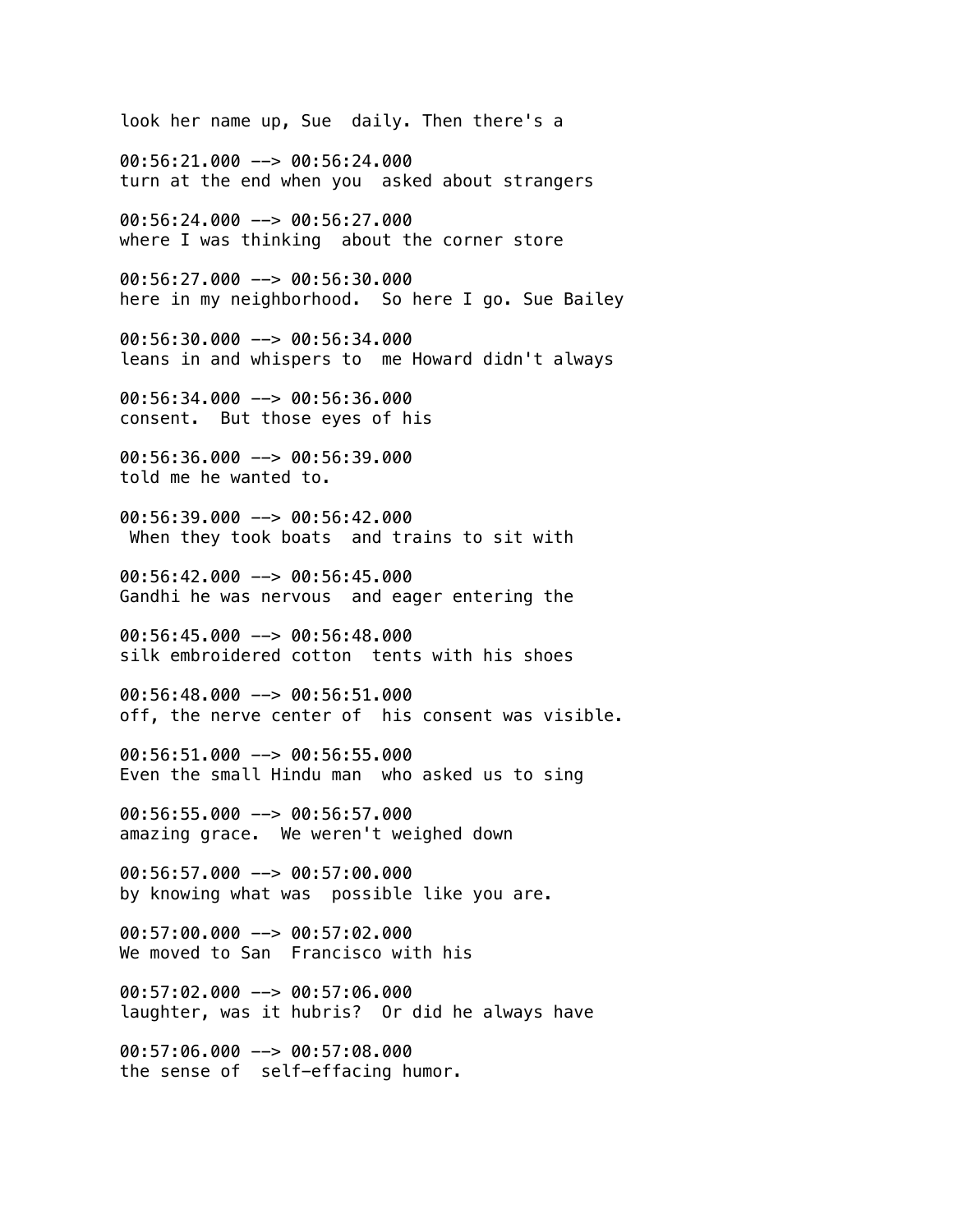look her name up, Sue daily. Then there's a

00:56:21.000 --> 00:56:24.000 turn at the end when you asked about strangers

00:56:24.000 --> 00:56:27.000 where I was thinking about the corner store

00:56:27.000 --> 00:56:30.000 here in my neighborhood. So here I go. Sue Bailey

00:56:30.000 --> 00:56:34.000 leans in and whispers to me Howard didn't always

00:56:34.000 --> 00:56:36.000 consent. But those eyes of his

00:56:36.000 --> 00:56:39.000 told me he wanted to.

00:56:39.000 --> 00:56:42.000 When they took boats and trains to sit with

00:56:42.000 --> 00:56:45.000 Gandhi he was nervous and eager entering the

00:56:45.000 --> 00:56:48.000 silk embroidered cotton tents with his shoes

00:56:48.000 --> 00:56:51.000 off, the nerve center of his consent was visible.

00:56:51.000 --> 00:56:55.000 Even the small Hindu man who asked us to sing

00:56:55.000 --> 00:56:57.000 amazing grace. We weren't weighed down

00:56:57.000 --> 00:57:00.000 by knowing what was possible like you are.

00:57:00.000 --> 00:57:02.000 We moved to San Francisco with his

00:57:02.000 --> 00:57:06.000 laughter, was it hubris? Or did he always have

00:57:06.000 --> 00:57:08.000 the sense of self-effacing humor.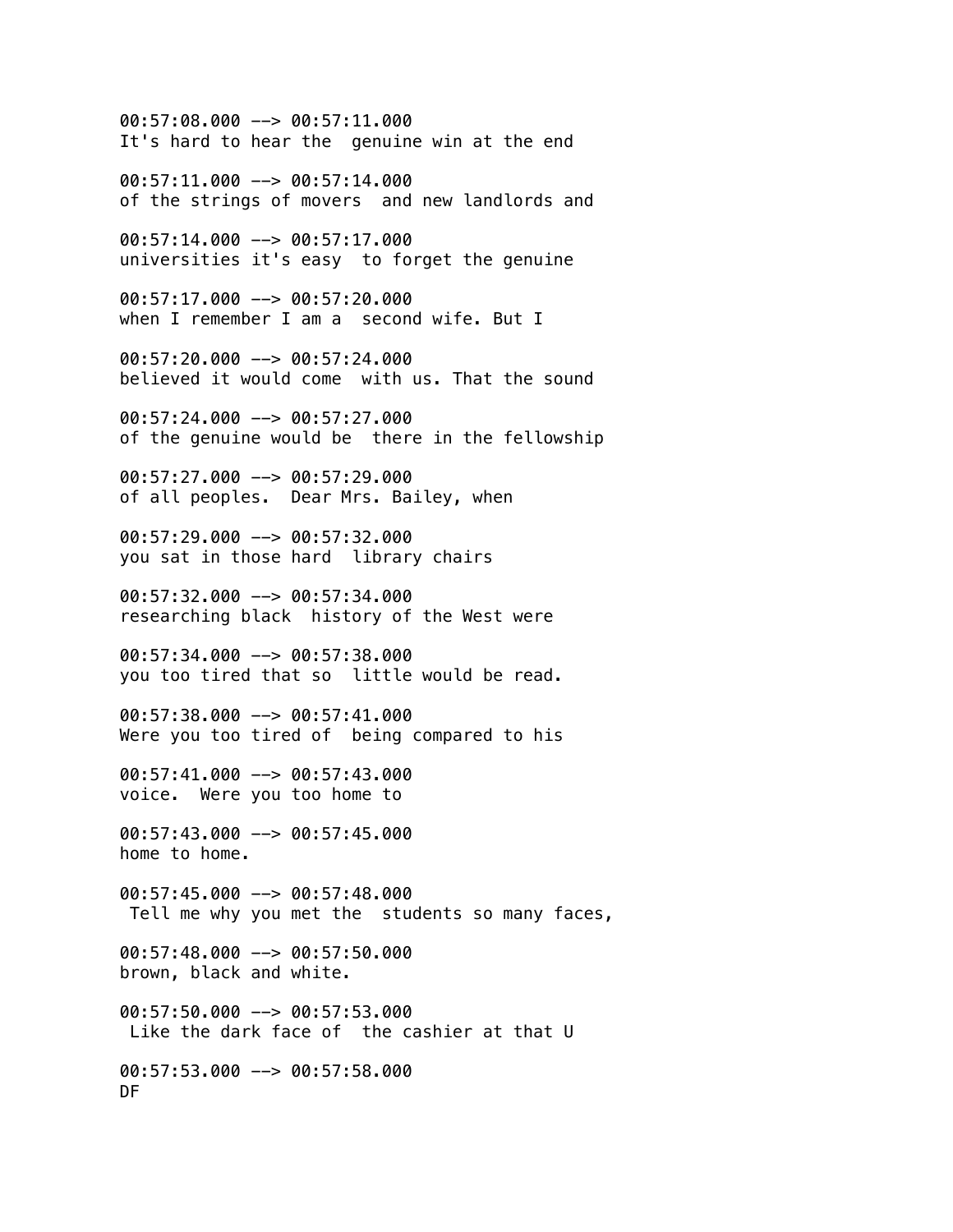00:57:08.000 --> 00:57:11.000 It's hard to hear the genuine win at the end

00:57:11.000 --> 00:57:14.000 of the strings of movers and new landlords and

00:57:14.000 --> 00:57:17.000 universities it's easy to forget the genuine

00:57:17.000 --> 00:57:20.000 when I remember I am a second wife. But I

00:57:20.000 --> 00:57:24.000 believed it would come with us. That the sound

00:57:24.000 --> 00:57:27.000 of the genuine would be there in the fellowship

00:57:27.000 --> 00:57:29.000 of all peoples. Dear Mrs. Bailey, when

00:57:29.000 --> 00:57:32.000 you sat in those hard library chairs

 $00:57:32.000$  -->  $00:57:34.000$ researching black history of the West were

00:57:34.000 --> 00:57:38.000 you too tired that so little would be read.

00:57:38.000 --> 00:57:41.000 Were you too tired of being compared to his

00:57:41.000 --> 00:57:43.000 voice. Were you too home to

00:57:43.000 --> 00:57:45.000 home to home.

00:57:45.000 --> 00:57:48.000 Tell me why you met the students so many faces,

 $00:57:48.000$  -->  $00:57:50.000$ brown, black and white.

00:57:50.000 --> 00:57:53.000 Like the dark face of the cashier at that U

00:57:53.000 --> 00:57:58.000 DF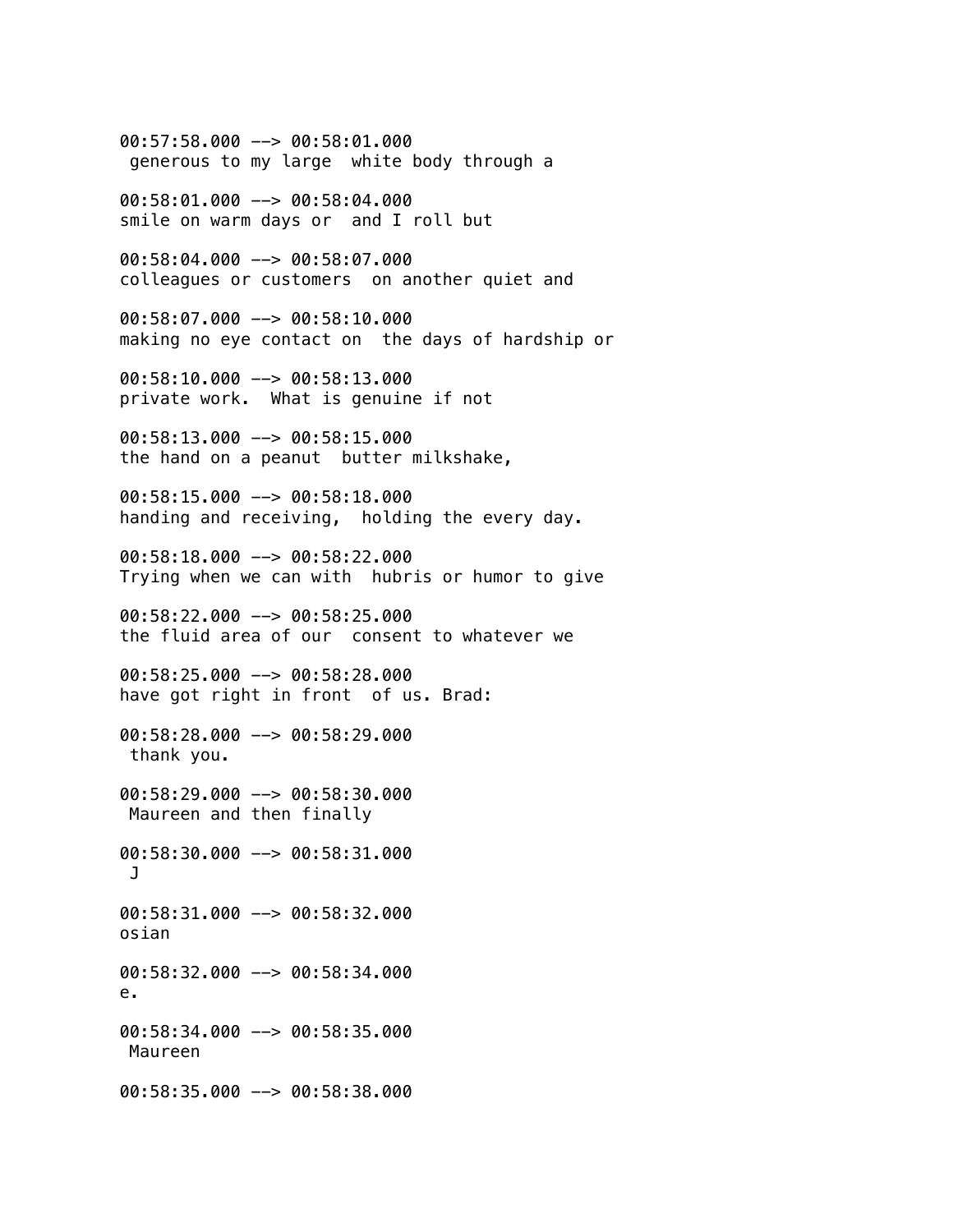00:57:58.000 --> 00:58:01.000 generous to my large white body through a

00:58:01.000 --> 00:58:04.000 smile on warm days or and I roll but

00:58:04.000 --> 00:58:07.000 colleagues or customers on another quiet and

00:58:07.000 --> 00:58:10.000 making no eye contact on the days of hardship or

00:58:10.000 --> 00:58:13.000 private work. What is genuine if not

00:58:13.000 --> 00:58:15.000 the hand on a peanut butter milkshake,

00:58:15.000 --> 00:58:18.000 handing and receiving, holding the every day.

00:58:18.000 --> 00:58:22.000 Trying when we can with hubris or humor to give

00:58:22.000 --> 00:58:25.000 the fluid area of our consent to whatever we

00:58:25.000 --> 00:58:28.000 have got right in front of us. Brad:

00:58:28.000 --> 00:58:29.000 thank you.

00:58:29.000 --> 00:58:30.000 Maureen and then finally

00:58:30.000 --> 00:58:31.000 J

00:58:31.000 --> 00:58:32.000 osian

00:58:32.000 --> 00:58:34.000 e.

00:58:34.000 --> 00:58:35.000 Maureen

00:58:35.000 --> 00:58:38.000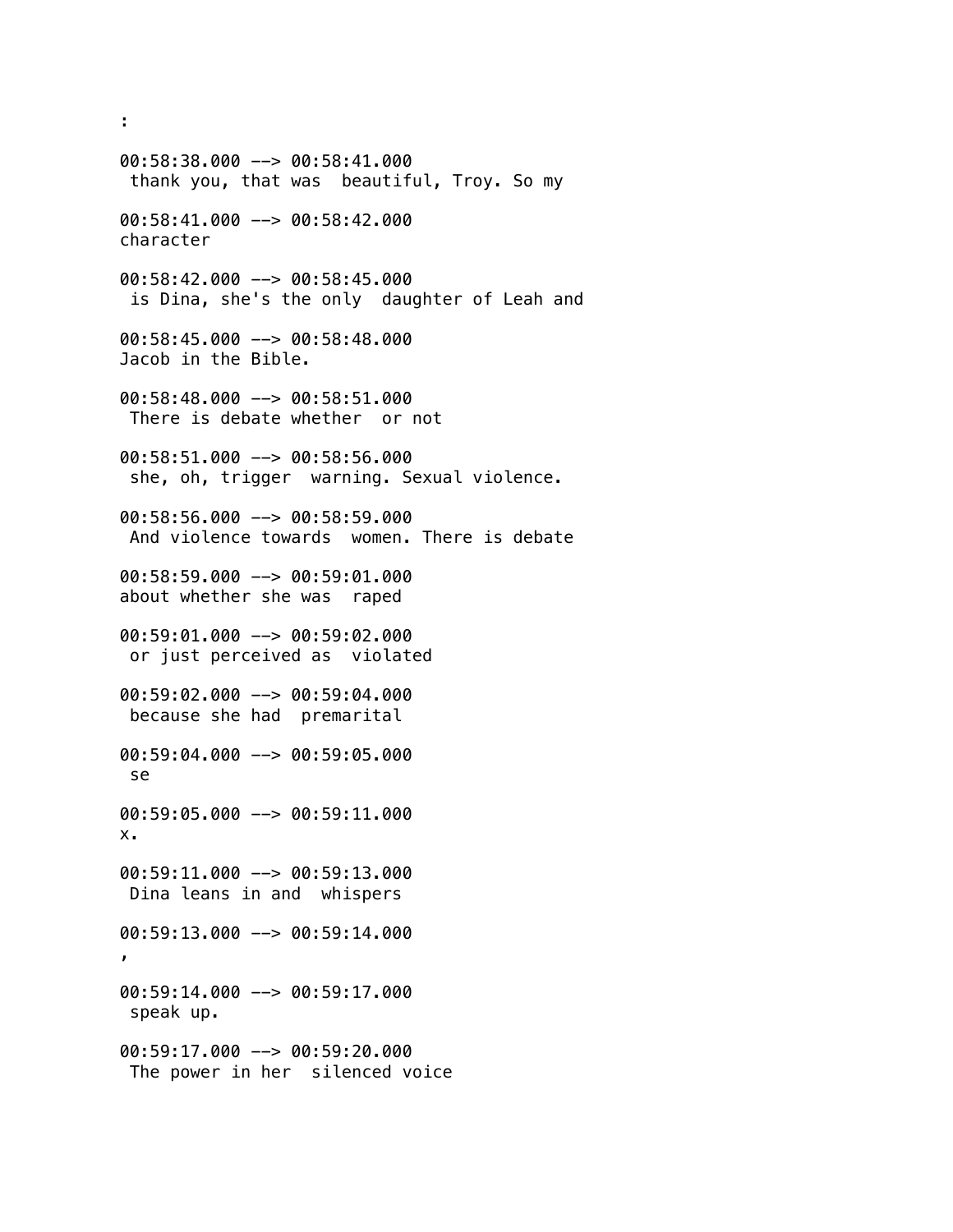00:58:38.000 --> 00:58:41.000 thank you, that was beautiful, Troy. So my 00:58:41.000 --> 00:58:42.000 character 00:58:42.000 --> 00:58:45.000 is Dina, she's the only daughter of Leah and 00:58:45.000 --> 00:58:48.000 Jacob in the Bible. 00:58:48.000 --> 00:58:51.000 There is debate whether or not 00:58:51.000 --> 00:58:56.000 she, oh, trigger warning. Sexual violence. 00:58:56.000 --> 00:58:59.000 And violence towards women. There is debate 00:58:59.000 --> 00:59:01.000 about whether she was raped 00:59:01.000 --> 00:59:02.000 or just perceived as violated 00:59:02.000 --> 00:59:04.000 because she had premarital 00:59:04.000 --> 00:59:05.000 se 00:59:05.000 --> 00:59:11.000 x. 00:59:11.000 --> 00:59:13.000 Dina leans in and whispers 00:59:13.000 --> 00:59:14.000 , 00:59:14.000 --> 00:59:17.000 speak up. 00:59:17.000 --> 00:59:20.000

The power in her silenced voice

: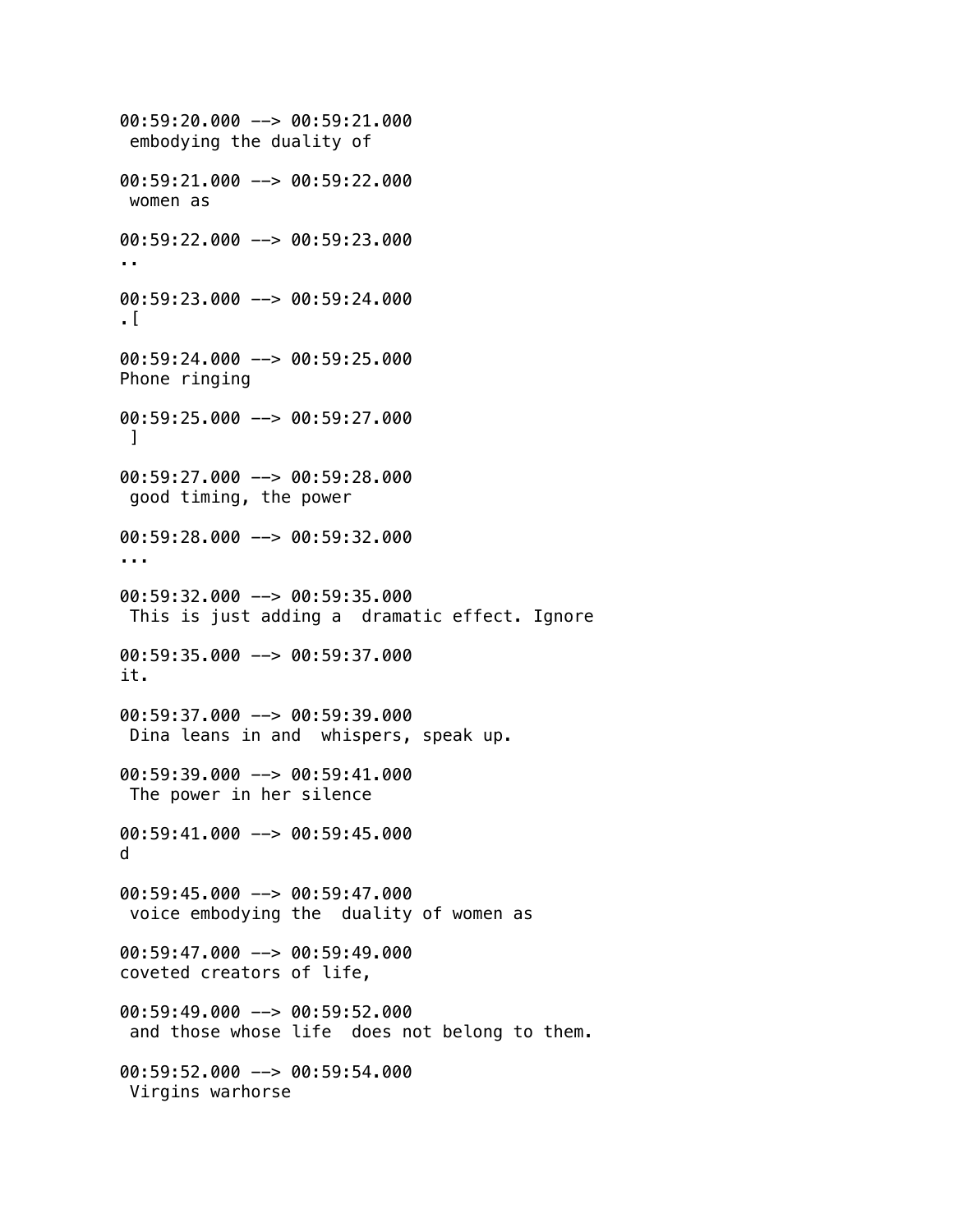00:59:20.000 --> 00:59:21.000 embodying the duality of 00:59:21.000 --> 00:59:22.000 women as 00:59:22.000 --> 00:59:23.000 .. 00:59:23.000 --> 00:59:24.000 .[ 00:59:24.000 --> 00:59:25.000 Phone ringing 00:59:25.000 --> 00:59:27.000  $\mathbf{I}$ 00:59:27.000 --> 00:59:28.000 good timing, the power 00:59:28.000 --> 00:59:32.000 ... 00:59:32.000 --> 00:59:35.000 This is just adding a dramatic effect. Ignore 00:59:35.000 --> 00:59:37.000 it. 00:59:37.000 --> 00:59:39.000 Dina leans in and whispers, speak up. 00:59:39.000 --> 00:59:41.000 The power in her silence 00:59:41.000 --> 00:59:45.000 d 00:59:45.000 --> 00:59:47.000 voice embodying the duality of women as 00:59:47.000 --> 00:59:49.000 coveted creators of life, 00:59:49.000 --> 00:59:52.000 and those whose life does not belong to them. 00:59:52.000 --> 00:59:54.000 Virgins warhorse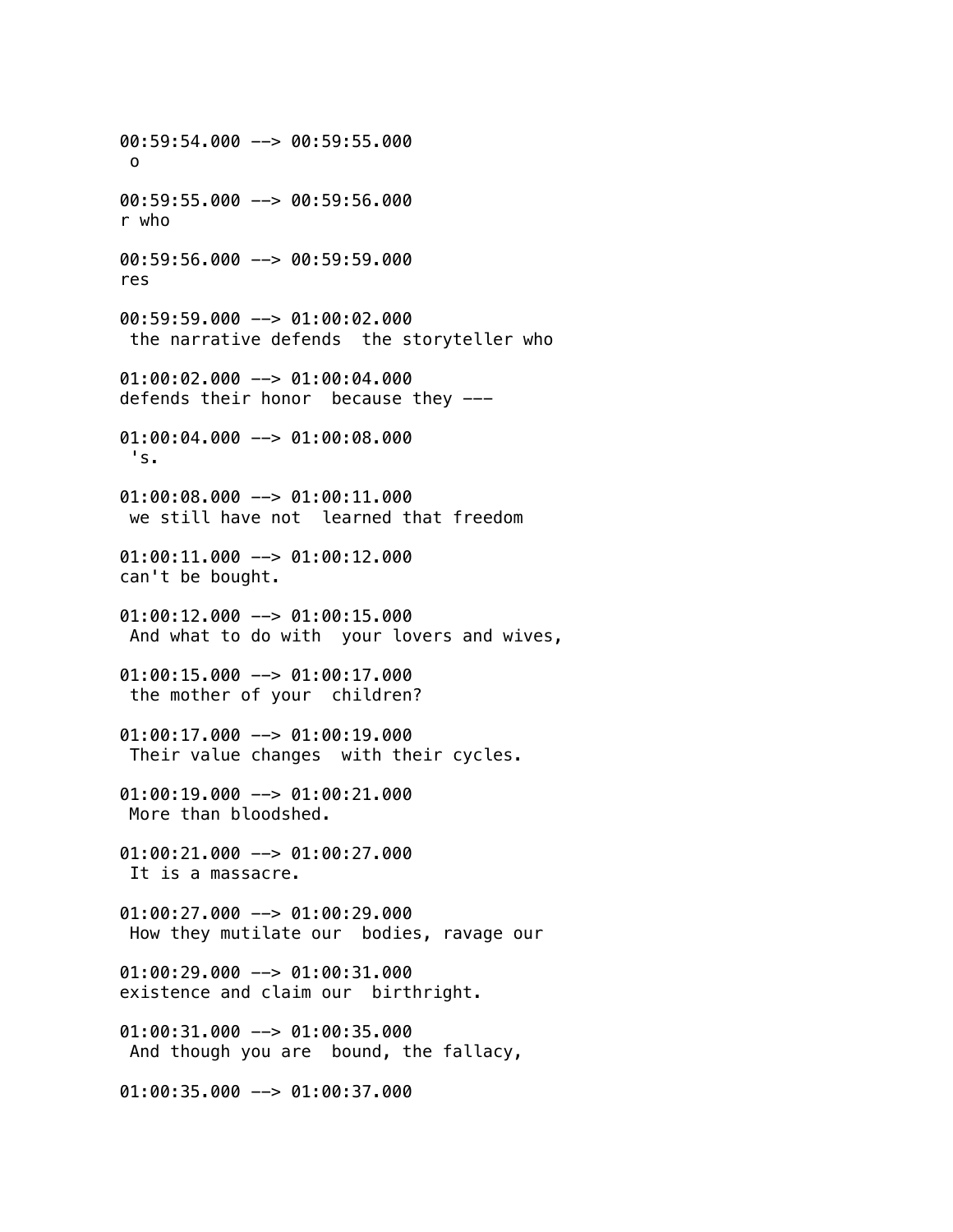00:59:54.000 --> 00:59:55.000 o 00:59:55.000 --> 00:59:56.000 r who 00:59:56.000 --> 00:59:59.000 res 00:59:59.000 --> 01:00:02.000 the narrative defends the storyteller who 01:00:02.000 --> 01:00:04.000 defends their honor because they --- 01:00:04.000 --> 01:00:08.000  $^{\prime}$ s. 01:00:08.000 --> 01:00:11.000 we still have not learned that freedom 01:00:11.000 --> 01:00:12.000 can't be bought. 01:00:12.000 --> 01:00:15.000 And what to do with your lovers and wives, 01:00:15.000 --> 01:00:17.000 the mother of your children? 01:00:17.000 --> 01:00:19.000 Their value changes with their cycles. 01:00:19.000 --> 01:00:21.000 More than bloodshed. 01:00:21.000 --> 01:00:27.000 It is a massacre. 01:00:27.000 --> 01:00:29.000 How they mutilate our bodies, ravage our 01:00:29.000 --> 01:00:31.000 existence and claim our birthright. 01:00:31.000 --> 01:00:35.000 And though you are bound, the fallacy, 01:00:35.000 --> 01:00:37.000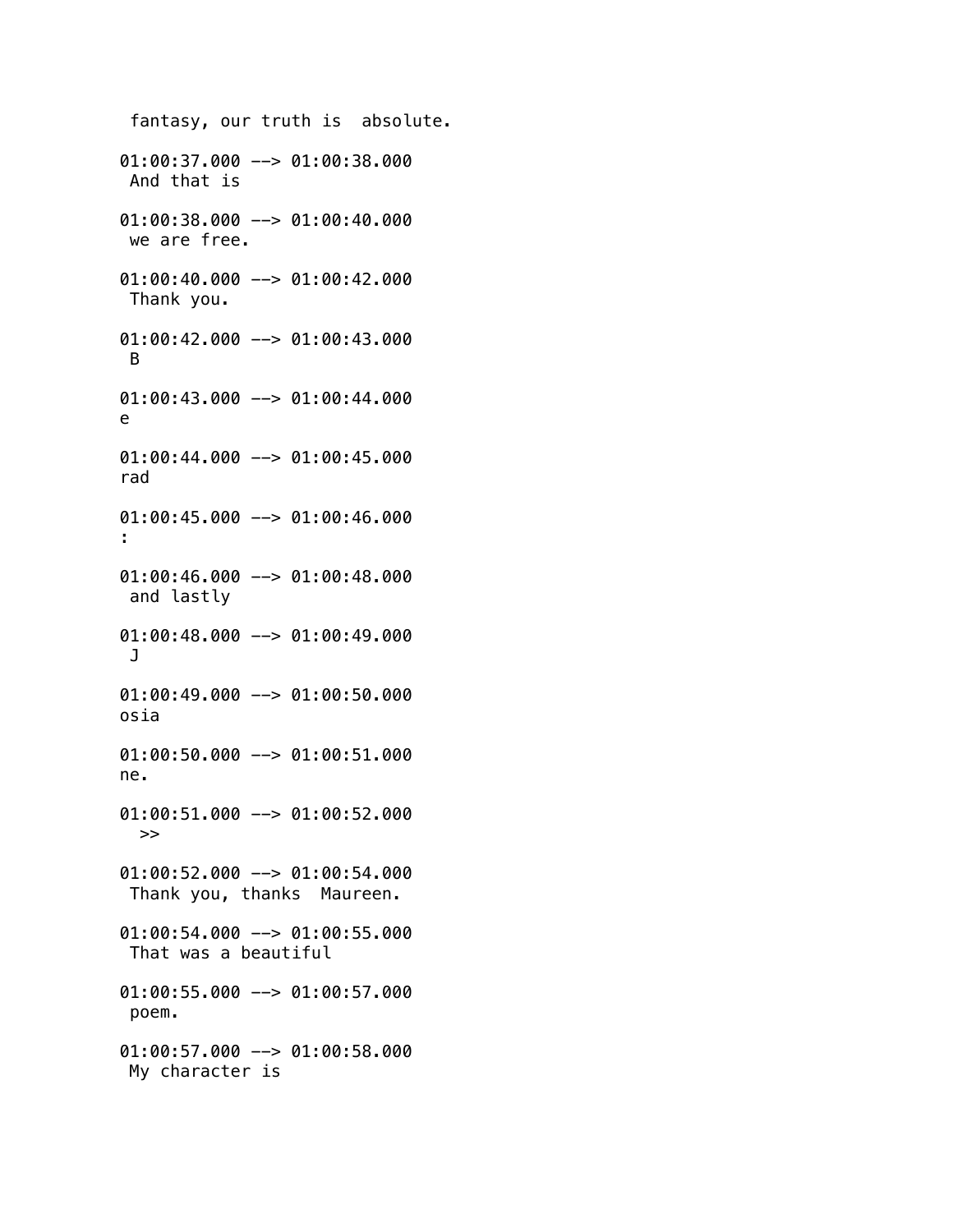fantasy, our truth is absolute. 01:00:37.000 --> 01:00:38.000 And that is 01:00:38.000 --> 01:00:40.000 we are free. 01:00:40.000 --> 01:00:42.000 Thank you. 01:00:42.000 --> 01:00:43.000 B 01:00:43.000 --> 01:00:44.000 e 01:00:44.000 --> 01:00:45.000 rad 01:00:45.000 --> 01:00:46.000 : 01:00:46.000 --> 01:00:48.000 and lastly  $01:00:48.000$  -->  $01:00:49.000$  J 01:00:49.000 --> 01:00:50.000 osia 01:00:50.000 --> 01:00:51.000 ne. 01:00:51.000 --> 01:00:52.000 >> 01:00:52.000 --> 01:00:54.000 Thank you, thanks Maureen. 01:00:54.000 --> 01:00:55.000 That was a beautiful 01:00:55.000 --> 01:00:57.000 poem. 01:00:57.000 --> 01:00:58.000 My character is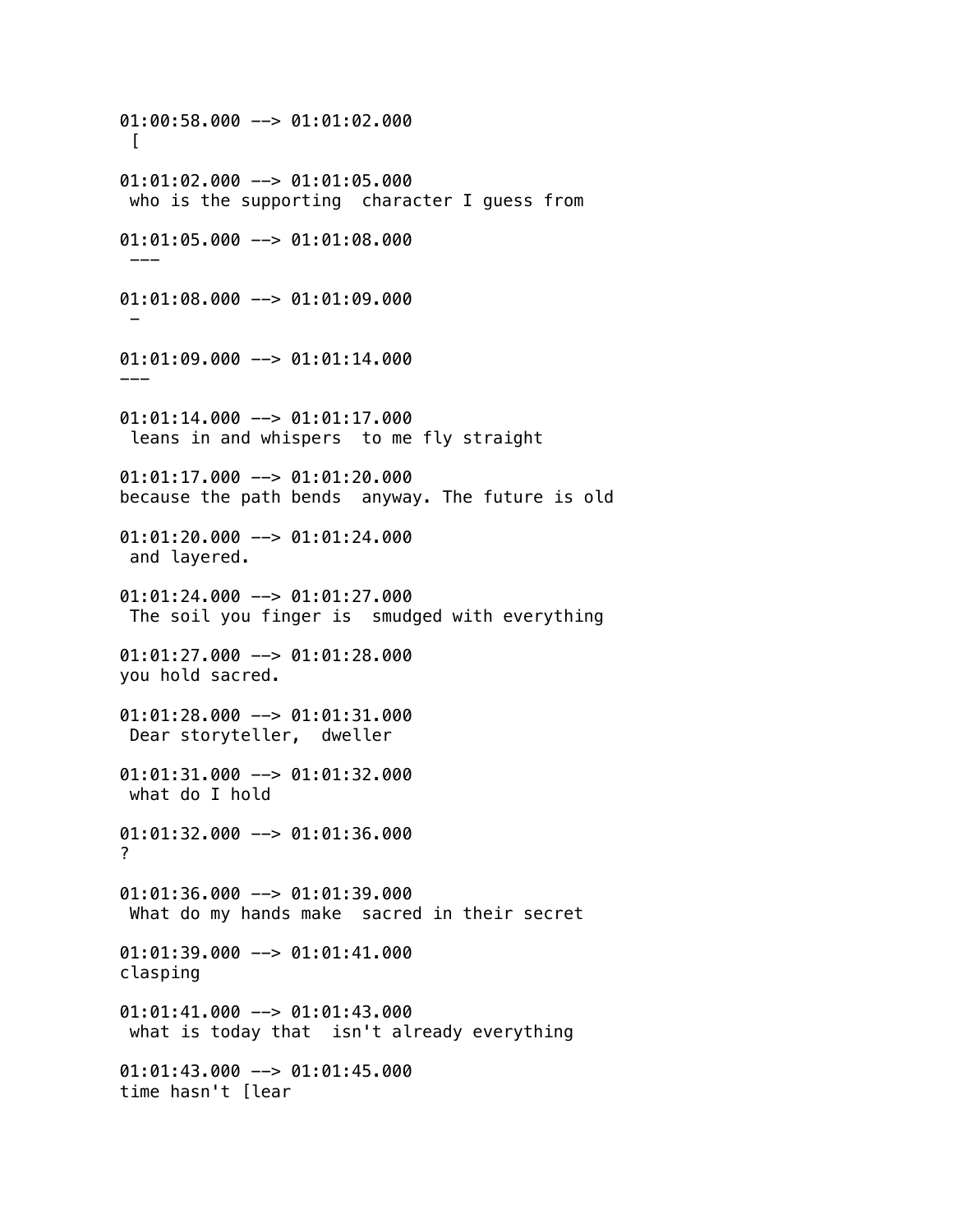01:00:58.000 --> 01:01:02.000  $\Gamma$ 01:01:02.000 --> 01:01:05.000 who is the supporting character I guess from 01:01:05.000 --> 01:01:08.000 --- 01:01:08.000 --> 01:01:09.000  $\mathcal{L}_{\mathcal{L}}$ 01:01:09.000 --> 01:01:14.000 --- 01:01:14.000 --> 01:01:17.000 leans in and whispers to me fly straight 01:01:17.000 --> 01:01:20.000 because the path bends anyway. The future is old 01:01:20.000 --> 01:01:24.000 and layered. 01:01:24.000 --> 01:01:27.000 The soil you finger is smudged with everything  $01:01:27.000$  -->  $01:01:28.000$ you hold sacred. 01:01:28.000 --> 01:01:31.000 Dear storyteller, dweller 01:01:31.000 --> 01:01:32.000 what do I hold 01:01:32.000 --> 01:01:36.000 ?  $01:01:36.000$  -->  $01:01:39.000$  What do my hands make sacred in their secret  $01:01:39.000$  -->  $01:01:41.000$ clasping 01:01:41.000 --> 01:01:43.000 what is today that isn't already everything 01:01:43.000 --> 01:01:45.000 time hasn't [lear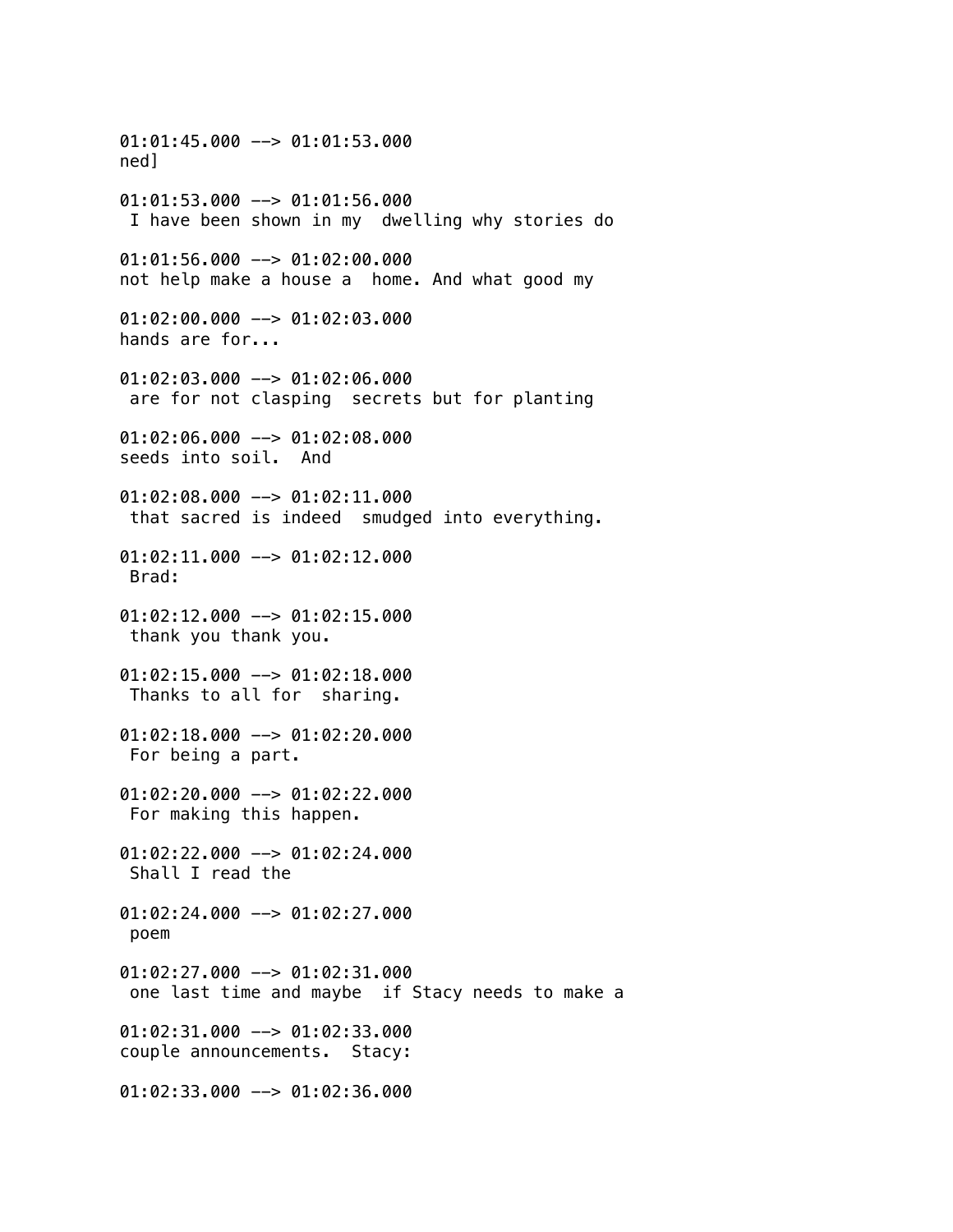01:01:45.000 --> 01:01:53.000 ned] 01:01:53.000 --> 01:01:56.000 I have been shown in my dwelling why stories do 01:01:56.000 --> 01:02:00.000 not help make a house a home. And what good my 01:02:00.000 --> 01:02:03.000 hands are for... 01:02:03.000 --> 01:02:06.000 are for not clasping secrets but for planting 01:02:06.000 --> 01:02:08.000 seeds into soil. And  $01:02:08.000$  -->  $01:02:11.000$  that sacred is indeed smudged into everything. 01:02:11.000 --> 01:02:12.000 Brad: 01:02:12.000 --> 01:02:15.000 thank you thank you. 01:02:15.000 --> 01:02:18.000 Thanks to all for sharing.  $01:02:18.000$  -->  $01:02:20.000$  For being a part. 01:02:20.000 --> 01:02:22.000 For making this happen.  $01:02:22.000$  -->  $01:02:24.000$  Shall I read the 01:02:24.000 --> 01:02:27.000 poem 01:02:27.000 --> 01:02:31.000 one last time and maybe if Stacy needs to make a 01:02:31.000 --> 01:02:33.000 couple announcements. Stacy: 01:02:33.000 --> 01:02:36.000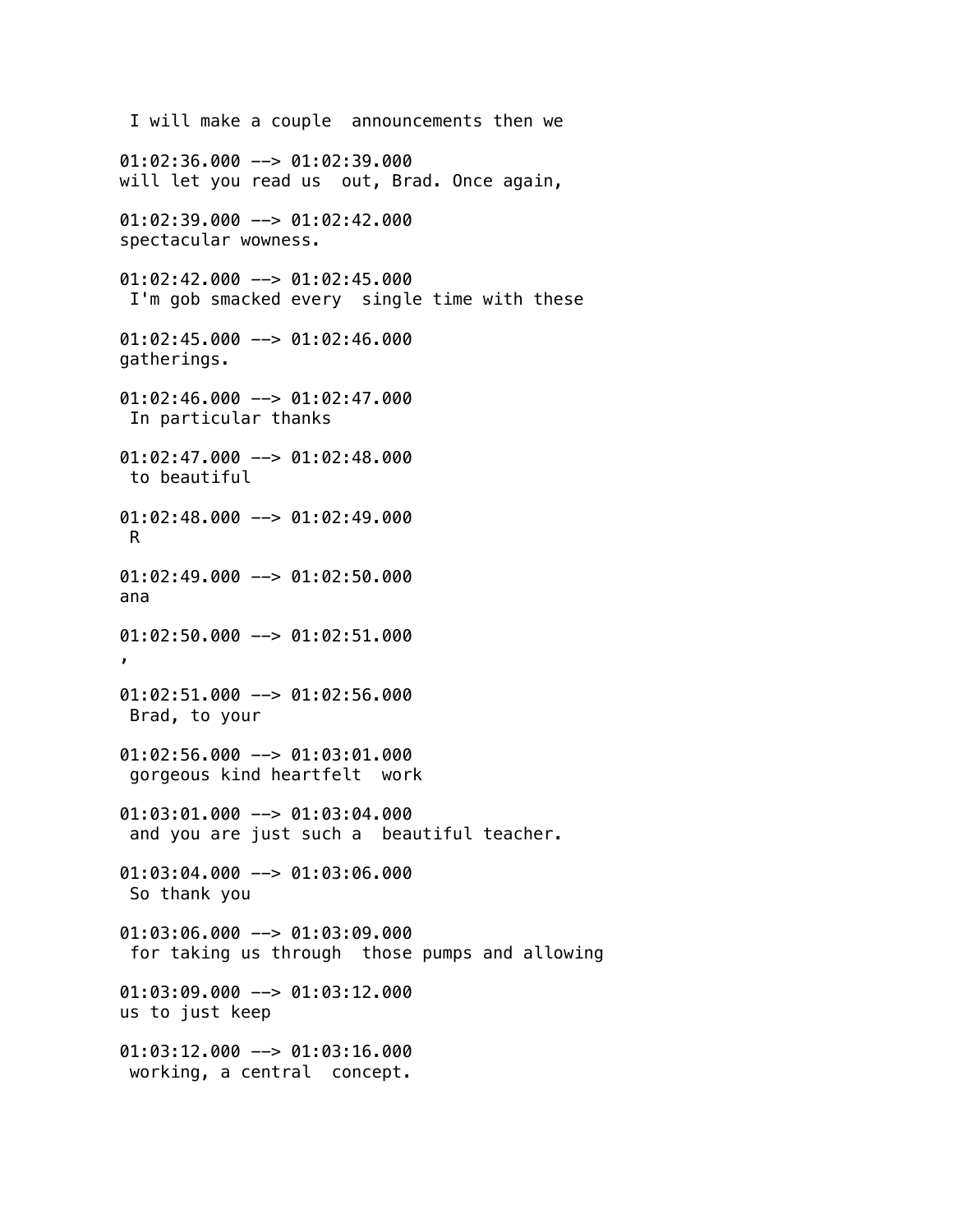I will make a couple announcements then we 01:02:36.000 --> 01:02:39.000 will let you read us out, Brad. Once again, 01:02:39.000 --> 01:02:42.000 spectacular wowness.  $01:02:42.000$  -->  $01:02:45.000$  I'm gob smacked every single time with these 01:02:45.000 --> 01:02:46.000 gatherings.  $01:02:46.000$  -->  $01:02:47.000$  In particular thanks 01:02:47.000 --> 01:02:48.000 to beautiful  $01:02:48.000$  -->  $01:02:49.000$  R  $01:02:49.000$  -->  $01:02:50.000$ ana  $01:02:50.000$  -->  $01:02:51.000$ , 01:02:51.000 --> 01:02:56.000 Brad, to your 01:02:56.000 --> 01:03:01.000 gorgeous kind heartfelt work 01:03:01.000 --> 01:03:04.000 and you are just such a beautiful teacher. 01:03:04.000 --> 01:03:06.000 So thank you  $01:03:06.000$  -->  $01:03:09.000$  for taking us through those pumps and allowing 01:03:09.000 --> 01:03:12.000 us to just keep 01:03:12.000 --> 01:03:16.000 working, a central concept.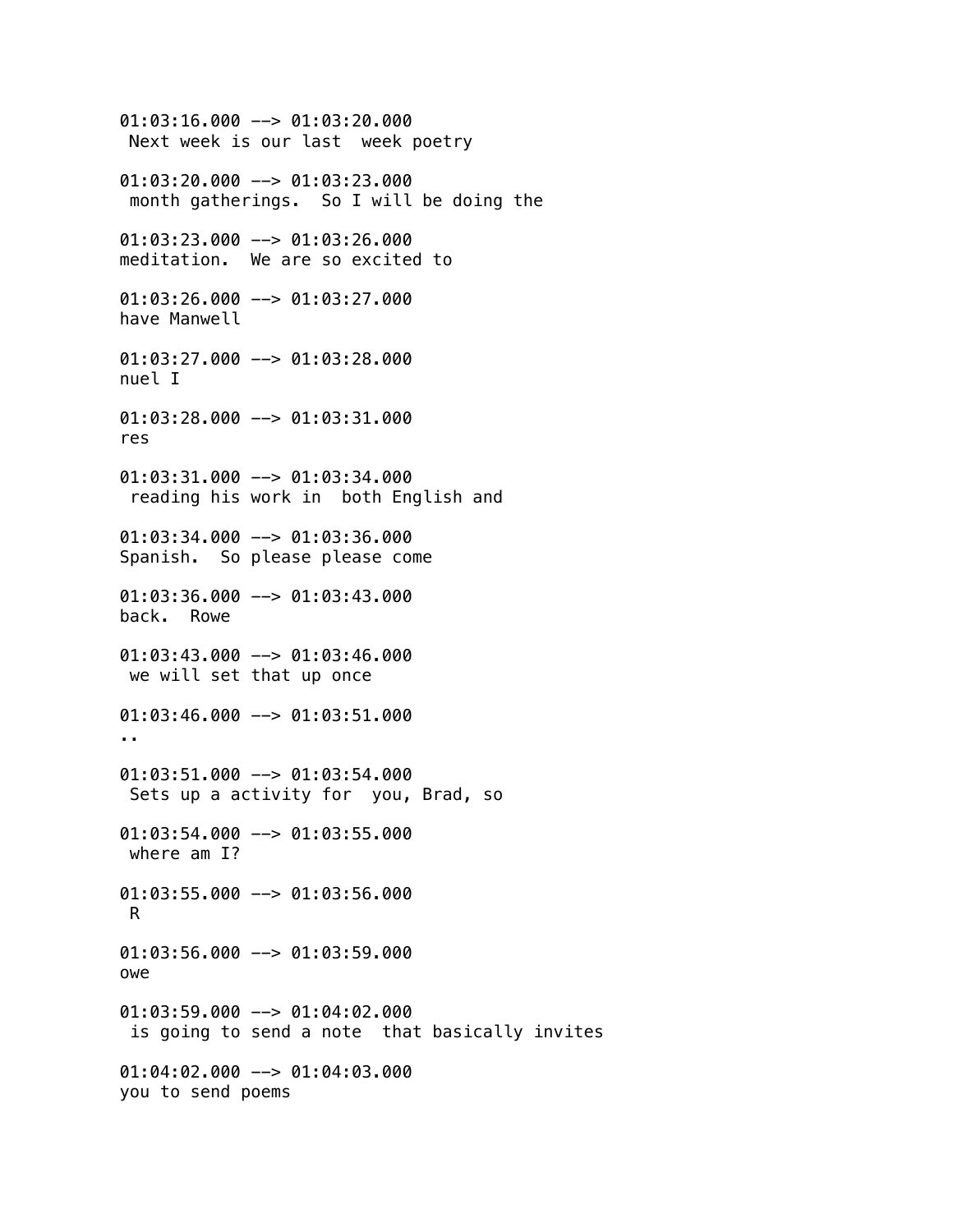01:03:16.000 --> 01:03:20.000 Next week is our last week poetry 01:03:20.000 --> 01:03:23.000 month gatherings. So I will be doing the 01:03:23.000 --> 01:03:26.000 meditation. We are so excited to  $01:03:26.000$  -->  $01:03:27.000$ have Manwell 01:03:27.000 --> 01:03:28.000 nuel I 01:03:28.000 --> 01:03:31.000 res 01:03:31.000 --> 01:03:34.000 reading his work in both English and 01:03:34.000 --> 01:03:36.000 Spanish. So please please come  $01:03:36.000$  -->  $01:03:43.000$ back. Rowe  $01:03:43.000$  -->  $01:03:46.000$  we will set that up once  $01:03:46.000$  -->  $01:03:51.000$ ..  $01:03:51.000$  -->  $01:03:54.000$  Sets up a activity for you, Brad, so  $01:03:54.000$  -->  $01:03:55.000$  where am I?  $01:03:55.000$  -->  $01:03:56.000$  R 01:03:56.000 --> 01:03:59.000 owe 01:03:59.000 --> 01:04:02.000 is going to send a note that basically invites 01:04:02.000 --> 01:04:03.000 you to send poems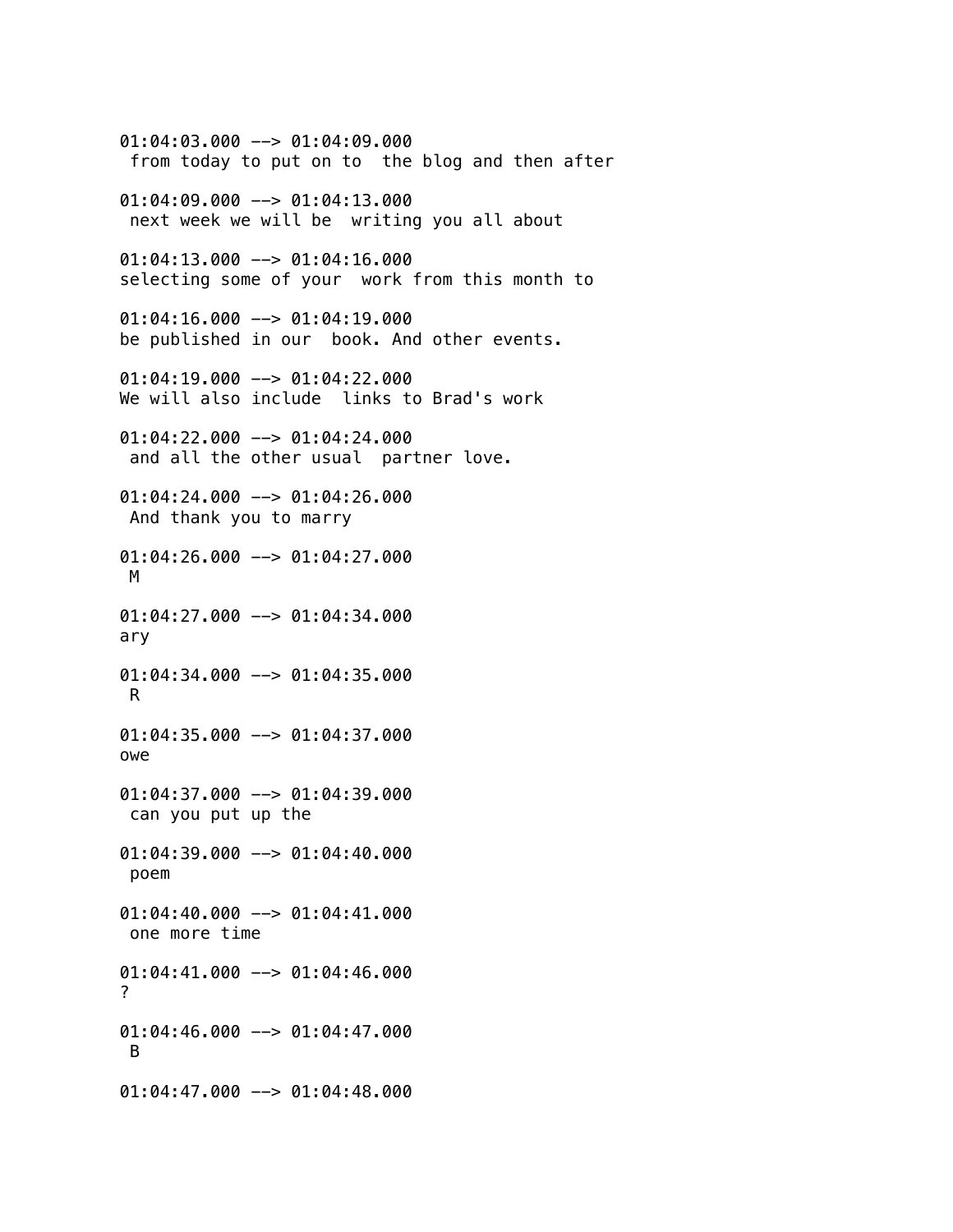01:04:03.000 --> 01:04:09.000 from today to put on to the blog and then after 01:04:09.000 --> 01:04:13.000 next week we will be writing you all about  $01:04:13.000$  -->  $01:04:16.000$ selecting some of your work from this month to  $01:04:16.000$  -->  $01:04:19.000$ be published in our book. And other events. 01:04:19.000 --> 01:04:22.000 We will also include links to Brad's work 01:04:22.000 --> 01:04:24.000 and all the other usual partner love. 01:04:24.000 --> 01:04:26.000 And thank you to marry 01:04:26.000 --> 01:04:27.000 M 01:04:27.000 --> 01:04:34.000 ary 01:04:34.000 --> 01:04:35.000 R 01:04:35.000 --> 01:04:37.000 owe 01:04:37.000 --> 01:04:39.000 can you put up the 01:04:39.000 --> 01:04:40.000 poem 01:04:40.000 --> 01:04:41.000 one more time  $01:04:41.000$  -->  $01:04:46.000$ ? 01:04:46.000 --> 01:04:47.000 B 01:04:47.000 --> 01:04:48.000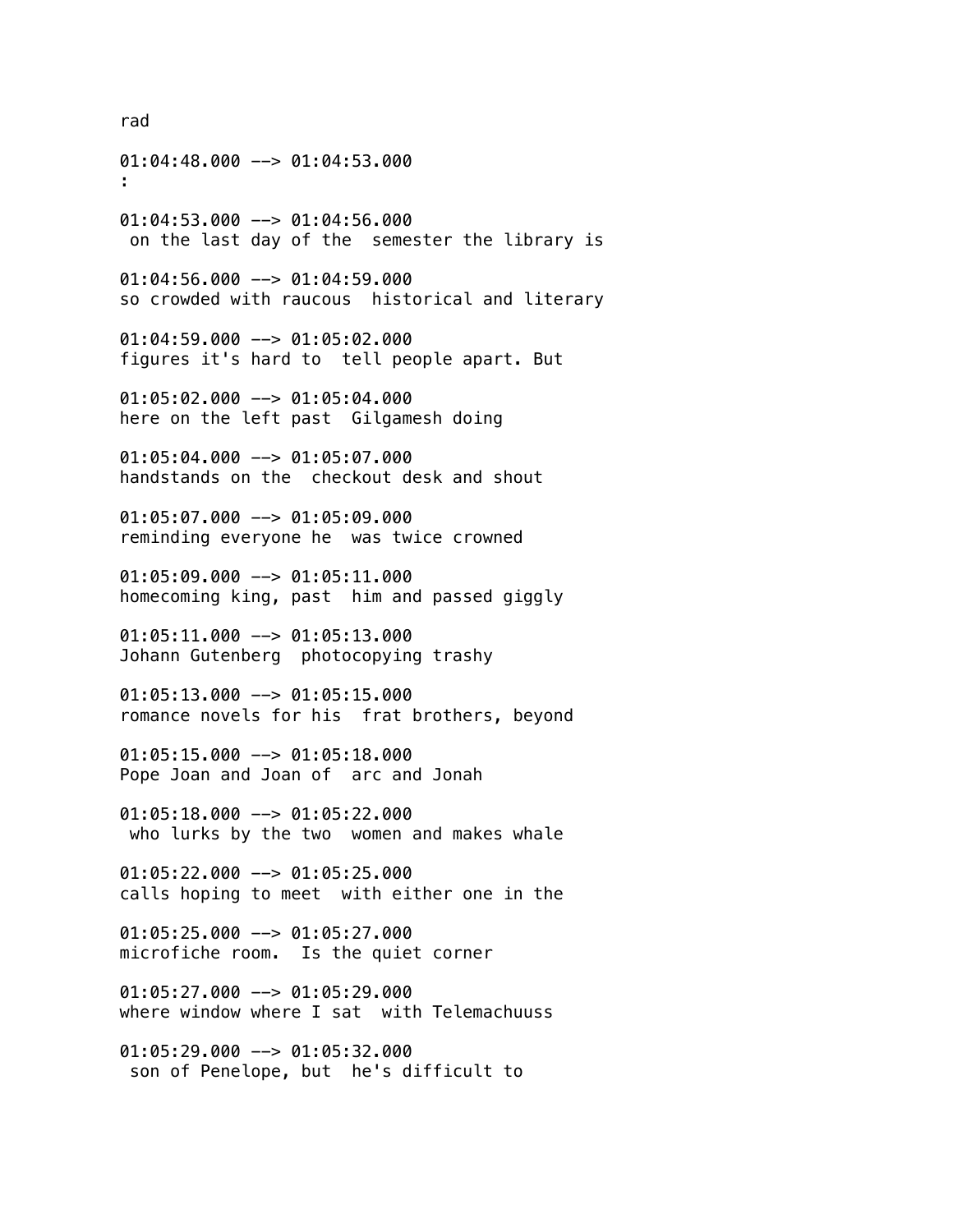01:04:48.000 --> 01:04:53.000 : 01:04:53.000 --> 01:04:56.000 on the last day of the semester the library is  $01:04:56.000$  -->  $01:04:59.000$ so crowded with raucous historical and literary 01:04:59.000 --> 01:05:02.000 figures it's hard to tell people apart. But 01:05:02.000 --> 01:05:04.000 here on the left past Gilgamesh doing 01:05:04.000 --> 01:05:07.000 handstands on the checkout desk and shout  $01:05:07.000$  -->  $01:05:09.000$ reminding everyone he was twice crowned 01:05:09.000 --> 01:05:11.000 homecoming king, past him and passed giggly  $01:05:11.000$  -->  $01:05:13.000$ Johann Gutenberg photocopying trashy 01:05:13.000 --> 01:05:15.000 romance novels for his frat brothers, beyond  $01:05:15.000$  -->  $01:05:18.000$ Pope Joan and Joan of arc and Jonah 01:05:18.000 --> 01:05:22.000 who lurks by the two women and makes whale 01:05:22.000 --> 01:05:25.000 calls hoping to meet with either one in the 01:05:25.000 --> 01:05:27.000 microfiche room. Is the quiet corner  $01:05:27.000$  -->  $01:05:29.000$ where window where I sat with Telemachuuss 01:05:29.000 --> 01:05:32.000 son of Penelope, but he's difficult to

rad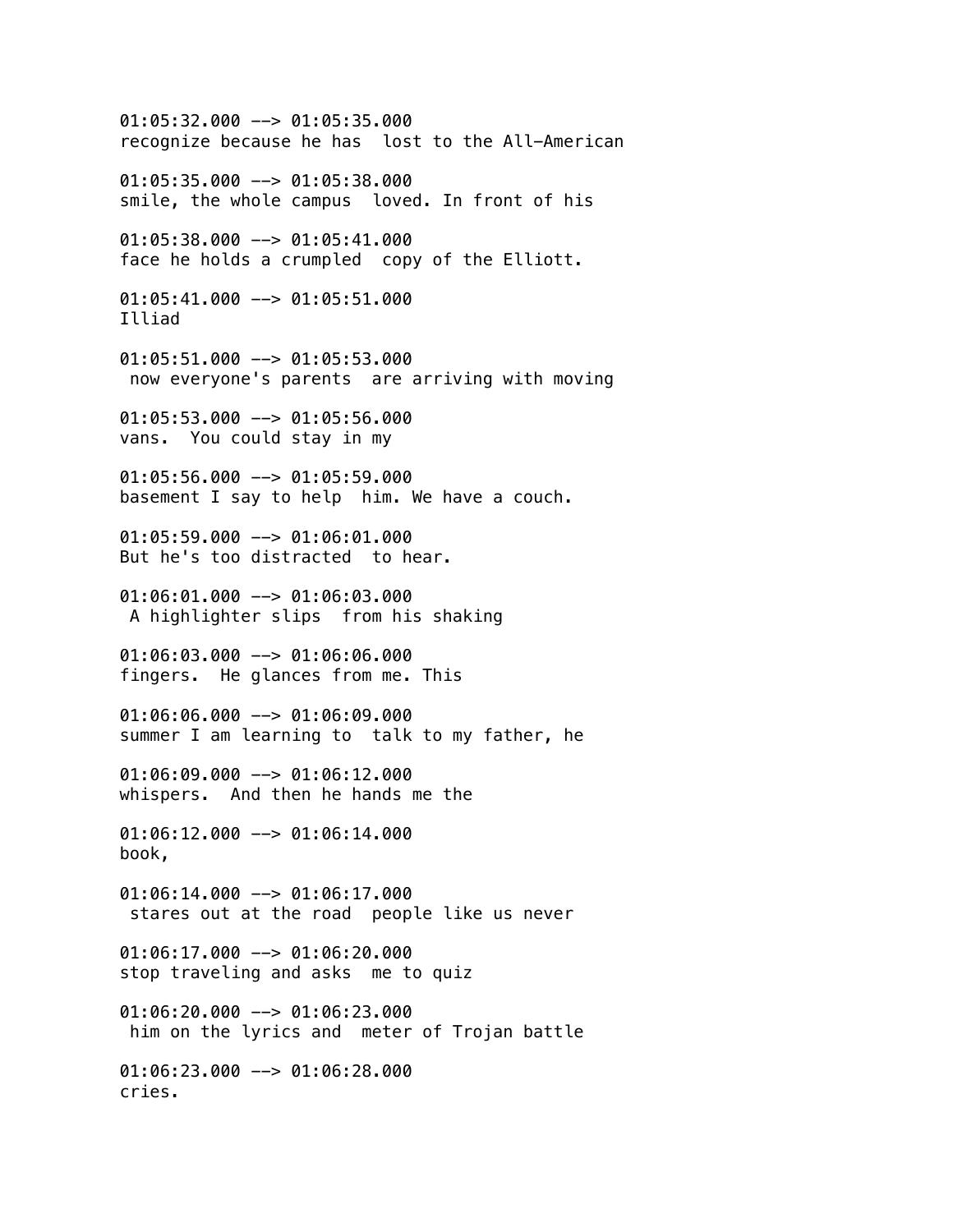01:05:32.000 --> 01:05:35.000 recognize because he has lost to the All-American 01:05:35.000 --> 01:05:38.000 smile, the whole campus loved. In front of his 01:05:38.000 --> 01:05:41.000 face he holds a crumpled copy of the Elliott.  $01:05:41.000$  -->  $01:05:51.000$ Illiad 01:05:51.000 --> 01:05:53.000 now everyone's parents are arriving with moving 01:05:53.000 --> 01:05:56.000 vans. You could stay in my 01:05:56.000 --> 01:05:59.000 basement I say to help him. We have a couch.  $01:05:59.000$  -->  $01:06:01.000$ But he's too distracted to hear. 01:06:01.000 --> 01:06:03.000 A highlighter slips from his shaking 01:06:03.000 --> 01:06:06.000 fingers. He glances from me. This 01:06:06.000 --> 01:06:09.000 summer I am learning to talk to my father, he 01:06:09.000 --> 01:06:12.000 whispers. And then he hands me the  $01:06:12.000$  -->  $01:06:14.000$ book,  $01:06:14.000$  -->  $01:06:17.000$  stares out at the road people like us never 01:06:17.000 --> 01:06:20.000 stop traveling and asks me to quiz 01:06:20.000 --> 01:06:23.000 him on the lyrics and meter of Trojan battle 01:06:23.000 --> 01:06:28.000 cries.